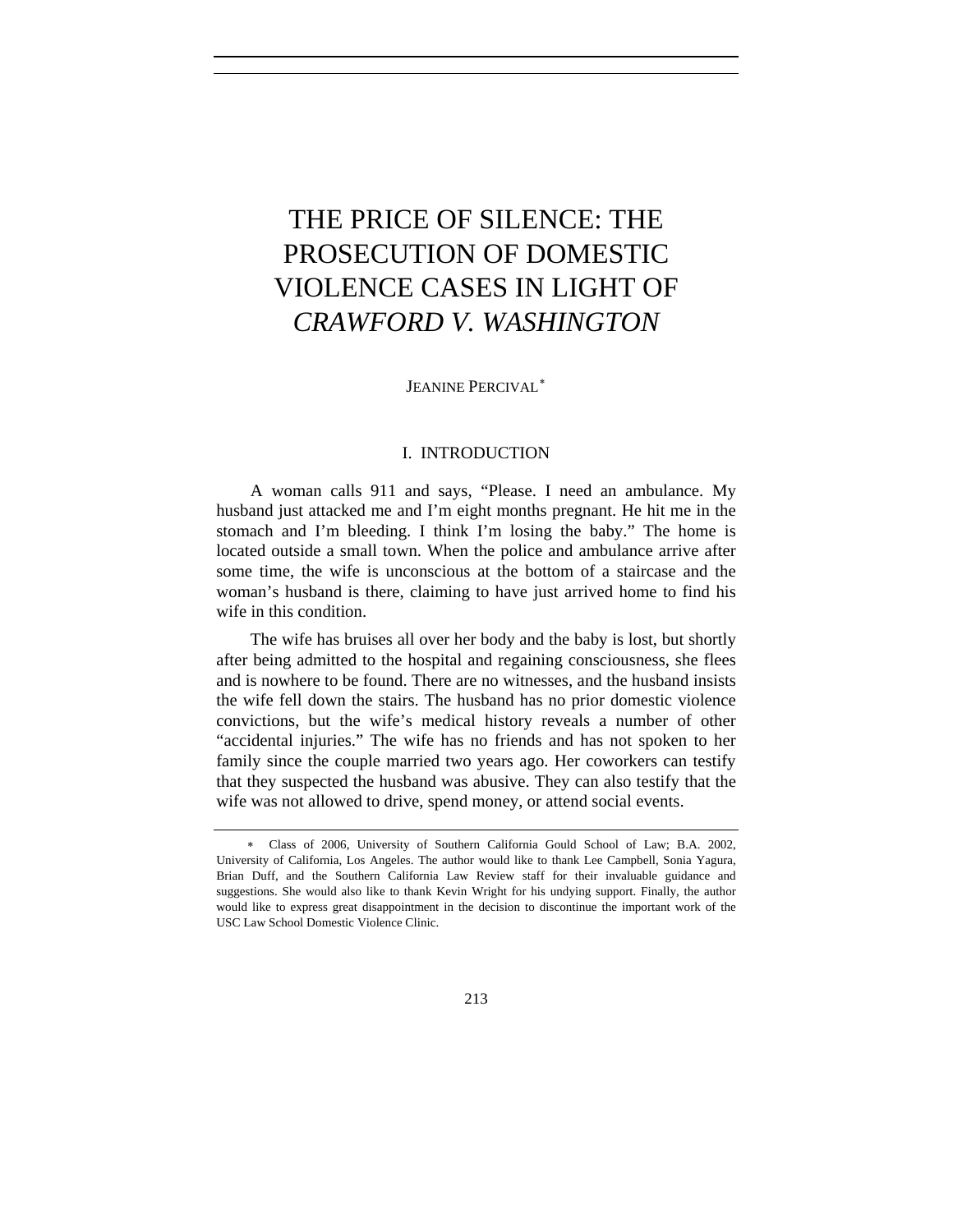# THE PRICE OF SILENCE: THE PROSECUTION OF DOMESTIC VIOLENCE CASES IN LIGHT OF *CRAWFORD V. WASHINGTON*

JEANINE PERCIVAL[∗](#page-0-0)

# I. INTRODUCTION

A woman calls 911 and says, "Please. I need an ambulance. My husband just attacked me and I'm eight months pregnant. He hit me in the stomach and I'm bleeding. I think I'm losing the baby." The home is located outside a small town. When the police and ambulance arrive after some time, the wife is unconscious at the bottom of a staircase and the woman's husband is there, claiming to have just arrived home to find his wife in this condition.

The wife has bruises all over her body and the baby is lost, but shortly after being admitted to the hospital and regaining consciousness, she flees and is nowhere to be found. There are no witnesses, and the husband insists the wife fell down the stairs. The husband has no prior domestic violence convictions, but the wife's medical history reveals a number of other "accidental injuries." The wife has no friends and has not spoken to her family since the couple married two years ago. Her coworkers can testify that they suspected the husband was abusive. They can also testify that the wife was not allowed to drive, spend money, or attend social events.

<span id="page-0-0"></span><sup>∗</sup> Class of 2006, University of Southern California Gould School of Law; B.A. 2002, University of California, Los Angeles. The author would like to thank Lee Campbell, Sonia Yagura, Brian Duff, and the Southern California Law Review staff for their invaluable guidance and suggestions. She would also like to thank Kevin Wright for his undying support. Finally, the author would like to express great disappointment in the decision to discontinue the important work of the USC Law School Domestic Violence Clinic.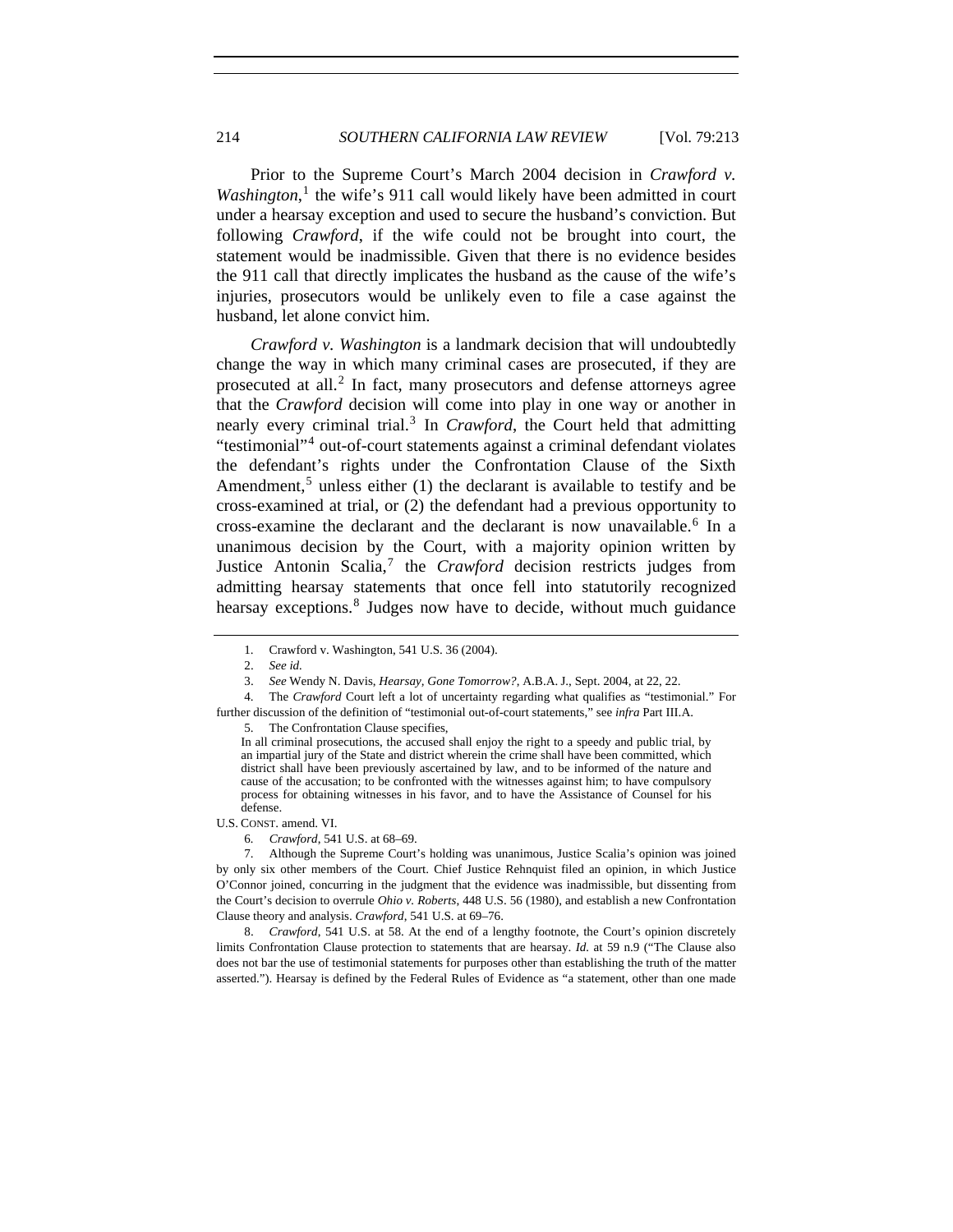Prior to the Supreme Court's March 2004 decision in *Crawford v.*  Washington,<sup>[1](#page-1-0)</sup> the wife's 911 call would likely have been admitted in court under a hearsay exception and used to secure the husband's conviction. But following *Crawford*, if the wife could not be brought into court, the statement would be inadmissible. Given that there is no evidence besides the 911 call that directly implicates the husband as the cause of the wife's injuries, prosecutors would be unlikely even to file a case against the husband, let alone convict him.

*Crawford v. Washington* is a landmark decision that will undoubtedly change the way in which many criminal cases are prosecuted, if they are prosecuted at all.<sup>[2](#page-1-1)</sup> In fact, many prosecutors and defense attorneys agree that the *Crawford* decision will come into play in one way or another in nearly every criminal trial.[3](#page-1-2) In *Crawford*, the Court held that admitting "testimonial"[4](#page-1-3) out-of-court statements against a criminal defendant violates the defendant's rights under the Confrontation Clause of the Sixth Amendment,<sup>[5](#page-1-4)</sup> unless either  $(1)$  the declarant is available to testify and be cross-examined at trial, or (2) the defendant had a previous opportunity to cross-examine the declarant and the declarant is now unavailable.<sup>[6](#page-1-5)</sup> In a unanimous decision by the Court, with a majority opinion written by Justice Antonin Scalia,<sup>[7](#page-1-6)</sup> the *Crawford* decision restricts judges from admitting hearsay statements that once fell into statutorily recognized hearsay exceptions.<sup>[8](#page-1-7)</sup> Judges now have to decide, without much guidance

5. The Confrontation Clause specifies,

In all criminal prosecutions, the accused shall enjoy the right to a speedy and public trial, by an impartial jury of the State and district wherein the crime shall have been committed, which district shall have been previously ascertained by law, and to be informed of the nature and cause of the accusation; to be confronted with the witnesses against him; to have compulsory process for obtaining witnesses in his favor, and to have the Assistance of Counsel for his defense.

<span id="page-1-5"></span>U.S. CONST. amend. VI.

6*. Crawford*, 541 U.S. at 68–69.

<span id="page-1-7"></span> 8. *Crawford*, 541 U.S. at 58. At the end of a lengthy footnote, the Court's opinion discretely limits Confrontation Clause protection to statements that are hearsay. *Id.* at 59 n.9 ("The Clause also does not bar the use of testimonial statements for purposes other than establishing the truth of the matter asserted."). Hearsay is defined by the Federal Rules of Evidence as "a statement, other than one made

 <sup>1.</sup> Crawford v. Washington, 541 U.S. 36 (2004).

 <sup>2.</sup> *See id.*

 <sup>3.</sup> *See* Wendy N. Davis, *Hearsay, Gone Tomorrow?*, A.B.A. J., Sept. 2004, at 22, 22.

<span id="page-1-4"></span><span id="page-1-3"></span><span id="page-1-2"></span><span id="page-1-1"></span><span id="page-1-0"></span> <sup>4.</sup> The *Crawford* Court left a lot of uncertainty regarding what qualifies as "testimonial." For further discussion of the definition of "testimonial out-of-court statements," see *infra* Part III.A.

<span id="page-1-6"></span> <sup>7.</sup> Although the Supreme Court's holding was unanimous, Justice Scalia's opinion was joined by only six other members of the Court. Chief Justice Rehnquist filed an opinion, in which Justice O'Connor joined, concurring in the judgment that the evidence was inadmissible, but dissenting from the Court's decision to overrule *Ohio v. Roberts*, 448 U.S. 56 (1980), and establish a new Confrontation Clause theory and analysis. *Crawford*, 541 U.S. at 69–76.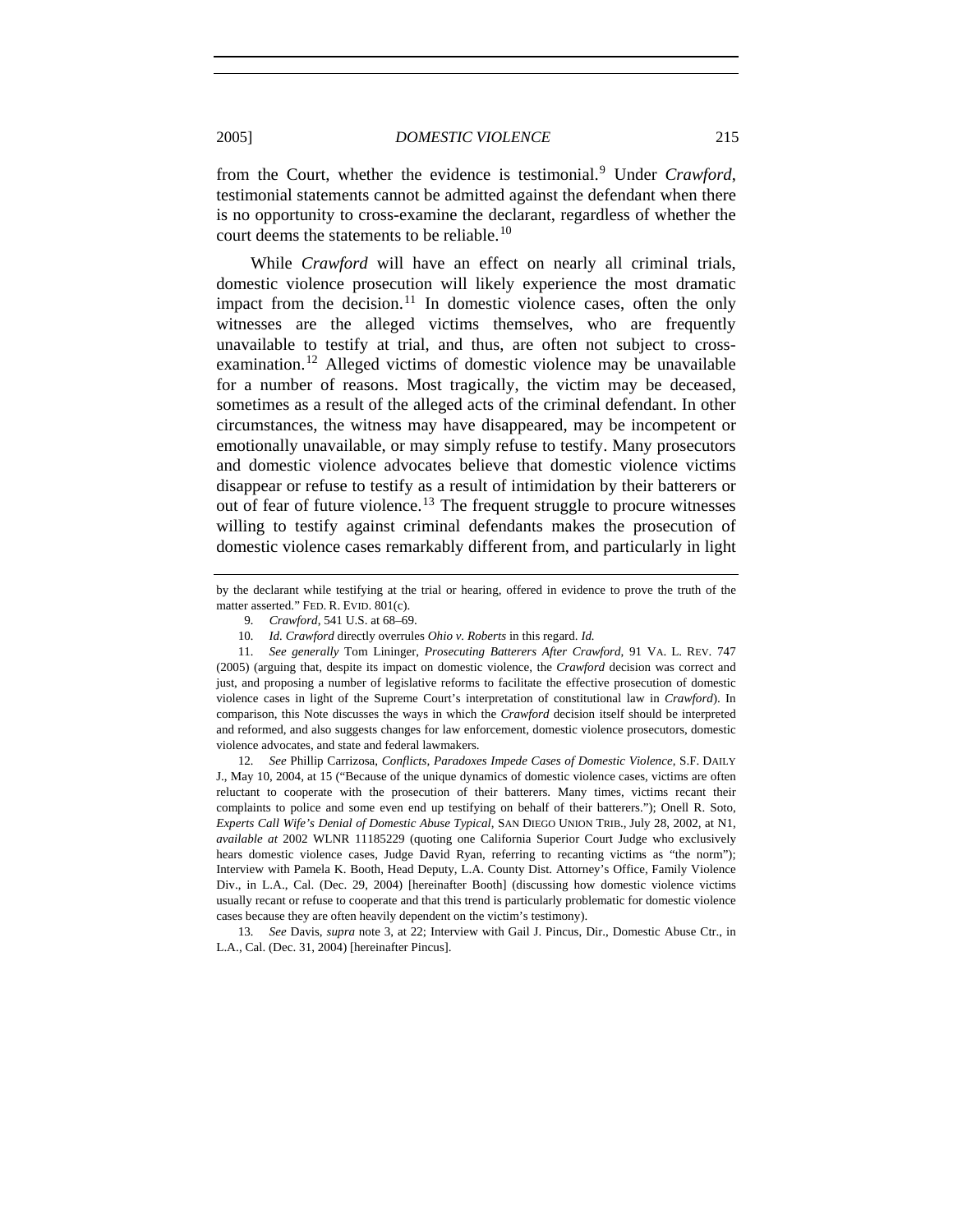from the Court, whether the evidence is testimonial.<sup>[9](#page-2-0)</sup> Under *Crawford*, testimonial statements cannot be admitted against the defendant when there is no opportunity to cross-examine the declarant, regardless of whether the court deems the statements to be reliable.<sup>[10](#page-2-1)</sup>

While *Crawford* will have an effect on nearly all criminal trials, domestic violence prosecution will likely experience the most dramatic impact from the decision.<sup>[11](#page-2-2)</sup> In domestic violence cases, often the only witnesses are the alleged victims themselves, who are frequently unavailable to testify at trial, and thus, are often not subject to crossexamination.[12](#page-2-3) Alleged victims of domestic violence may be unavailable for a number of reasons. Most tragically, the victim may be deceased, sometimes as a result of the alleged acts of the criminal defendant. In other circumstances, the witness may have disappeared, may be incompetent or emotionally unavailable, or may simply refuse to testify. Many prosecutors and domestic violence advocates believe that domestic violence victims disappear or refuse to testify as a result of intimidation by their batterers or out of fear of future violence.<sup>[13](#page-2-4)</sup> The frequent struggle to procure witnesses willing to testify against criminal defendants makes the prosecution of domestic violence cases remarkably different from, and particularly in light

<span id="page-2-3"></span>12*. See* Phillip Carrizosa, *Conflicts, Paradoxes Impede Cases of Domestic Violence*, S.F. DAILY J., May 10, 2004, at 15 ("Because of the unique dynamics of domestic violence cases, victims are often reluctant to cooperate with the prosecution of their batterers. Many times, victims recant their complaints to police and some even end up testifying on behalf of their batterers."); Onell R. Soto, *Experts Call Wife's Denial of Domestic Abuse Typical*, SAN DIEGO UNION TRIB., July 28, 2002, at N1, *available at* 2002 WLNR 11185229 (quoting one California Superior Court Judge who exclusively hears domestic violence cases, Judge David Ryan, referring to recanting victims as "the norm"); Interview with Pamela K. Booth, Head Deputy, L.A. County Dist. Attorney's Office, Family Violence Div., in L.A., Cal. (Dec. 29, 2004) [hereinafter Booth] (discussing how domestic violence victims usually recant or refuse to cooperate and that this trend is particularly problematic for domestic violence cases because they are often heavily dependent on the victim's testimony).

<span id="page-2-4"></span>13*. See* Davis, *supra* note 3, at 22; Interview with Gail J. Pincus, Dir., Domestic Abuse Ctr., in L.A., Cal. (Dec. 31, 2004) [hereinafter Pincus].

<span id="page-2-0"></span>by the declarant while testifying at the trial or hearing, offered in evidence to prove the truth of the matter asserted." FED. R. EVID. 801(c).

<sup>9</sup>*. Crawford*, 541 U.S. at 68–69.

<sup>10</sup>*. Id. Crawford* directly overrules *Ohio v. Roberts* in this regard. *Id.*

<span id="page-2-2"></span><span id="page-2-1"></span><sup>11</sup>*. See generally* Tom Lininger, *Prosecuting Batterers After Crawford*, 91 VA. L. REV. 747 (2005) (arguing that, despite its impact on domestic violence, the *Crawford* decision was correct and just, and proposing a number of legislative reforms to facilitate the effective prosecution of domestic violence cases in light of the Supreme Court's interpretation of constitutional law in *Crawford*). In comparison, this Note discusses the ways in which the *Crawford* decision itself should be interpreted and reformed, and also suggests changes for law enforcement, domestic violence prosecutors, domestic violence advocates, and state and federal lawmakers.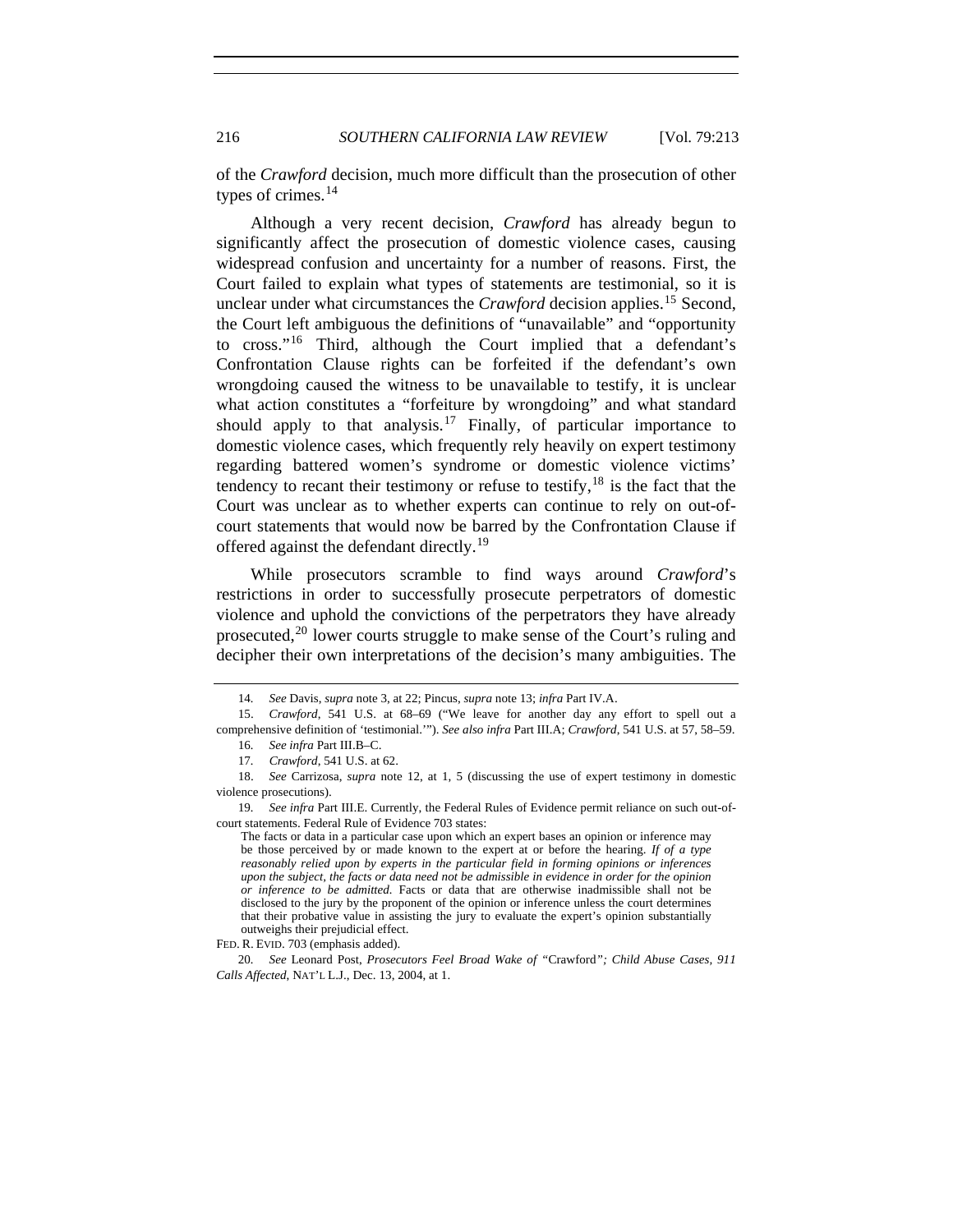216 *SOUTHERN CALIFORNIA LAW REVIEW* [Vol. 79:213

of the *Crawford* decision, much more difficult than the prosecution of other types of crimes. $14$ 

Although a very recent decision, *Crawford* has already begun to significantly affect the prosecution of domestic violence cases, causing widespread confusion and uncertainty for a number of reasons. First, the Court failed to explain what types of statements are testimonial, so it is unclear under what circumstances the *Crawford* decision applies.<sup>[15](#page-3-1)</sup> Second, the Court left ambiguous the definitions of "unavailable" and "opportunity to cross."[16](#page-3-2) Third, although the Court implied that a defendant's Confrontation Clause rights can be forfeited if the defendant's own wrongdoing caused the witness to be unavailable to testify, it is unclear what action constitutes a "forfeiture by wrongdoing" and what standard should apply to that analysis.<sup>[17](#page-3-3)</sup> Finally, of particular importance to domestic violence cases, which frequently rely heavily on expert testimony regarding battered women's syndrome or domestic violence victims' tendency to recant their testimony or refuse to testify,  $18$  is the fact that the Court was unclear as to whether experts can continue to rely on out-ofcourt statements that would now be barred by the Confrontation Clause if offered against the defendant directly.<sup>[19](#page-3-5)</sup>

While prosecutors scramble to find ways around *Crawford*'s restrictions in order to successfully prosecute perpetrators of domestic violence and uphold the convictions of the perpetrators they have already prosecuted,[20](#page-3-6) lower courts struggle to make sense of the Court's ruling and decipher their own interpretations of the decision's many ambiguities. The

<sup>14</sup>*. See* Davis, *supra* note 3, at 22; Pincus, *supra* note 13; *infra* Part IV.A.

<span id="page-3-2"></span><span id="page-3-1"></span><span id="page-3-0"></span> <sup>15.</sup> *Crawford*, 541 U.S. at 68–69 ("We leave for another day any effort to spell out a comprehensive definition of 'testimonial.'"). *See also infra* Part III.A; *Crawford*, 541 U.S. at 57, 58–59.

<sup>16</sup>*. See infra* Part III.B–C.

<sup>17</sup>*. Crawford*, 541 U.S. at 62.

<span id="page-3-4"></span><span id="page-3-3"></span> <sup>18.</sup> *See* Carrizosa, *supra* note 12, at 1, 5 (discussing the use of expert testimony in domestic violence prosecutions).

<span id="page-3-5"></span><sup>19</sup>*. See infra* Part III.E. Currently, the Federal Rules of Evidence permit reliance on such out-ofcourt statements. Federal Rule of Evidence 703 states:

The facts or data in a particular case upon which an expert bases an opinion or inference may be those perceived by or made known to the expert at or before the hearing. *If of a type reasonably relied upon by experts in the particular field in forming opinions or inferences upon the subject, the facts or data need not be admissible in evidence in order for the opinion or inference to be admitted.* Facts or data that are otherwise inadmissible shall not be disclosed to the jury by the proponent of the opinion or inference unless the court determines that their probative value in assisting the jury to evaluate the expert's opinion substantially outweighs their prejudicial effect.

FED. R. EVID. 703 (emphasis added).

<span id="page-3-6"></span><sup>20</sup>*. See* Leonard Post, *Prosecutors Feel Broad Wake of "*Crawford*"; Child Abuse Cases, 911 Calls Affected*, NAT'L L.J., Dec. 13, 2004, at 1.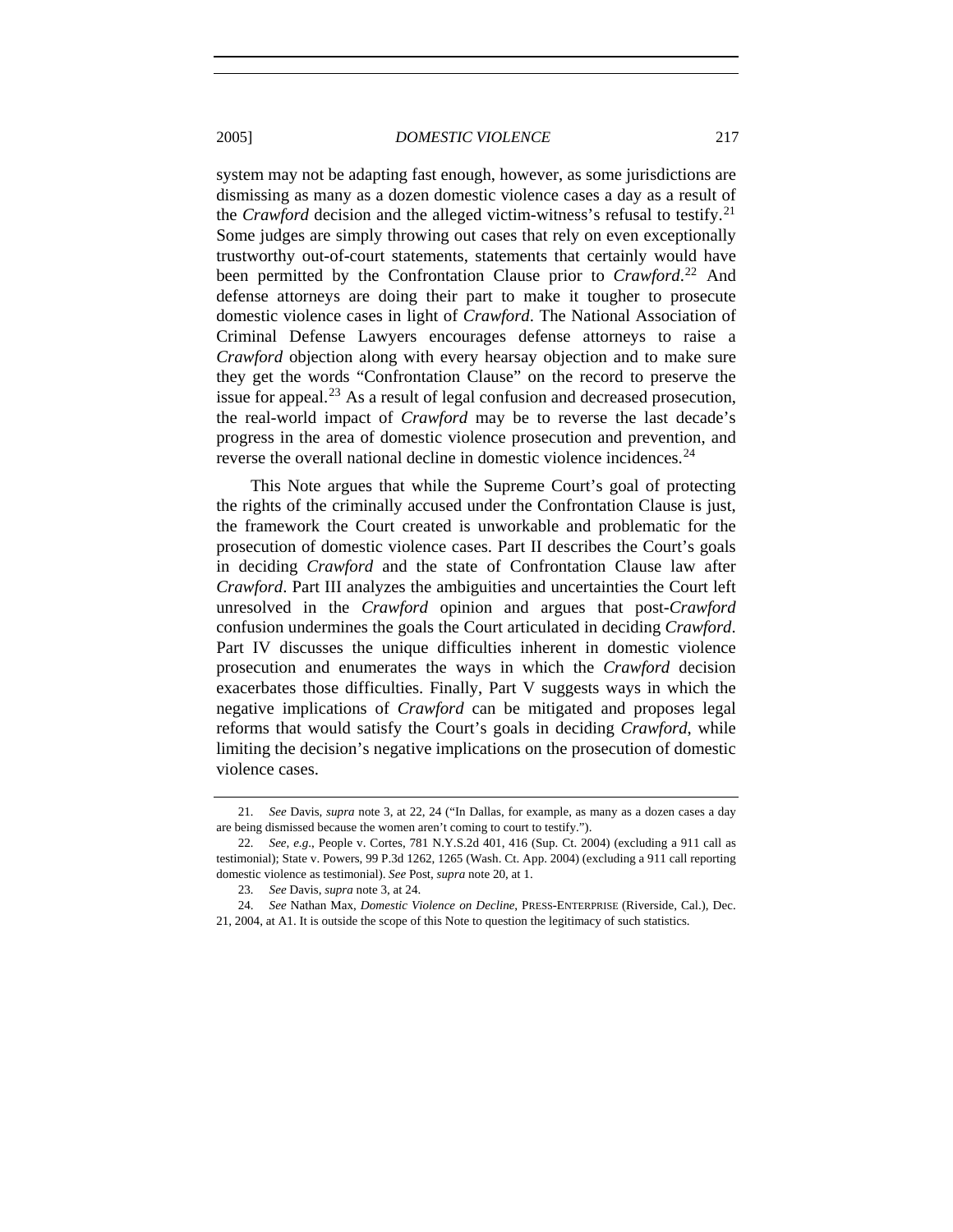system may not be adapting fast enough, however, as some jurisdictions are dismissing as many as a dozen domestic violence cases a day as a result of the *Crawford* decision and the alleged victim-witness's refusal to testify.<sup>[21](#page-4-0)</sup> Some judges are simply throwing out cases that rely on even exceptionally trustworthy out-of-court statements, statements that certainly would have been permitted by the Confrontation Clause prior to *Crawford*. [22](#page-4-1) And defense attorneys are doing their part to make it tougher to prosecute domestic violence cases in light of *Crawford*. The National Association of Criminal Defense Lawyers encourages defense attorneys to raise a *Crawford* objection along with every hearsay objection and to make sure they get the words "Confrontation Clause" on the record to preserve the issue for appeal.<sup>[23](#page-4-2)</sup> As a result of legal confusion and decreased prosecution, the real-world impact of *Crawford* may be to reverse the last decade's progress in the area of domestic violence prosecution and prevention, and reverse the overall national decline in domestic violence incidences.<sup>[24](#page-4-3)</sup>

This Note argues that while the Supreme Court's goal of protecting the rights of the criminally accused under the Confrontation Clause is just, the framework the Court created is unworkable and problematic for the prosecution of domestic violence cases. Part II describes the Court's goals in deciding *Crawford* and the state of Confrontation Clause law after *Crawford*. Part III analyzes the ambiguities and uncertainties the Court left unresolved in the *Crawford* opinion and argues that post-*Crawford* confusion undermines the goals the Court articulated in deciding *Crawford*. Part IV discusses the unique difficulties inherent in domestic violence prosecution and enumerates the ways in which the *Crawford* decision exacerbates those difficulties. Finally, Part V suggests ways in which the negative implications of *Crawford* can be mitigated and proposes legal reforms that would satisfy the Court's goals in deciding *Crawford*, while limiting the decision's negative implications on the prosecution of domestic violence cases.

<span id="page-4-0"></span><sup>21</sup>*. See* Davis, *supra* note 3, at 22, 24 ("In Dallas, for example, as many as a dozen cases a day are being dismissed because the women aren't coming to court to testify.").

<span id="page-4-1"></span><sup>22</sup>*. See, e.g*., People v. Cortes, 781 N.Y.S.2d 401, 416 (Sup. Ct. 2004) (excluding a 911 call as testimonial); State v. Powers, 99 P.3d 1262, 1265 (Wash. Ct. App. 2004) (excluding a 911 call reporting domestic violence as testimonial). *See* Post, *supra* note 20, at 1.

<sup>23</sup>*. See* Davis, *supra* note 3, at 24.

<span id="page-4-3"></span><span id="page-4-2"></span> <sup>24.</sup> *See* Nathan Max, *Domestic Violence on Decline*, PRESS-ENTERPRISE (Riverside, Cal.), Dec. 21, 2004, at A1. It is outside the scope of this Note to question the legitimacy of such statistics.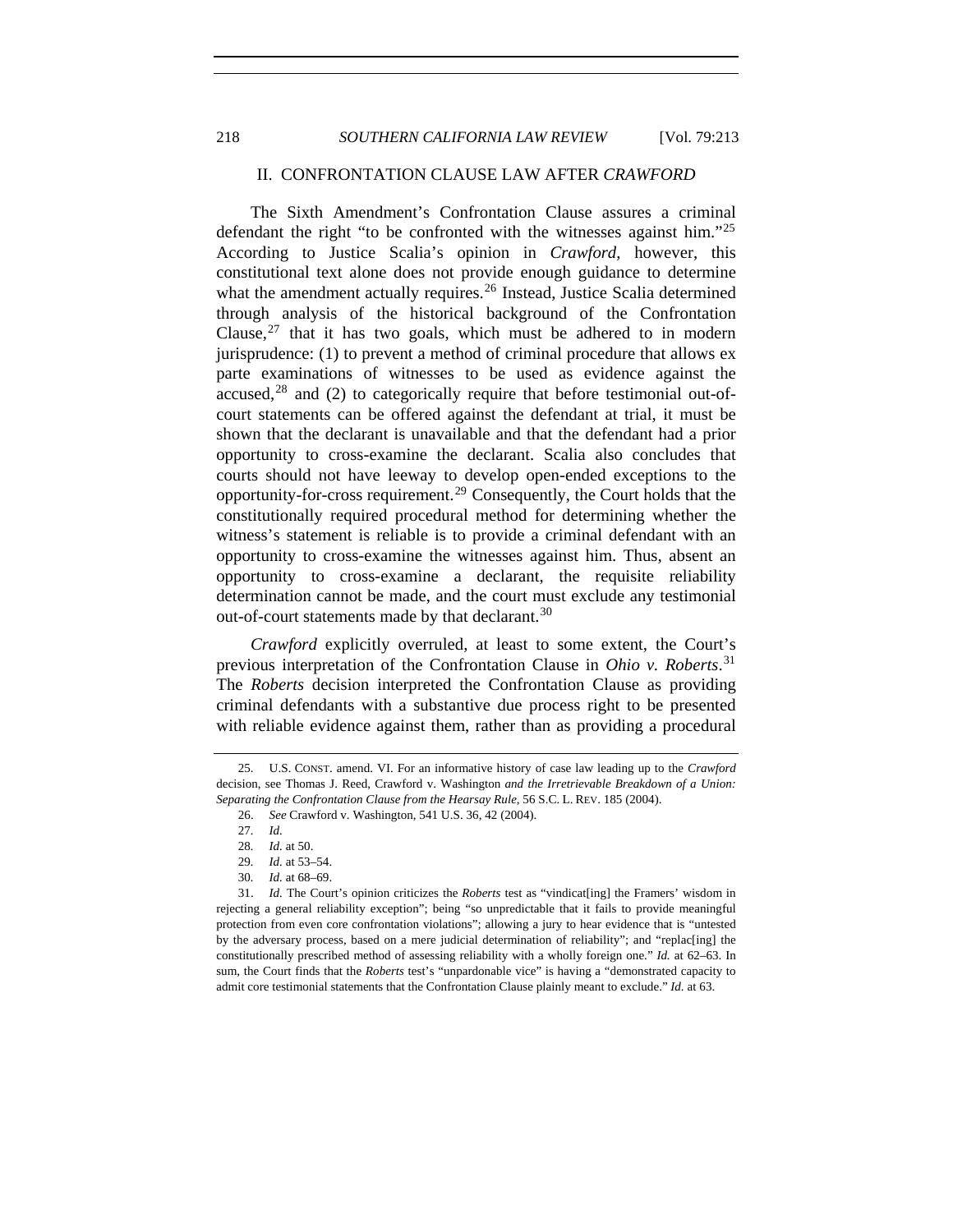# II. CONFRONTATION CLAUSE LAW AFTER *CRAWFORD*

The Sixth Amendment's Confrontation Clause assures a criminal defendant the right "to be confronted with the witnesses against him."[25](#page-5-0) According to Justice Scalia's opinion in *Crawford*, however, this constitutional text alone does not provide enough guidance to determine what the amendment actually requires.<sup>[26](#page-5-1)</sup> Instead, Justice Scalia determined through analysis of the historical background of the Confrontation Clause,<sup>[27](#page-5-2)</sup> that it has two goals, which must be adhered to in modern jurisprudence: (1) to prevent a method of criminal procedure that allows ex parte examinations of witnesses to be used as evidence against the accused, $28$  and (2) to categorically require that before testimonial out-ofcourt statements can be offered against the defendant at trial, it must be shown that the declarant is unavailable and that the defendant had a prior opportunity to cross-examine the declarant. Scalia also concludes that courts should not have leeway to develop open-ended exceptions to the opportunity-for-cross requirement.[29](#page-5-4) Consequently, the Court holds that the constitutionally required procedural method for determining whether the witness's statement is reliable is to provide a criminal defendant with an opportunity to cross-examine the witnesses against him. Thus, absent an opportunity to cross-examine a declarant, the requisite reliability determination cannot be made, and the court must exclude any testimonial out-of-court statements made by that declarant.<sup>[30](#page-5-5)</sup>

*Crawford* explicitly overruled, at least to some extent, the Court's previous interpretation of the Confrontation Clause in *Ohio v. Roberts*. [31](#page-5-6) The *Roberts* decision interpreted the Confrontation Clause as providing criminal defendants with a substantive due process right to be presented with reliable evidence against them, rather than as providing a procedural

<span id="page-5-1"></span><span id="page-5-0"></span> <sup>25.</sup> U.S. CONST. amend. VI. For an informative history of case law leading up to the *Crawford* decision, see Thomas J. Reed, Crawford v. Washington *and the Irretrievable Breakdown of a Union: Separating the Confrontation Clause from the Hearsay Rule*, 56 S.C. L. REV. 185 (2004).

 <sup>26.</sup> *See* Crawford v. Washington, 541 U.S. 36, 42 (2004).

<sup>27</sup>*. Id.*

<sup>28</sup>*. Id.* at 50.

<sup>29</sup>*. Id.* at 53–54.

<sup>30</sup>*. Id.* at 68–69.

<span id="page-5-6"></span><span id="page-5-5"></span><span id="page-5-4"></span><span id="page-5-3"></span><span id="page-5-2"></span> <sup>31.</sup> *Id.* The Court's opinion criticizes the *Roberts* test as "vindicat[ing] the Framers' wisdom in rejecting a general reliability exception"; being "so unpredictable that it fails to provide meaningful protection from even core confrontation violations"; allowing a jury to hear evidence that is "untested by the adversary process, based on a mere judicial determination of reliability"; and "replac[ing] the constitutionally prescribed method of assessing reliability with a wholly foreign one." *Id.* at 62–63. In sum, the Court finds that the *Roberts* test's "unpardonable vice" is having a "demonstrated capacity to admit core testimonial statements that the Confrontation Clause plainly meant to exclude." *Id.* at 63.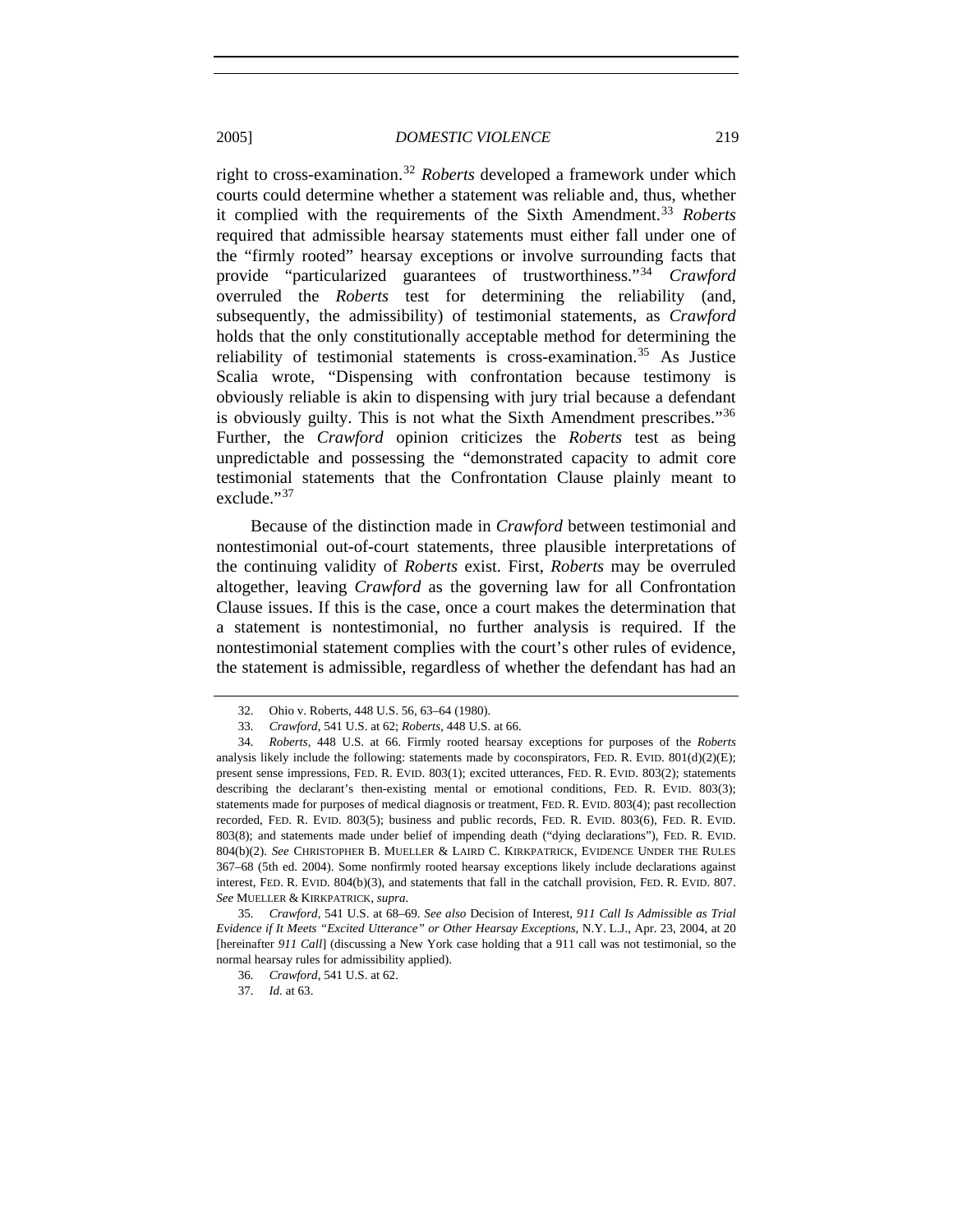right to cross-examination.[32](#page-6-0) *Roberts* developed a framework under which courts could determine whether a statement was reliable and, thus, whether it complied with the requirements of the Sixth Amendment.<sup>[33](#page-6-1)</sup> *Roberts* required that admissible hearsay statements must either fall under one of the "firmly rooted" hearsay exceptions or involve surrounding facts that provide "particularized guarantees of trustworthiness."[34](#page-6-2) *Crawford* overruled the *Roberts* test for determining the reliability (and, subsequently, the admissibility) of testimonial statements, as *Crawford* holds that the only constitutionally acceptable method for determining the reliability of testimonial statements is cross-examination.<sup>[35](#page-6-3)</sup> As Justice Scalia wrote, "Dispensing with confrontation because testimony is obviously reliable is akin to dispensing with jury trial because a defendant is obviously guilty. This is not what the Sixth Amendment prescribes."<sup>[36](#page-6-4)</sup> Further, the *Crawford* opinion criticizes the *Roberts* test as being unpredictable and possessing the "demonstrated capacity to admit core testimonial statements that the Confrontation Clause plainly meant to exclude."<sup>[37](#page-6-5)</sup>

Because of the distinction made in *Crawford* between testimonial and nontestimonial out-of-court statements, three plausible interpretations of the continuing validity of *Roberts* exist. First, *Roberts* may be overruled altogether, leaving *Crawford* as the governing law for all Confrontation Clause issues. If this is the case, once a court makes the determination that a statement is nontestimonial, no further analysis is required. If the nontestimonial statement complies with the court's other rules of evidence, the statement is admissible, regardless of whether the defendant has had an

 <sup>32.</sup> Ohio v. Roberts, 448 U.S. 56, 63–64 (1980).

<sup>33</sup>*. Crawford*, 541 U.S. at 62; *Roberts*, 448 U.S. at 66.

<span id="page-6-2"></span><span id="page-6-1"></span><span id="page-6-0"></span><sup>34</sup>*. Roberts*, 448 U.S. at 66. Firmly rooted hearsay exceptions for purposes of the *Roberts* analysis likely include the following: statements made by coconspirators, FED. R. EVID.  $801(d)(2)(E)$ ; present sense impressions, FED. R. EVID. 803(1); excited utterances, FED. R. EVID. 803(2); statements describing the declarant's then-existing mental or emotional conditions, FED. R. EVID. 803(3); statements made for purposes of medical diagnosis or treatment, FED. R. EVID. 803(4); past recollection recorded, FED. R. EVID. 803(5); business and public records, FED. R. EVID. 803(6), FED. R. EVID. 803(8); and statements made under belief of impending death ("dying declarations"), FED. R. EVID. 804(b)(2). *See* CHRISTOPHER B. MUELLER & LAIRD C. KIRKPATRICK, EVIDENCE UNDER THE RULES 367–68 (5th ed. 2004). Some nonfirmly rooted hearsay exceptions likely include declarations against interest, FED. R. EVID. 804(b)(3), and statements that fall in the catchall provision, FED. R. EVID. 807. *See* MUELLER & KIRKPATRICK, *supra*.

<span id="page-6-5"></span><span id="page-6-4"></span><span id="page-6-3"></span><sup>35</sup>*. Crawford*, 541 U.S. at 68–69. *See also* Decision of Interest, *911 Call Is Admissible as Trial Evidence if It Meets "Excited Utterance" or Other Hearsay Exceptions*, N.Y. L.J., Apr. 23, 2004, at 20 [hereinafter *911 Call*] (discussing a New York case holding that a 911 call was not testimonial, so the normal hearsay rules for admissibility applied).

<sup>36</sup>*. Crawford*, 541 U.S. at 62.

<sup>37</sup>*. Id.* at 63.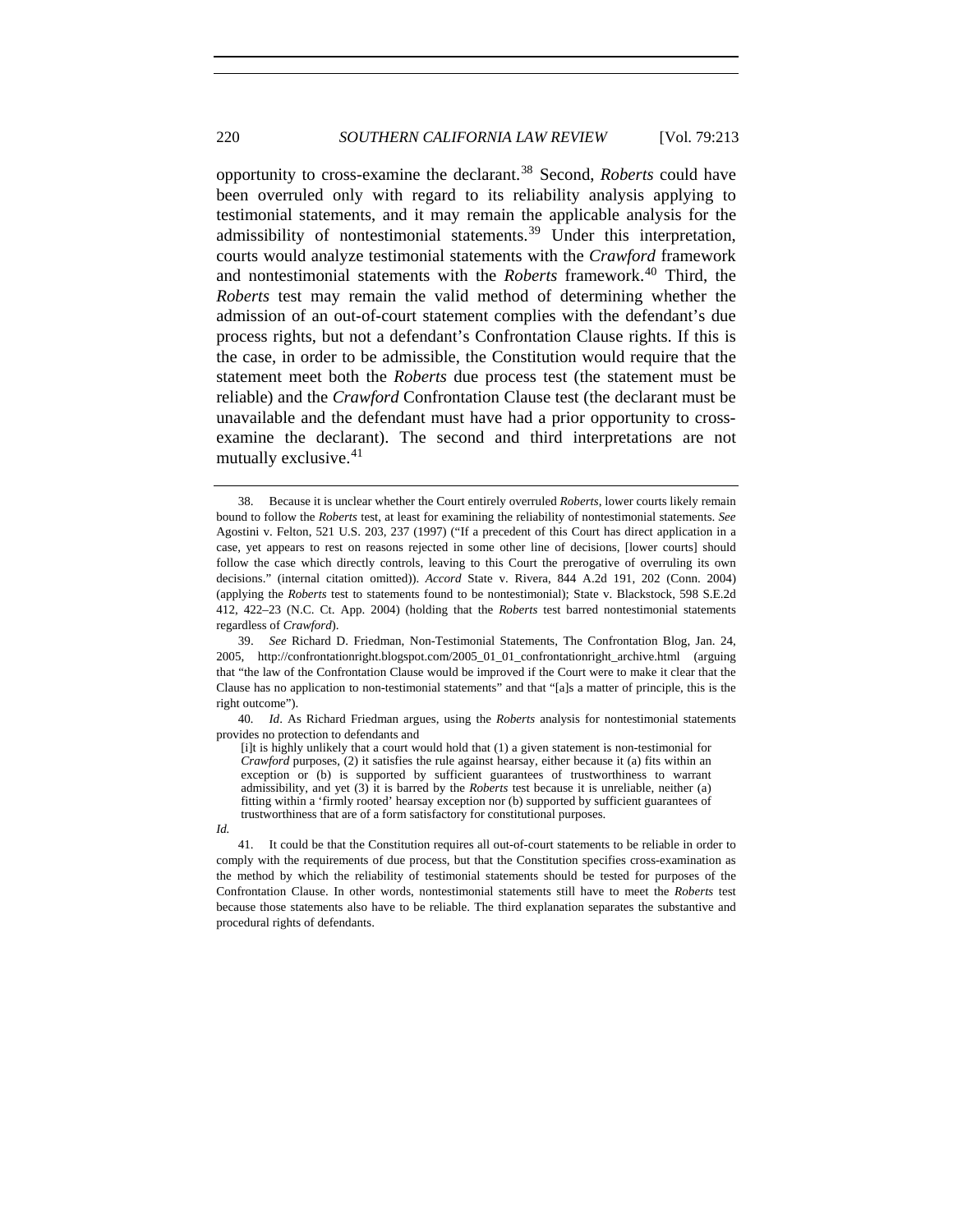opportunity to cross-examine the declarant.<sup>[38](#page-7-0)</sup> Second, *Roberts* could have been overruled only with regard to its reliability analysis applying to testimonial statements, and it may remain the applicable analysis for the admissibility of nontestimonial statements.<sup>[39](#page-7-1)</sup> Under this interpretation, courts would analyze testimonial statements with the *Crawford* framework and nontestimonial statements with the *Roberts* framework.[40](#page-7-2) Third, the *Roberts* test may remain the valid method of determining whether the admission of an out-of-court statement complies with the defendant's due process rights, but not a defendant's Confrontation Clause rights. If this is the case, in order to be admissible, the Constitution would require that the statement meet both the *Roberts* due process test (the statement must be reliable) and the *Crawford* Confrontation Clause test (the declarant must be unavailable and the defendant must have had a prior opportunity to crossexamine the declarant). The second and third interpretations are not mutually exclusive.<sup>[41](#page-7-3)</sup>

<span id="page-7-0"></span> <sup>38.</sup> Because it is unclear whether the Court entirely overruled *Roberts*, lower courts likely remain bound to follow the *Roberts* test, at least for examining the reliability of nontestimonial statements. *See* Agostini v. Felton, 521 U.S. 203, 237 (1997) ("If a precedent of this Court has direct application in a case, yet appears to rest on reasons rejected in some other line of decisions, [lower courts] should follow the case which directly controls, leaving to this Court the prerogative of overruling its own decisions." (internal citation omitted)). *Accord* State v. Rivera, 844 A.2d 191, 202 (Conn. 2004) (applying the *Roberts* test to statements found to be nontestimonial); State v. Blackstock, 598 S.E.2d 412, 422–23 (N.C. Ct. App. 2004) (holding that the *Roberts* test barred nontestimonial statements regardless of *Crawford*).

<span id="page-7-1"></span> <sup>39.</sup> *See* Richard D. Friedman, Non-Testimonial Statements, The Confrontation Blog, Jan. 24, 2005, http://confrontationright.blogspot.com/2005\_01\_01\_confrontationright\_archive.html (arguing that "the law of the Confrontation Clause would be improved if the Court were to make it clear that the Clause has no application to non-testimonial statements" and that "[a]s a matter of principle, this is the right outcome").

<span id="page-7-2"></span><sup>40</sup>*. Id*. As Richard Friedman argues, using the *Roberts* analysis for nontestimonial statements provides no protection to defendants and

<sup>[</sup>i]t is highly unlikely that a court would hold that (1) a given statement is non-testimonial for *Crawford* purposes, (2) it satisfies the rule against hearsay, either because it (a) fits within an exception or (b) is supported by sufficient guarantees of trustworthiness to warrant admissibility, and yet (3) it is barred by the *Roberts* test because it is unreliable, neither (a) fitting within a 'firmly rooted' hearsay exception nor (b) supported by sufficient guarantees of trustworthiness that are of a form satisfactory for constitutional purposes.

*Id.* 

<span id="page-7-3"></span> <sup>41.</sup> It could be that the Constitution requires all out-of-court statements to be reliable in order to comply with the requirements of due process, but that the Constitution specifies cross-examination as the method by which the reliability of testimonial statements should be tested for purposes of the Confrontation Clause. In other words, nontestimonial statements still have to meet the *Roberts* test because those statements also have to be reliable. The third explanation separates the substantive and procedural rights of defendants.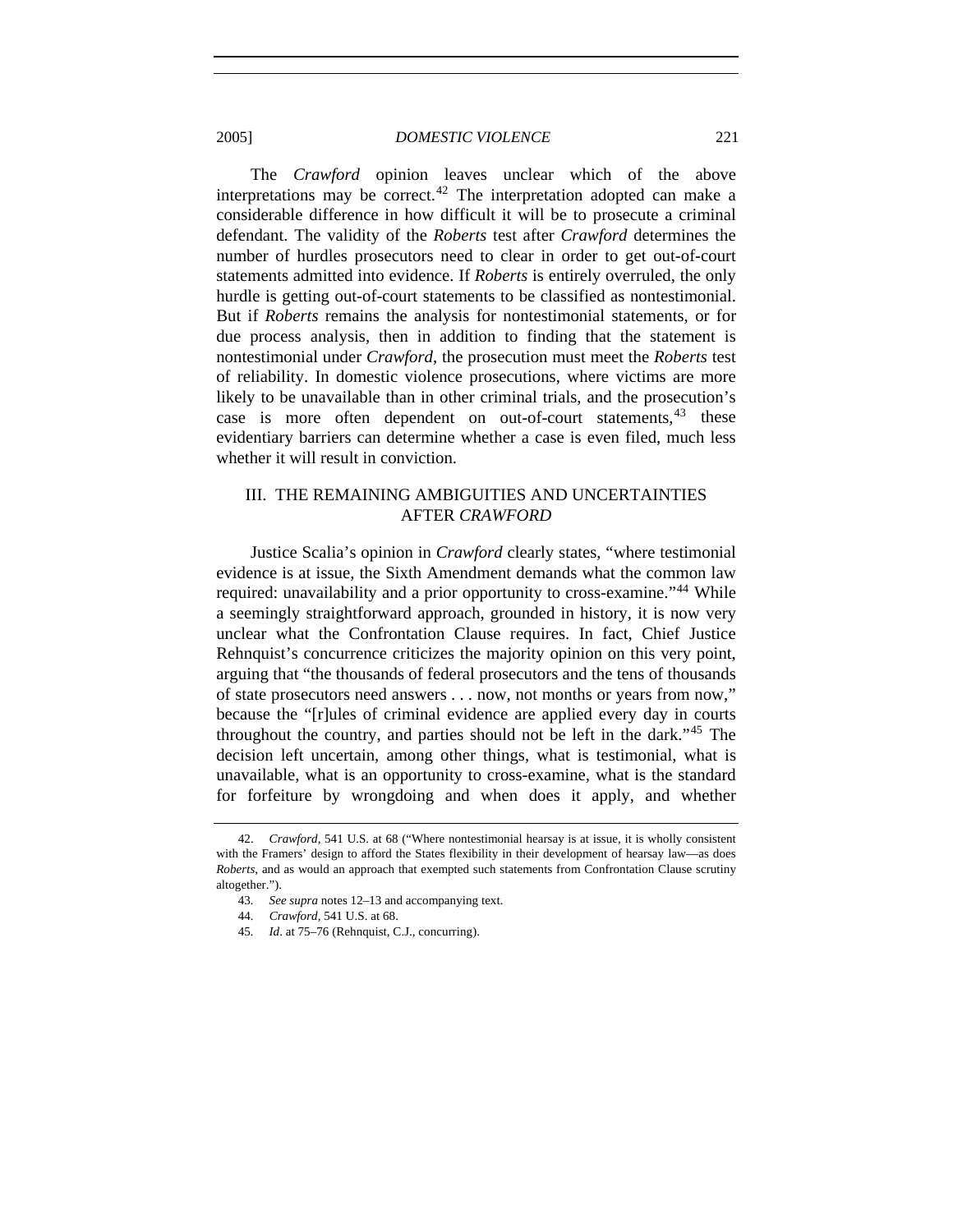The *Crawford* opinion leaves unclear which of the above interpretations may be correct.<sup>[42](#page-8-0)</sup> The interpretation adopted can make a considerable difference in how difficult it will be to prosecute a criminal defendant. The validity of the *Roberts* test after *Crawford* determines the number of hurdles prosecutors need to clear in order to get out-of-court statements admitted into evidence. If *Roberts* is entirely overruled, the only hurdle is getting out-of-court statements to be classified as nontestimonial. But if *Roberts* remains the analysis for nontestimonial statements, or for due process analysis, then in addition to finding that the statement is nontestimonial under *Crawford*, the prosecution must meet the *Roberts* test of reliability. In domestic violence prosecutions, where victims are more likely to be unavailable than in other criminal trials, and the prosecution's case is more often dependent on out-of-court statements,  $43$  these evidentiary barriers can determine whether a case is even filed, much less whether it will result in conviction.

# III. THE REMAINING AMBIGUITIES AND UNCERTAINTIES AFTER *CRAWFORD*

Justice Scalia's opinion in *Crawford* clearly states, "where testimonial evidence is at issue, the Sixth Amendment demands what the common law required: unavailability and a prior opportunity to cross-examine."<sup>[44](#page-8-2)</sup> While a seemingly straightforward approach, grounded in history, it is now very unclear what the Confrontation Clause requires. In fact, Chief Justice Rehnquist's concurrence criticizes the majority opinion on this very point, arguing that "the thousands of federal prosecutors and the tens of thousands of state prosecutors need answers . . . now, not months or years from now," because the "[r]ules of criminal evidence are applied every day in courts throughout the country, and parties should not be left in the dark."[45](#page-8-3) The decision left uncertain, among other things, what is testimonial, what is unavailable, what is an opportunity to cross-examine, what is the standard for forfeiture by wrongdoing and when does it apply, and whether

<span id="page-8-3"></span><span id="page-8-2"></span><span id="page-8-1"></span><span id="page-8-0"></span> <sup>42.</sup> *Crawford*, 541 U.S. at 68 ("Where nontestimonial hearsay is at issue, it is wholly consistent with the Framers' design to afford the States flexibility in their development of hearsay law—as does *Roberts*, and as would an approach that exempted such statements from Confrontation Clause scrutiny altogether.").

<sup>43</sup>*. See supra* notes 12–13 and accompanying text.

<sup>44</sup>*. Crawford*, 541 U.S. at 68.

<sup>45</sup>*. Id*. at 75–76 (Rehnquist, C.J., concurring).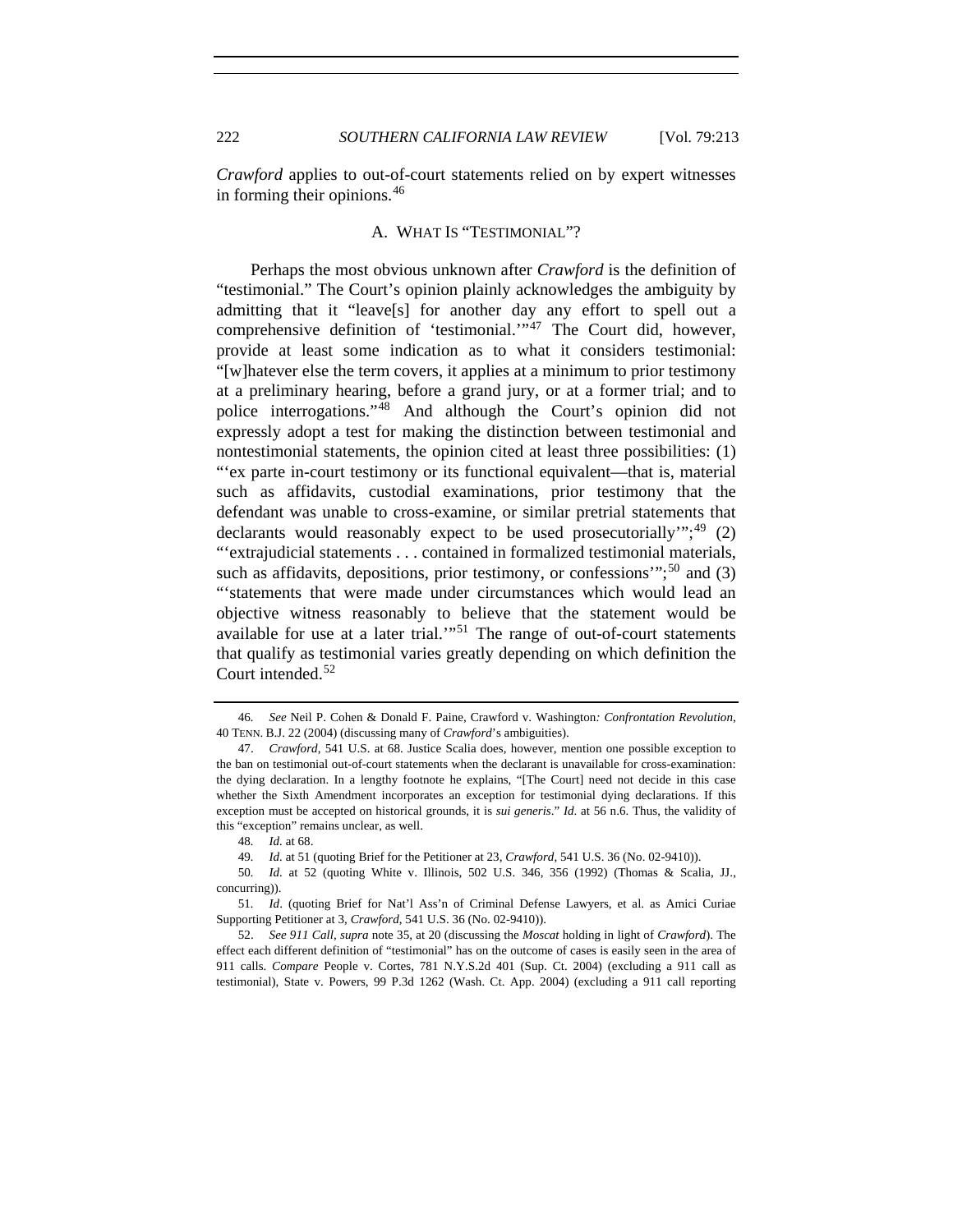*Crawford* applies to out-of-court statements relied on by expert witnesses in forming their opinions.[46](#page-9-0)

# A. WHAT IS "TESTIMONIAL"?

Perhaps the most obvious unknown after *Crawford* is the definition of "testimonial." The Court's opinion plainly acknowledges the ambiguity by admitting that it "leave[s] for another day any effort to spell out a comprehensive definition of 'testimonial.'"<sup>[47](#page-9-1)</sup> The Court did, however, provide at least some indication as to what it considers testimonial: "[w]hatever else the term covers, it applies at a minimum to prior testimony at a preliminary hearing, before a grand jury, or at a former trial; and to police interrogations."[48](#page-9-2) And although the Court's opinion did not expressly adopt a test for making the distinction between testimonial and nontestimonial statements, the opinion cited at least three possibilities: (1) "'ex parte in-court testimony or its functional equivalent—that is, material such as affidavits, custodial examinations, prior testimony that the defendant was unable to cross-examine, or similar pretrial statements that declarants would reasonably expect to be used prosecutorially"; $^{49}$  $^{49}$  $^{49}$  (2) "'extrajudicial statements . . . contained in formalized testimonial materials, such as affidavits, depositions, prior testimony, or confessions"; $^{50}$  $^{50}$  $^{50}$  and (3) "'statements that were made under circumstances which would lead an objective witness reasonably to believe that the statement would be available for use at a later trial.'"[51](#page-9-5) The range of out-of-court statements that qualify as testimonial varies greatly depending on which definition the Court intended.<sup>[52](#page-9-6)</sup>

49*. Id.* at 51 (quoting Brief for the Petitioner at 23, *Crawford*, 541 U.S. 36 (No. 02-9410)).

<span id="page-9-5"></span>51*. Id*. (quoting Brief for Nat'l Ass'n of Criminal Defense Lawyers, et al. as Amici Curiae Supporting Petitioner at 3, *Crawford*, 541 U.S. 36 (No. 02-9410)).

<span id="page-9-6"></span> 52. *See 911 Call*, *supra* note 35, at 20 (discussing the *Moscat* holding in light of *Crawford*). The effect each different definition of "testimonial" has on the outcome of cases is easily seen in the area of 911 calls. *Compare* People v. Cortes, 781 N.Y.S.2d 401 (Sup. Ct. 2004) (excluding a 911 call as testimonial), State v. Powers, 99 P.3d 1262 (Wash. Ct. App. 2004) (excluding a 911 call reporting

<span id="page-9-0"></span><sup>46</sup>*. See* Neil P. Cohen & Donald F. Paine, Crawford v. Washington*: Confrontation Revolution*, 40 TENN. B.J. 22 (2004) (discussing many of *Crawford*'s ambiguities).

<span id="page-9-1"></span> <sup>47.</sup> *Crawford*, 541 U.S. at 68. Justice Scalia does, however, mention one possible exception to the ban on testimonial out-of-court statements when the declarant is unavailable for cross-examination: the dying declaration. In a lengthy footnote he explains, "[The Court] need not decide in this case whether the Sixth Amendment incorporates an exception for testimonial dying declarations. If this exception must be accepted on historical grounds, it is *sui generis*." *Id*. at 56 n.6. Thus, the validity of this "exception" remains unclear, as well.

<sup>48</sup>*. Id.* at 68.

<span id="page-9-4"></span><span id="page-9-3"></span><span id="page-9-2"></span><sup>50</sup>*. Id.* at 52 (quoting White v. Illinois, 502 U.S. 346, 356 (1992) (Thomas & Scalia, JJ., concurring)).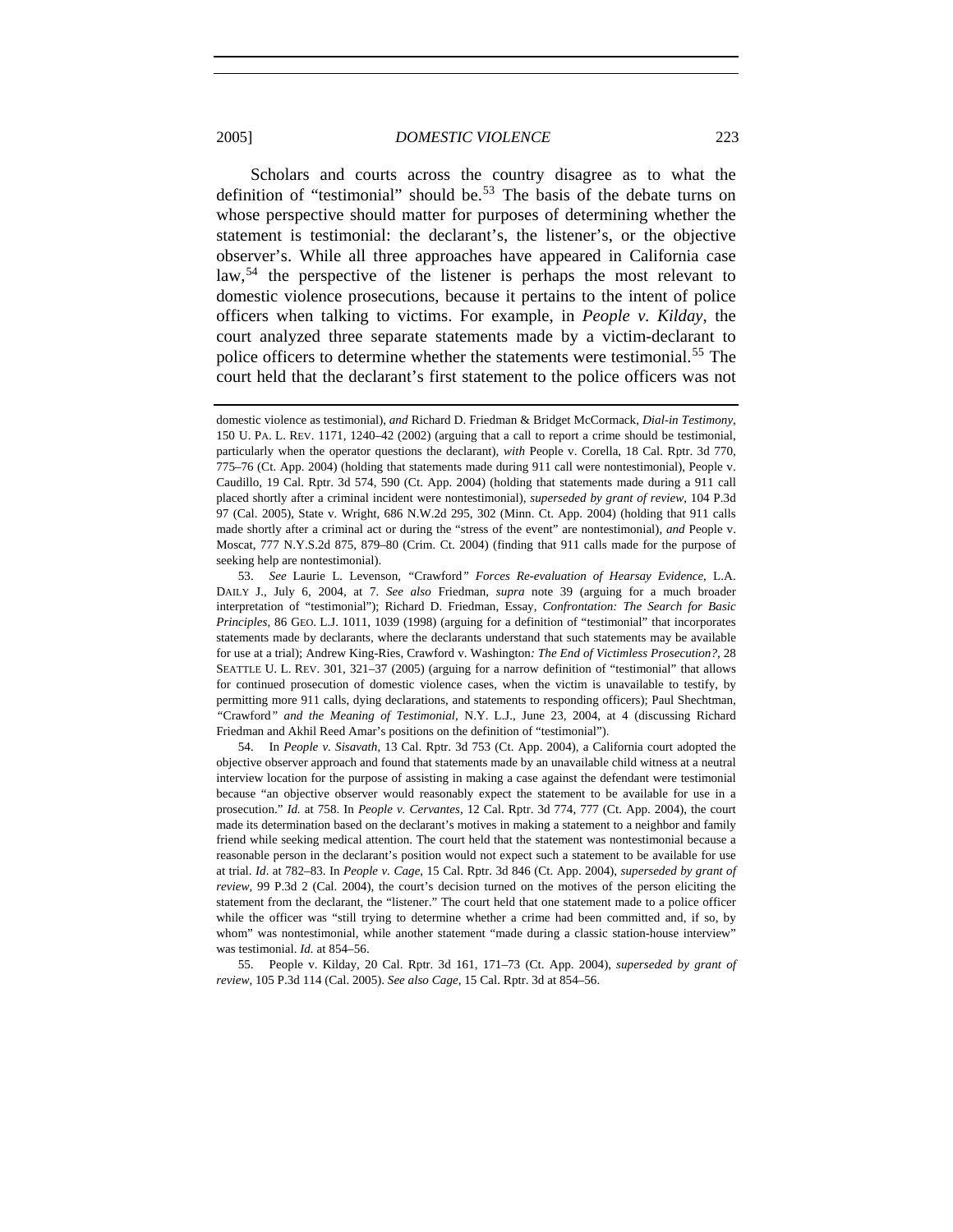Scholars and courts across the country disagree as to what the definition of "testimonial" should be.<sup>[53](#page-10-0)</sup> The basis of the debate turns on whose perspective should matter for purposes of determining whether the statement is testimonial: the declarant's, the listener's, or the objective observer's. While all three approaches have appeared in California case law,<sup>[54](#page-10-1)</sup> the perspective of the listener is perhaps the most relevant to domestic violence prosecutions, because it pertains to the intent of police officers when talking to victims. For example, in *People v. Kilday*, the court analyzed three separate statements made by a victim-declarant to police officers to determine whether the statements were testimonial.<sup>[55](#page-10-2)</sup> The court held that the declarant's first statement to the police officers was not

<span id="page-10-1"></span> 54. In *People v. Sisavath*, 13 Cal. Rptr. 3d 753 (Ct. App. 2004), a California court adopted the objective observer approach and found that statements made by an unavailable child witness at a neutral interview location for the purpose of assisting in making a case against the defendant were testimonial because "an objective observer would reasonably expect the statement to be available for use in a prosecution." *Id.* at 758. In *People v. Cervantes*, 12 Cal. Rptr. 3d 774, 777 (Ct. App. 2004), the court made its determination based on the declarant's motives in making a statement to a neighbor and family friend while seeking medical attention. The court held that the statement was nontestimonial because a reasonable person in the declarant's position would not expect such a statement to be available for use at trial. *Id*. at 782–83. In *People v. Cage*, 15 Cal. Rptr. 3d 846 (Ct. App. 2004), *superseded by grant of review*, 99 P.3d 2 (Cal. 2004), the court's decision turned on the motives of the person eliciting the statement from the declarant, the "listener." The court held that one statement made to a police officer while the officer was "still trying to determine whether a crime had been committed and, if so, by whom" was nontestimonial, while another statement "made during a classic station-house interview" was testimonial. *Id.* at 854–56.

<span id="page-10-2"></span> 55. People v. Kilday, 20 Cal. Rptr. 3d 161, 171–73 (Ct. App. 2004), *superseded by grant of review*, 105 P.3d 114 (Cal. 2005). *See also Cage*, 15 Cal. Rptr. 3d at 854–56.

domestic violence as testimonial), *and* Richard D. Friedman & Bridget McCormack, *Dial-in Testimony*, 150 U. PA. L. REV. 1171, 1240–42 (2002) (arguing that a call to report a crime should be testimonial, particularly when the operator questions the declarant), *with* People v. Corella, 18 Cal. Rptr. 3d 770, 775–76 (Ct. App. 2004) (holding that statements made during 911 call were nontestimonial), People v. Caudillo, 19 Cal. Rptr. 3d 574, 590 (Ct. App. 2004) (holding that statements made during a 911 call placed shortly after a criminal incident were nontestimonial), *superseded by grant of review*, 104 P.3d 97 (Cal. 2005), State v. Wright, 686 N.W.2d 295, 302 (Minn. Ct. App. 2004) (holding that 911 calls made shortly after a criminal act or during the "stress of the event" are nontestimonial), *and* People v. Moscat, 777 N.Y.S.2d 875, 879–80 (Crim. Ct. 2004) (finding that 911 calls made for the purpose of seeking help are nontestimonial).

<span id="page-10-0"></span> <sup>53.</sup> *See* Laurie L. Levenson, *"*Crawford*" Forces Re-evaluation of Hearsay Evidence*, L.A. DAILY J., July 6, 2004, at 7. *See also* Friedman, *supra* note 39 (arguing for a much broader interpretation of "testimonial"); Richard D. Friedman, Essay, *Confrontation: The Search for Basic Principles*, 86 GEO. L.J. 1011, 1039 (1998) (arguing for a definition of "testimonial" that incorporates statements made by declarants, where the declarants understand that such statements may be available for use at a trial); Andrew King-Ries, Crawford v. Washington*: The End of Victimless Prosecution?*, 28 SEATTLE U. L. REV. 301, 321–37 (2005) (arguing for a narrow definition of "testimonial" that allows for continued prosecution of domestic violence cases, when the victim is unavailable to testify, by permitting more 911 calls, dying declarations, and statements to responding officers); Paul Shechtman, *"*Crawford*" and the Meaning of Testimonial*, N.Y. L.J., June 23, 2004, at 4 (discussing Richard Friedman and Akhil Reed Amar's positions on the definition of "testimonial").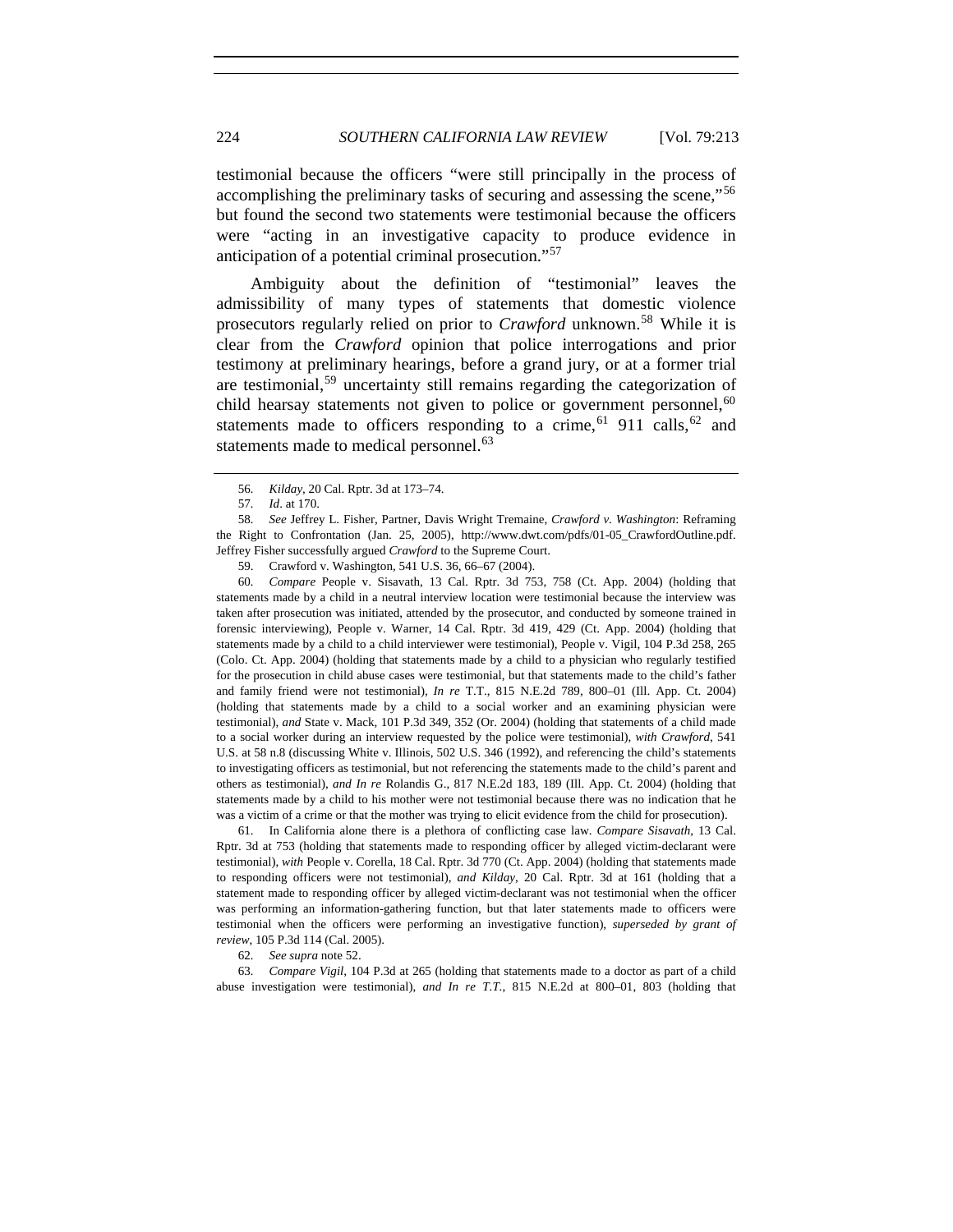testimonial because the officers "were still principally in the process of accomplishing the preliminary tasks of securing and assessing the scene,"<sup>[56](#page-11-0)</sup> but found the second two statements were testimonial because the officers were "acting in an investigative capacity to produce evidence in anticipation of a potential criminal prosecution."[57](#page-11-1)

Ambiguity about the definition of "testimonial" leaves the admissibility of many types of statements that domestic violence prosecutors regularly relied on prior to *Crawford* unknown.<sup>[58](#page-11-2)</sup> While it is clear from the *Crawford* opinion that police interrogations and prior testimony at preliminary hearings, before a grand jury, or at a former trial are testimonial,[59](#page-11-3) uncertainty still remains regarding the categorization of child hearsay statements not given to police or government personnel,  $60$ statements made to officers responding to a crime,<sup>[61](#page-11-5)</sup> 911 calls,<sup>[62](#page-11-6)</sup> and statements made to medical personnel.<sup>[63](#page-11-7)</sup>

<span id="page-11-4"></span><span id="page-11-3"></span>60*. Compare* People v. Sisavath, 13 Cal. Rptr. 3d 753, 758 (Ct. App. 2004) (holding that statements made by a child in a neutral interview location were testimonial because the interview was taken after prosecution was initiated, attended by the prosecutor, and conducted by someone trained in forensic interviewing), People v. Warner, 14 Cal. Rptr. 3d 419, 429 (Ct. App. 2004) (holding that statements made by a child to a child interviewer were testimonial), People v. Vigil, 104 P.3d 258, 265 (Colo. Ct. App. 2004) (holding that statements made by a child to a physician who regularly testified for the prosecution in child abuse cases were testimonial, but that statements made to the child's father and family friend were not testimonial), *In re* T.T., 815 N.E.2d 789, 800–01 (Ill. App. Ct. 2004) (holding that statements made by a child to a social worker and an examining physician were testimonial), *and* State v. Mack, 101 P.3d 349, 352 (Or. 2004) (holding that statements of a child made to a social worker during an interview requested by the police were testimonial), *with Crawford*, 541 U.S. at 58 n.8 (discussing White v. Illinois, 502 U.S. 346 (1992), and referencing the child's statements to investigating officers as testimonial, but not referencing the statements made to the child's parent and others as testimonial), *and In re* Rolandis G., 817 N.E.2d 183, 189 (Ill. App. Ct. 2004) (holding that statements made by a child to his mother were not testimonial because there was no indication that he was a victim of a crime or that the mother was trying to elicit evidence from the child for prosecution).

<span id="page-11-5"></span> 61. In California alone there is a plethora of conflicting case law. *Compare Sisavath*, 13 Cal. Rptr. 3d at 753 (holding that statements made to responding officer by alleged victim-declarant were testimonial), *with* People v. Corella, 18 Cal. Rptr. 3d 770 (Ct. App. 2004) (holding that statements made to responding officers were not testimonial), *and Kilday*, 20 Cal. Rptr. 3d at 161 (holding that a statement made to responding officer by alleged victim-declarant was not testimonial when the officer was performing an information-gathering function, but that later statements made to officers were testimonial when the officers were performing an investigative function), *superseded by grant of review*, 105 P.3d 114 (Cal. 2005).

62*. See supra* note 52.

<span id="page-11-7"></span><span id="page-11-6"></span>63*. Compare Vigil*, 104 P.3d at 265 (holding that statements made to a doctor as part of a child abuse investigation were testimonial), *and In re T.T.*, 815 N.E.2d at 800–01, 803 (holding that

<sup>56</sup>*. Kilday*, 20 Cal. Rptr. 3d at 173–74.

<sup>57</sup>*. Id*. at 170.

<span id="page-11-2"></span><span id="page-11-1"></span><span id="page-11-0"></span><sup>58</sup>*. See* Jeffrey L. Fisher, Partner, Davis Wright Tremaine, *Crawford v. Washington*: Reframing the Right to Confrontation (Jan. 25, 2005), http://www.dwt.com/pdfs/01-05\_CrawfordOutline.pdf. Jeffrey Fisher successfully argued *Crawford* to the Supreme Court.

 <sup>59.</sup> Crawford v. Washington, 541 U.S. 36, 66–67 (2004).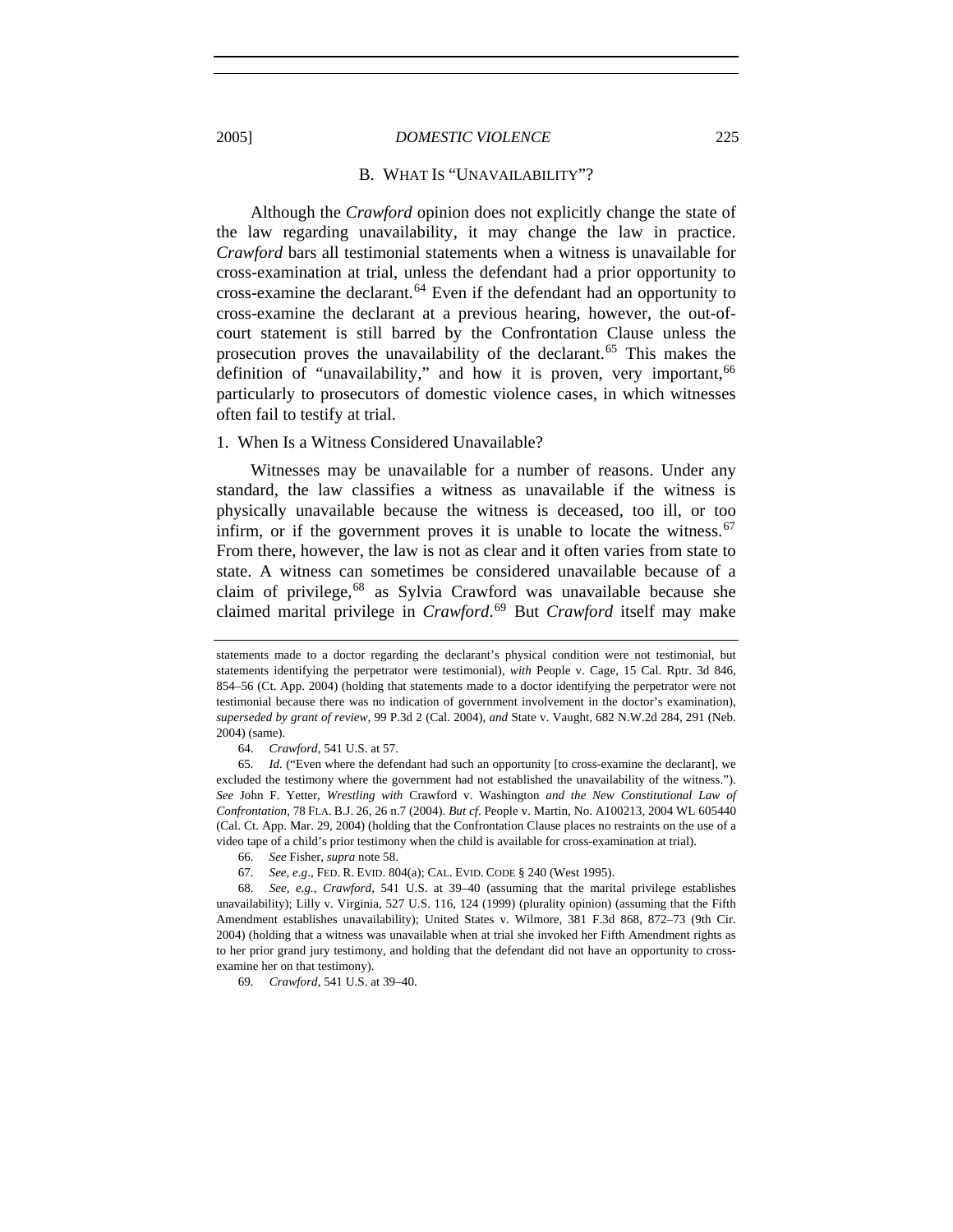#### B. WHAT IS "UNAVAILABILITY"?

Although the *Crawford* opinion does not explicitly change the state of the law regarding unavailability, it may change the law in practice. *Crawford* bars all testimonial statements when a witness is unavailable for cross-examination at trial, unless the defendant had a prior opportunity to cross-examine the declarant.<sup>[64](#page-12-0)</sup> Even if the defendant had an opportunity to cross-examine the declarant at a previous hearing, however, the out-ofcourt statement is still barred by the Confrontation Clause unless the prosecution proves the unavailability of the declarant.<sup>[65](#page-12-1)</sup> This makes the definition of "unavailability," and how it is proven, very important, <sup>[66](#page-12-2)</sup> particularly to prosecutors of domestic violence cases, in which witnesses often fail to testify at trial.

#### 1. When Is a Witness Considered Unavailable?

Witnesses may be unavailable for a number of reasons. Under any standard, the law classifies a witness as unavailable if the witness is physically unavailable because the witness is deceased, too ill, or too infirm, or if the government proves it is unable to locate the witness.  $67$ From there, however, the law is not as clear and it often varies from state to state. A witness can sometimes be considered unavailable because of a claim of privilege,<sup>[68](#page-12-4)</sup> as Sylvia Crawford was unavailable because she claimed marital privilege in *Crawford*. [69](#page-12-5) But *Crawford* itself may make

64. *Crawford*, 541 U.S. at 57.

66*. See* Fisher, *supra* note 58.

69*. Crawford*, 541 U.S. at 39–40.

statements made to a doctor regarding the declarant's physical condition were not testimonial, but statements identifying the perpetrator were testimonial), *with* People v. Cage, 15 Cal. Rptr. 3d 846, 854–56 (Ct. App. 2004) (holding that statements made to a doctor identifying the perpetrator were not testimonial because there was no indication of government involvement in the doctor's examination), *superseded by grant of review*, 99 P.3d 2 (Cal. 2004), *and* State v. Vaught, 682 N.W.2d 284, 291 (Neb. 2004) (same).

<span id="page-12-1"></span><span id="page-12-0"></span><sup>65</sup>*. Id.* ("Even where the defendant had such an opportunity [to cross-examine the declarant], we excluded the testimony where the government had not established the unavailability of the witness."). *See* John F. Yetter, *Wrestling with* Crawford v. Washington *and the New Constitutional Law of Confrontation*, 78 FLA. B.J. 26, 26 n.7 (2004). *But cf*. People v. Martin, No. A100213, 2004 WL 605440 (Cal. Ct. App. Mar. 29, 2004) (holding that the Confrontation Clause places no restraints on the use of a video tape of a child's prior testimony when the child is available for cross-examination at trial).

<sup>67</sup>*. See, e.g*., FED. R. EVID. 804(a); CAL. EVID. CODE § 240 (West 1995).

<span id="page-12-5"></span><span id="page-12-4"></span><span id="page-12-3"></span><span id="page-12-2"></span><sup>68</sup>*. See, e.g.*, *Crawford*, 541 U.S. at 39–40 (assuming that the marital privilege establishes unavailability); Lilly v. Virginia, 527 U.S. 116, 124 (1999) (plurality opinion) (assuming that the Fifth Amendment establishes unavailability); United States v. Wilmore, 381 F.3d 868, 872–73 (9th Cir. 2004) (holding that a witness was unavailable when at trial she invoked her Fifth Amendment rights as to her prior grand jury testimony, and holding that the defendant did not have an opportunity to crossexamine her on that testimony).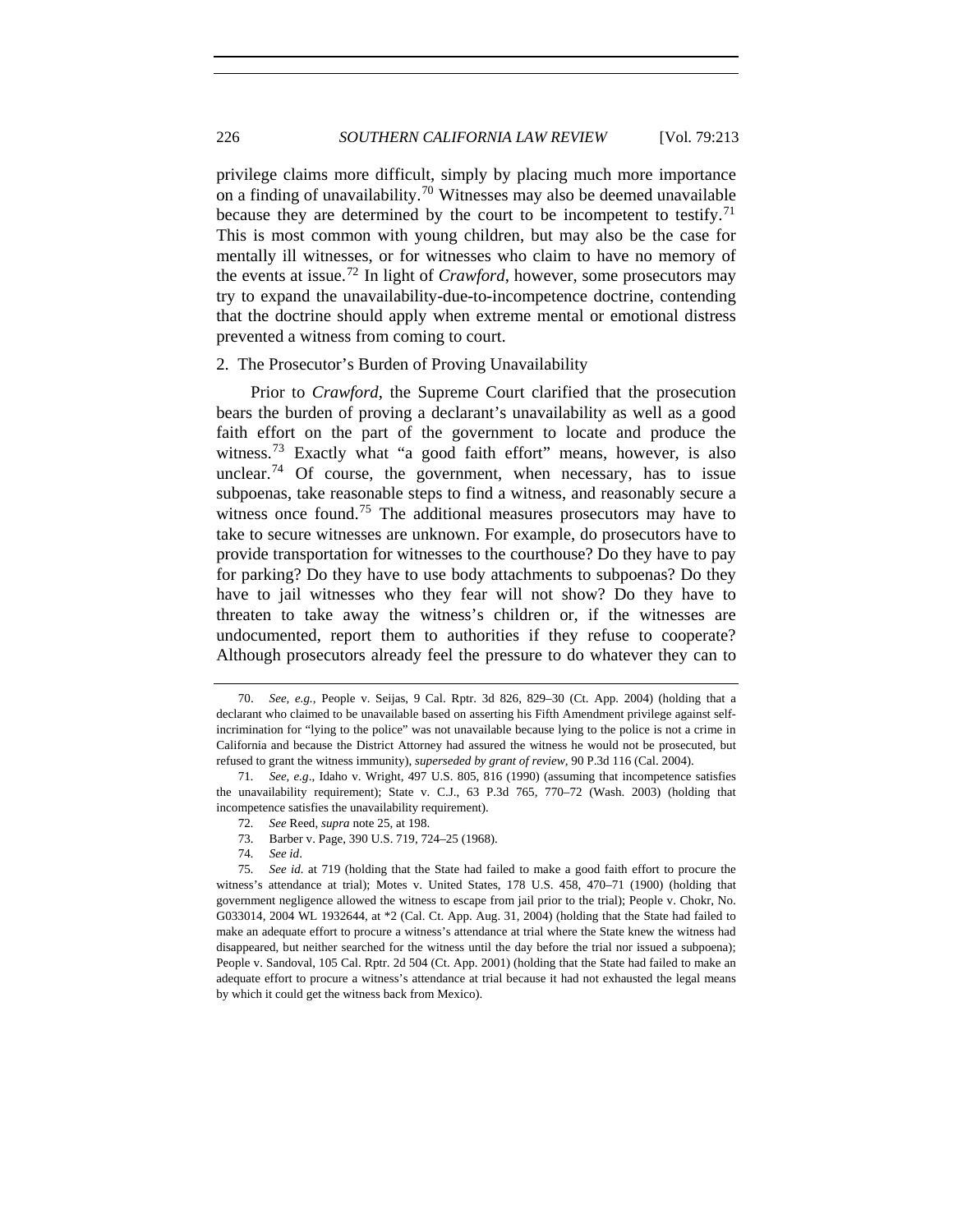privilege claims more difficult, simply by placing much more importance on a finding of unavailability.<sup>[70](#page-13-0)</sup> Witnesses may also be deemed unavailable because they are determined by the court to be incompetent to testify.<sup>[71](#page-13-1)</sup> This is most common with young children, but may also be the case for mentally ill witnesses, or for witnesses who claim to have no memory of the events at issue.[72](#page-13-2) In light of *Crawford*, however, some prosecutors may try to expand the unavailability-due-to-incompetence doctrine, contending that the doctrine should apply when extreme mental or emotional distress prevented a witness from coming to court.

#### 2. The Prosecutor's Burden of Proving Unavailability

Prior to *Crawford*, the Supreme Court clarified that the prosecution bears the burden of proving a declarant's unavailability as well as a good faith effort on the part of the government to locate and produce the witness.<sup>[73](#page-13-3)</sup> Exactly what "a good faith effort" means, however, is also unclear.<sup>[74](#page-13-4)</sup> Of course, the government, when necessary, has to issue subpoenas, take reasonable steps to find a witness, and reasonably secure a witness once found.<sup>[75](#page-13-5)</sup> The additional measures prosecutors may have to take to secure witnesses are unknown. For example, do prosecutors have to provide transportation for witnesses to the courthouse? Do they have to pay for parking? Do they have to use body attachments to subpoenas? Do they have to jail witnesses who they fear will not show? Do they have to threaten to take away the witness's children or, if the witnesses are undocumented, report them to authorities if they refuse to cooperate? Although prosecutors already feel the pressure to do whatever they can to

<span id="page-13-0"></span> <sup>70.</sup> *See, e.g.*, People v. Seijas, 9 Cal. Rptr. 3d 826, 829–30 (Ct. App. 2004) (holding that a declarant who claimed to be unavailable based on asserting his Fifth Amendment privilege against selfincrimination for "lying to the police" was not unavailable because lying to the police is not a crime in California and because the District Attorney had assured the witness he would not be prosecuted, but refused to grant the witness immunity), *superseded by grant of review*, 90 P.3d 116 (Cal. 2004).

<span id="page-13-1"></span><sup>71</sup>*. See, e.g*., Idaho v. Wright, 497 U.S. 805, 816 (1990) (assuming that incompetence satisfies the unavailability requirement); State v. C.J., 63 P.3d 765, 770–72 (Wash. 2003) (holding that incompetence satisfies the unavailability requirement).

<sup>72</sup>*. See* Reed, *supra* note 25, at 198.

 <sup>73.</sup> Barber v. Page, 390 U.S. 719, 724–25 (1968).

<sup>74</sup>*. See id*.

<span id="page-13-5"></span><span id="page-13-4"></span><span id="page-13-3"></span><span id="page-13-2"></span><sup>75</sup>*. See id.* at 719 (holding that the State had failed to make a good faith effort to procure the witness's attendance at trial); Motes v. United States, 178 U.S. 458, 470–71 (1900) (holding that government negligence allowed the witness to escape from jail prior to the trial); People v. Chokr, No. G033014, 2004 WL 1932644, at \*2 (Cal. Ct. App. Aug. 31, 2004) (holding that the State had failed to make an adequate effort to procure a witness's attendance at trial where the State knew the witness had disappeared, but neither searched for the witness until the day before the trial nor issued a subpoena); People v. Sandoval, 105 Cal. Rptr. 2d 504 (Ct. App. 2001) (holding that the State had failed to make an adequate effort to procure a witness's attendance at trial because it had not exhausted the legal means by which it could get the witness back from Mexico).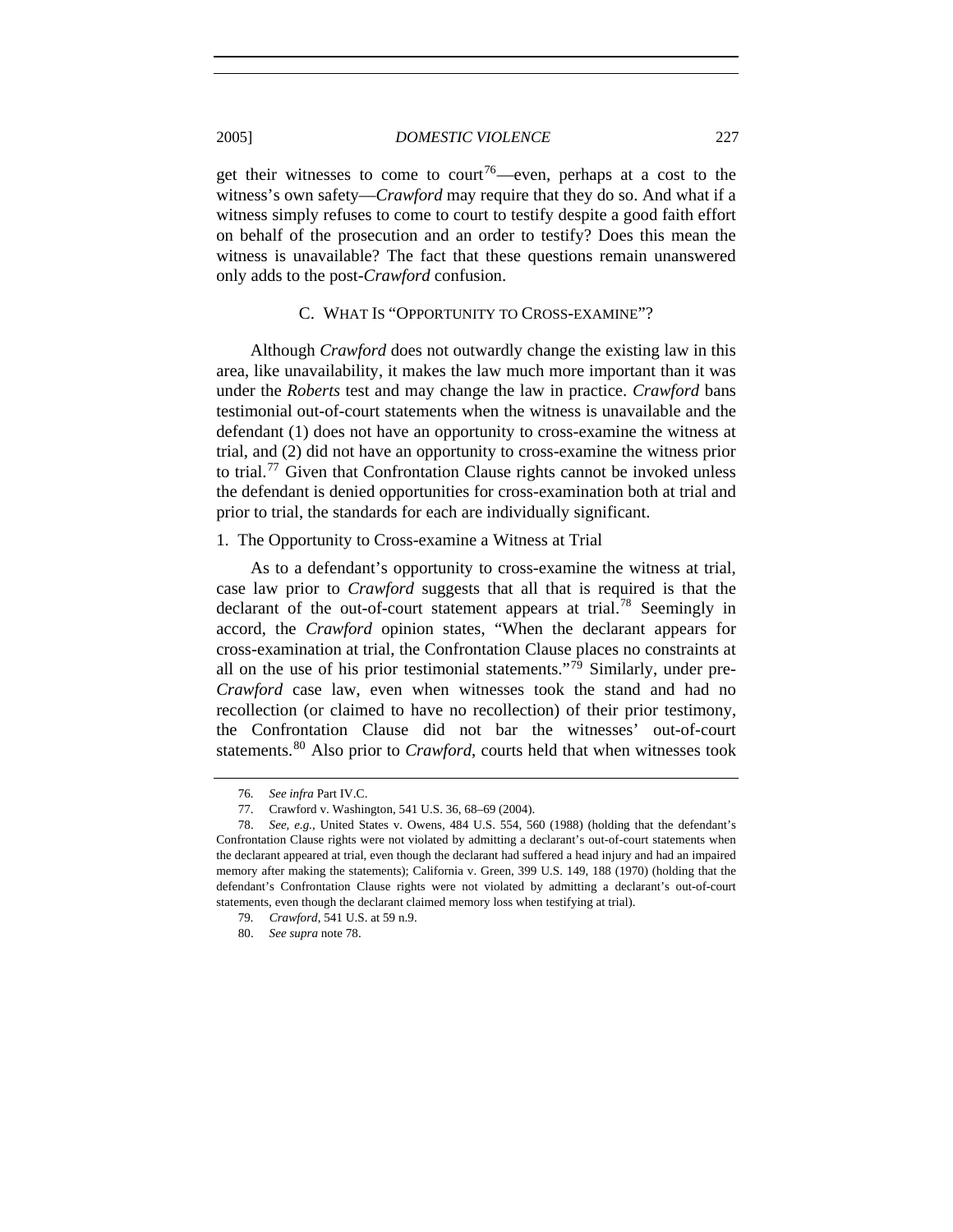get their witnesses to come to court<sup>[76](#page-14-0)</sup>—even, perhaps at a cost to the witness's own safety—*Crawford* may require that they do so. And what if a witness simply refuses to come to court to testify despite a good faith effort on behalf of the prosecution and an order to testify? Does this mean the witness is unavailable? The fact that these questions remain unanswered only adds to the post-*Crawford* confusion.

# C. WHAT IS "OPPORTUNITY TO CROSS-EXAMINE"?

Although *Crawford* does not outwardly change the existing law in this area, like unavailability, it makes the law much more important than it was under the *Roberts* test and may change the law in practice. *Crawford* bans testimonial out-of-court statements when the witness is unavailable and the defendant (1) does not have an opportunity to cross-examine the witness at trial, and (2) did not have an opportunity to cross-examine the witness prior to trial.<sup>[77](#page-14-1)</sup> Given that Confrontation Clause rights cannot be invoked unless the defendant is denied opportunities for cross-examination both at trial and prior to trial, the standards for each are individually significant.

# 1. The Opportunity to Cross-examine a Witness at Trial

As to a defendant's opportunity to cross-examine the witness at trial, case law prior to *Crawford* suggests that all that is required is that the declarant of the out-of-court statement appears at trial.<sup>[78](#page-14-2)</sup> Seemingly in accord, the *Crawford* opinion states, "When the declarant appears for cross-examination at trial, the Confrontation Clause places no constraints at all on the use of his prior testimonial statements."<sup>[79](#page-14-3)</sup> Similarly, under pre-*Crawford* case law, even when witnesses took the stand and had no recollection (or claimed to have no recollection) of their prior testimony, the Confrontation Clause did not bar the witnesses' out-of-court statements.<sup>[80](#page-14-4)</sup> Also prior to *Crawford*, courts held that when witnesses took

<sup>76</sup>*. See infra* Part IV.C.

 <sup>77.</sup> Crawford v. Washington, 541 U.S. 36, 68–69 (2004).

<span id="page-14-3"></span><span id="page-14-2"></span><span id="page-14-1"></span><span id="page-14-0"></span> <sup>78.</sup> *See, e.g.*, United States v. Owens, 484 U.S. 554, 560 (1988) (holding that the defendant's Confrontation Clause rights were not violated by admitting a declarant's out-of-court statements when the declarant appeared at trial, even though the declarant had suffered a head injury and had an impaired memory after making the statements); California v. Green, 399 U.S. 149, 188 (1970) (holding that the defendant's Confrontation Clause rights were not violated by admitting a declarant's out-of-court statements, even though the declarant claimed memory loss when testifying at trial).

<span id="page-14-4"></span><sup>79</sup>*. Crawford*, 541 U.S. at 59 n.9.

 <sup>80.</sup> *See supra* note 78.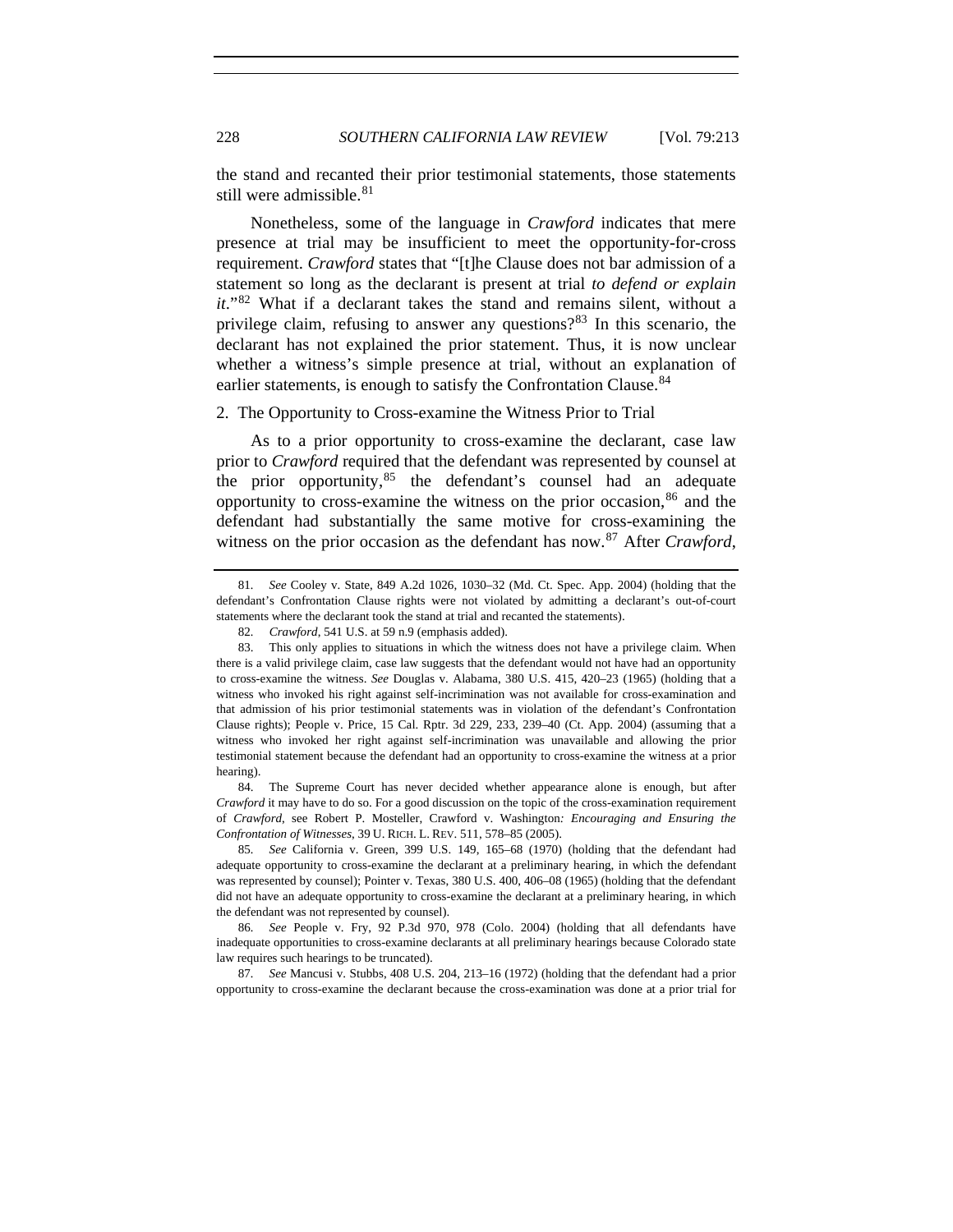the stand and recanted their prior testimonial statements, those statements still were admissible.<sup>[81](#page-15-0)</sup>

Nonetheless, some of the language in *Crawford* indicates that mere presence at trial may be insufficient to meet the opportunity-for-cross requirement. *Crawford* states that "[t]he Clause does not bar admission of a statement so long as the declarant is present at trial *to defend or explain it*."[82](#page-15-1) What if a declarant takes the stand and remains silent, without a privilege claim, refusing to answer any questions? $83$  In this scenario, the declarant has not explained the prior statement. Thus, it is now unclear whether a witness's simple presence at trial, without an explanation of earlier statements, is enough to satisfy the Confrontation Clause.<sup>[84](#page-15-3)</sup>

# 2. The Opportunity to Cross-examine the Witness Prior to Trial

As to a prior opportunity to cross-examine the declarant, case law prior to *Crawford* required that the defendant was represented by counsel at the prior opportunity,  $85$  the defendant's counsel had an adequate opportunity to cross-examine the witness on the prior occasion,  $86$  and the defendant had substantially the same motive for cross-examining the witness on the prior occasion as the defendant has now.[87](#page-15-6) After *Crawford*,

<span id="page-15-3"></span> 84. The Supreme Court has never decided whether appearance alone is enough, but after *Crawford* it may have to do so. For a good discussion on the topic of the cross-examination requirement of *Crawford*, see Robert P. Mosteller, Crawford v. Washington*: Encouraging and Ensuring the Confrontation of Witnesses*, 39 U. RICH. L. REV. 511, 578–85 (2005).

<span id="page-15-4"></span>85*. See* California v. Green, 399 U.S. 149, 165–68 (1970) (holding that the defendant had adequate opportunity to cross-examine the declarant at a preliminary hearing, in which the defendant was represented by counsel); Pointer v. Texas, 380 U.S. 400, 406–08 (1965) (holding that the defendant did not have an adequate opportunity to cross-examine the declarant at a preliminary hearing, in which the defendant was not represented by counsel).

<span id="page-15-5"></span>86*. See* People v. Fry, 92 P.3d 970, 978 (Colo. 2004) (holding that all defendants have inadequate opportunities to cross-examine declarants at all preliminary hearings because Colorado state law requires such hearings to be truncated).

<span id="page-15-6"></span>87*. See* Mancusi v. Stubbs, 408 U.S. 204, 213–16 (1972) (holding that the defendant had a prior opportunity to cross-examine the declarant because the cross-examination was done at a prior trial for

<span id="page-15-0"></span><sup>81</sup>*. See* Cooley v. State, 849 A.2d 1026, 1030–32 (Md. Ct. Spec. App. 2004) (holding that the defendant's Confrontation Clause rights were not violated by admitting a declarant's out-of-court statements where the declarant took the stand at trial and recanted the statements).

<sup>82</sup>*. Crawford*, 541 U.S. at 59 n.9 (emphasis added).

<span id="page-15-2"></span><span id="page-15-1"></span> <sup>83.</sup> This only applies to situations in which the witness does not have a privilege claim. When there is a valid privilege claim, case law suggests that the defendant would not have had an opportunity to cross-examine the witness. *See* Douglas v. Alabama, 380 U.S. 415, 420–23 (1965) (holding that a witness who invoked his right against self-incrimination was not available for cross-examination and that admission of his prior testimonial statements was in violation of the defendant's Confrontation Clause rights); People v. Price, 15 Cal. Rptr. 3d 229, 233, 239–40 (Ct. App. 2004) (assuming that a witness who invoked her right against self-incrimination was unavailable and allowing the prior testimonial statement because the defendant had an opportunity to cross-examine the witness at a prior hearing).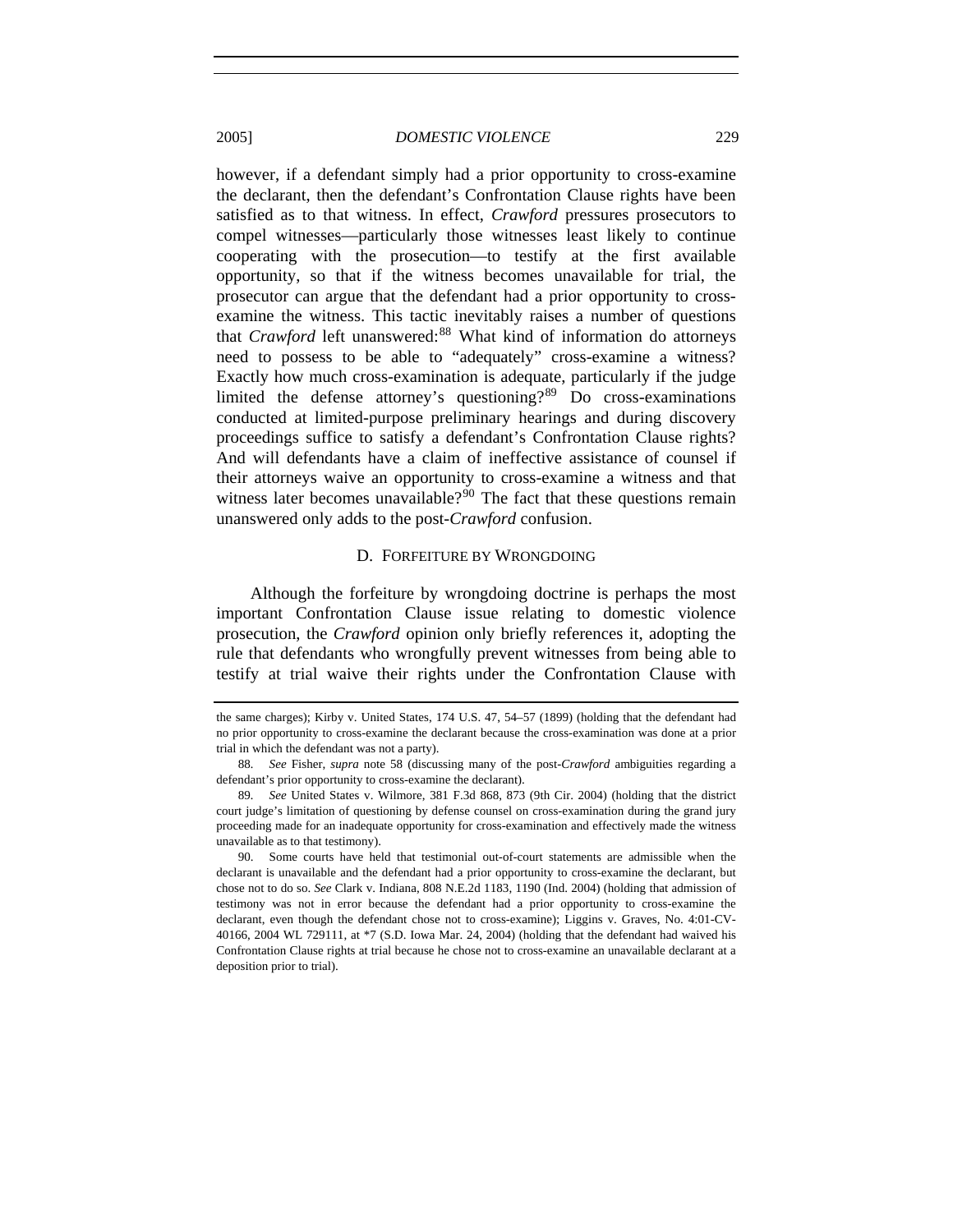however, if a defendant simply had a prior opportunity to cross-examine the declarant, then the defendant's Confrontation Clause rights have been satisfied as to that witness. In effect, *Crawford* pressures prosecutors to compel witnesses—particularly those witnesses least likely to continue cooperating with the prosecution—to testify at the first available opportunity, so that if the witness becomes unavailable for trial, the prosecutor can argue that the defendant had a prior opportunity to crossexamine the witness. This tactic inevitably raises a number of questions that *Crawford* left unanswered:<sup>[88](#page-16-0)</sup> What kind of information do attorneys need to possess to be able to "adequately" cross-examine a witness? Exactly how much cross-examination is adequate, particularly if the judge limited the defense attorney's questioning?[89](#page-16-1) Do cross-examinations conducted at limited-purpose preliminary hearings and during discovery proceedings suffice to satisfy a defendant's Confrontation Clause rights? And will defendants have a claim of ineffective assistance of counsel if their attorneys waive an opportunity to cross-examine a witness and that witness later becomes unavailable?<sup>[90](#page-16-2)</sup> The fact that these questions remain unanswered only adds to the post-*Crawford* confusion.

#### D. FORFEITURE BY WRONGDOING

Although the forfeiture by wrongdoing doctrine is perhaps the most important Confrontation Clause issue relating to domestic violence prosecution, the *Crawford* opinion only briefly references it, adopting the rule that defendants who wrongfully prevent witnesses from being able to testify at trial waive their rights under the Confrontation Clause with

the same charges); Kirby v. United States, 174 U.S. 47, 54–57 (1899) (holding that the defendant had no prior opportunity to cross-examine the declarant because the cross-examination was done at a prior trial in which the defendant was not a party).

<span id="page-16-0"></span><sup>88</sup>*. See* Fisher, *supra* note 58 (discussing many of the post-*Crawford* ambiguities regarding a defendant's prior opportunity to cross-examine the declarant).

<span id="page-16-1"></span><sup>89</sup>*. See* United States v. Wilmore, 381 F.3d 868, 873 (9th Cir. 2004) (holding that the district court judge's limitation of questioning by defense counsel on cross-examination during the grand jury proceeding made for an inadequate opportunity for cross-examination and effectively made the witness unavailable as to that testimony).

<span id="page-16-2"></span> <sup>90.</sup> Some courts have held that testimonial out-of-court statements are admissible when the declarant is unavailable and the defendant had a prior opportunity to cross-examine the declarant, but chose not to do so. *See* Clark v. Indiana, 808 N.E.2d 1183, 1190 (Ind. 2004) (holding that admission of testimony was not in error because the defendant had a prior opportunity to cross-examine the declarant, even though the defendant chose not to cross-examine); Liggins v. Graves, No. 4:01-CV-40166, 2004 WL 729111, at \*7 (S.D. Iowa Mar. 24, 2004) (holding that the defendant had waived his Confrontation Clause rights at trial because he chose not to cross-examine an unavailable declarant at a deposition prior to trial).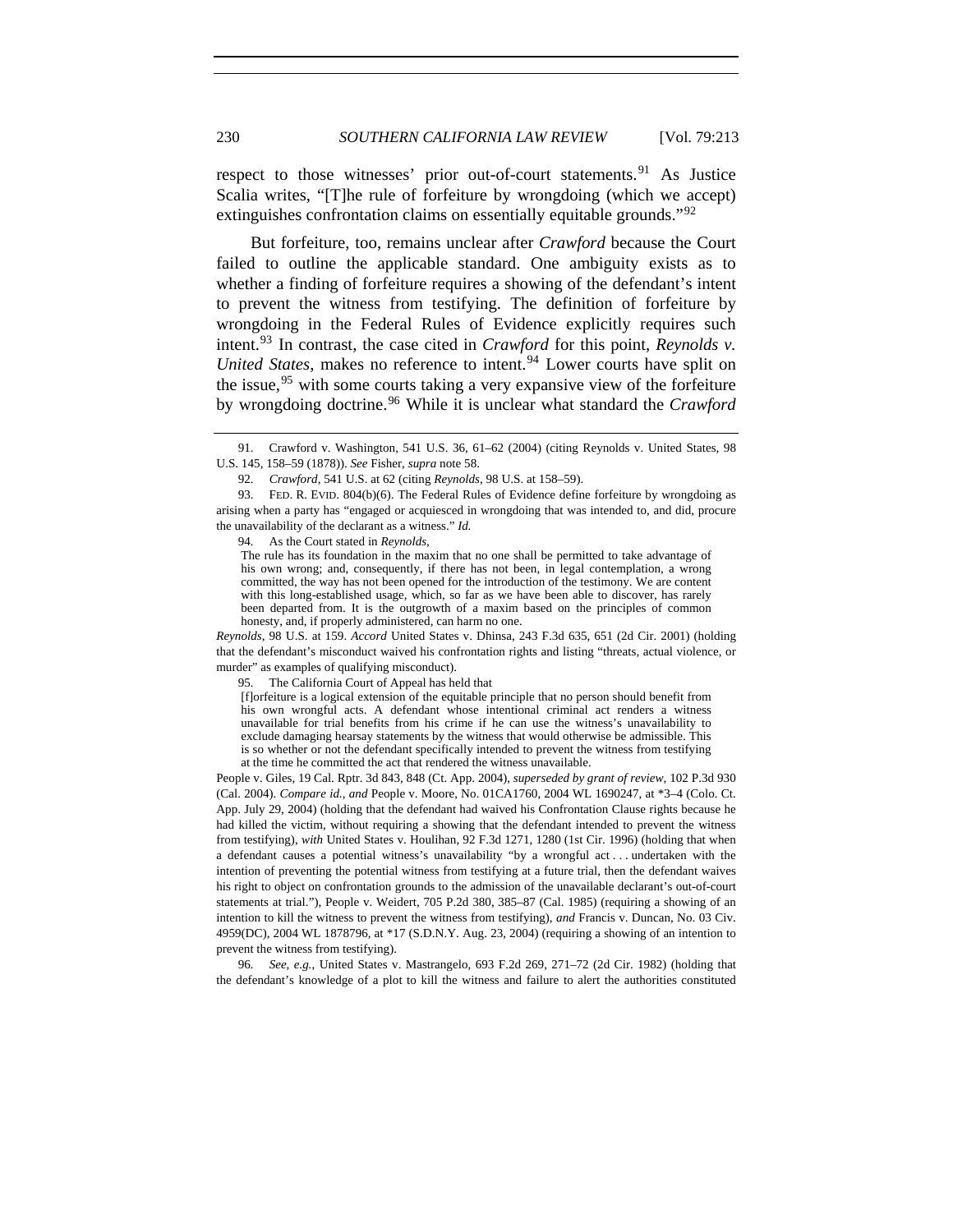respect to those witnesses' prior out-of-court statements.<sup>[91](#page-17-0)</sup> As Justice Scalia writes, "[T]he rule of forfeiture by wrongdoing (which we accept) extinguishes confrontation claims on essentially equitable grounds."<sup>[92](#page-17-1)</sup>

But forfeiture, too, remains unclear after *Crawford* because the Court failed to outline the applicable standard. One ambiguity exists as to whether a finding of forfeiture requires a showing of the defendant's intent to prevent the witness from testifying. The definition of forfeiture by wrongdoing in the Federal Rules of Evidence explicitly requires such intent.[93](#page-17-2) In contrast, the case cited in *Crawford* for this point, *Reynolds v. United States*, makes no reference to intent.<sup>[94](#page-17-3)</sup> Lower courts have split on the issue,<sup>[95](#page-17-4)</sup> with some courts taking a very expansive view of the forfeiture by wrongdoing doctrine.[96](#page-17-5) While it is unclear what standard the *Crawford*

94*.* As the Court stated in *Reynolds*,

<span id="page-17-4"></span>*Reynolds*, 98 U.S. at 159. *Accord* United States v. Dhinsa, 243 F.3d 635, 651 (2d Cir. 2001) (holding that the defendant's misconduct waived his confrontation rights and listing "threats, actual violence, or murder" as examples of qualifying misconduct).

<span id="page-17-0"></span> <sup>91.</sup> Crawford v. Washington, 541 U.S. 36, 61–62 (2004) (citing Reynolds v. United States, 98 U.S. 145, 158–59 (1878)). *See* Fisher, *supra* note 58.

<sup>92</sup>*. Crawford*, 541 U.S. at 62 (citing *Reynolds*, 98 U.S. at 158–59).

<span id="page-17-3"></span><span id="page-17-2"></span><span id="page-17-1"></span> <sup>93.</sup> FED. R. EVID. 804(b)(6). The Federal Rules of Evidence define forfeiture by wrongdoing as arising when a party has "engaged or acquiesced in wrongdoing that was intended to, and did, procure the unavailability of the declarant as a witness." *Id.*

The rule has its foundation in the maxim that no one shall be permitted to take advantage of his own wrong; and, consequently, if there has not been, in legal contemplation, a wrong committed, the way has not been opened for the introduction of the testimony. We are content with this long-established usage, which, so far as we have been able to discover, has rarely been departed from. It is the outgrowth of a maxim based on the principles of common honesty, and, if properly administered, can harm no one.

<sup>95</sup>*.* The California Court of Appeal has held that

<sup>[</sup>f]orfeiture is a logical extension of the equitable principle that no person should benefit from his own wrongful acts. A defendant whose intentional criminal act renders a witness unavailable for trial benefits from his crime if he can use the witness's unavailability to exclude damaging hearsay statements by the witness that would otherwise be admissible. This is so whether or not the defendant specifically intended to prevent the witness from testifying at the time he committed the act that rendered the witness unavailable.

People v. Giles, 19 Cal. Rptr. 3d 843, 848 (Ct. App. 2004), *superseded by grant of review*, 102 P.3d 930 (Cal. 2004). *Compare id.*, *and* People v. Moore, No. 01CA1760, 2004 WL 1690247, at \*3–4 (Colo. Ct. App. July 29, 2004) (holding that the defendant had waived his Confrontation Clause rights because he had killed the victim, without requiring a showing that the defendant intended to prevent the witness from testifying), *with* [United States v. Houlihan, 92 F.3d 1271, 1280](https://www.lexis.com/research/buttonTFLink?_m=9183fdcf43c2bf6293176c4a1740b8bb&_xfercite=%3ccite%20cc%3d%22USA%22%3e%3c%21%5bCDATA%5b123%20Cal.%20App.%204th%20475%5d%5d%3e%3c%2fcite%3e&_butType=3&_butStat=2&_butNum=58&_butInline=1&_butinfo=%3ccite%20cc%3d%22USA%22%3e%3c%21%5bCDATA%5b92%20F.3d%201271%2cat%201280%5d%5d%3e%3c%2fcite%3e&_fmtstr=FULL&docnum=5&_startdoc=1&wchp=dGLbVlb-zSkAA&_md5=7931f19d8043f368faaed96de36c361d) (1st Cir. 1996) (holding that when a defendant causes a potential witness's unavailability "by a wrongful act . . . undertaken with the intention of preventing the potential witness from testifying at a future trial, then the defendant waives his right to object on confrontation grounds to the admission of the unavailable declarant's out-of-court statements at trial."), People v. Weidert, 705 P.2d 380, 385–87 (Cal. 1985) (requiring a showing of an intention to kill the witness to prevent the witness from testifying), *and* Francis v. Duncan, No. 03 Civ. 4959(DC), 2004 WL 1878796, at \*17 (S.D.N.Y. Aug. 23, 2004) (requiring a showing of an intention to prevent the witness from testifying).

<span id="page-17-5"></span><sup>96</sup>*. See, e.g.*, United States v. Mastrangelo, 693 F.2d 269, 271–72 (2d Cir. 1982) (holding that the defendant's knowledge of a plot to kill the witness and failure to alert the authorities constituted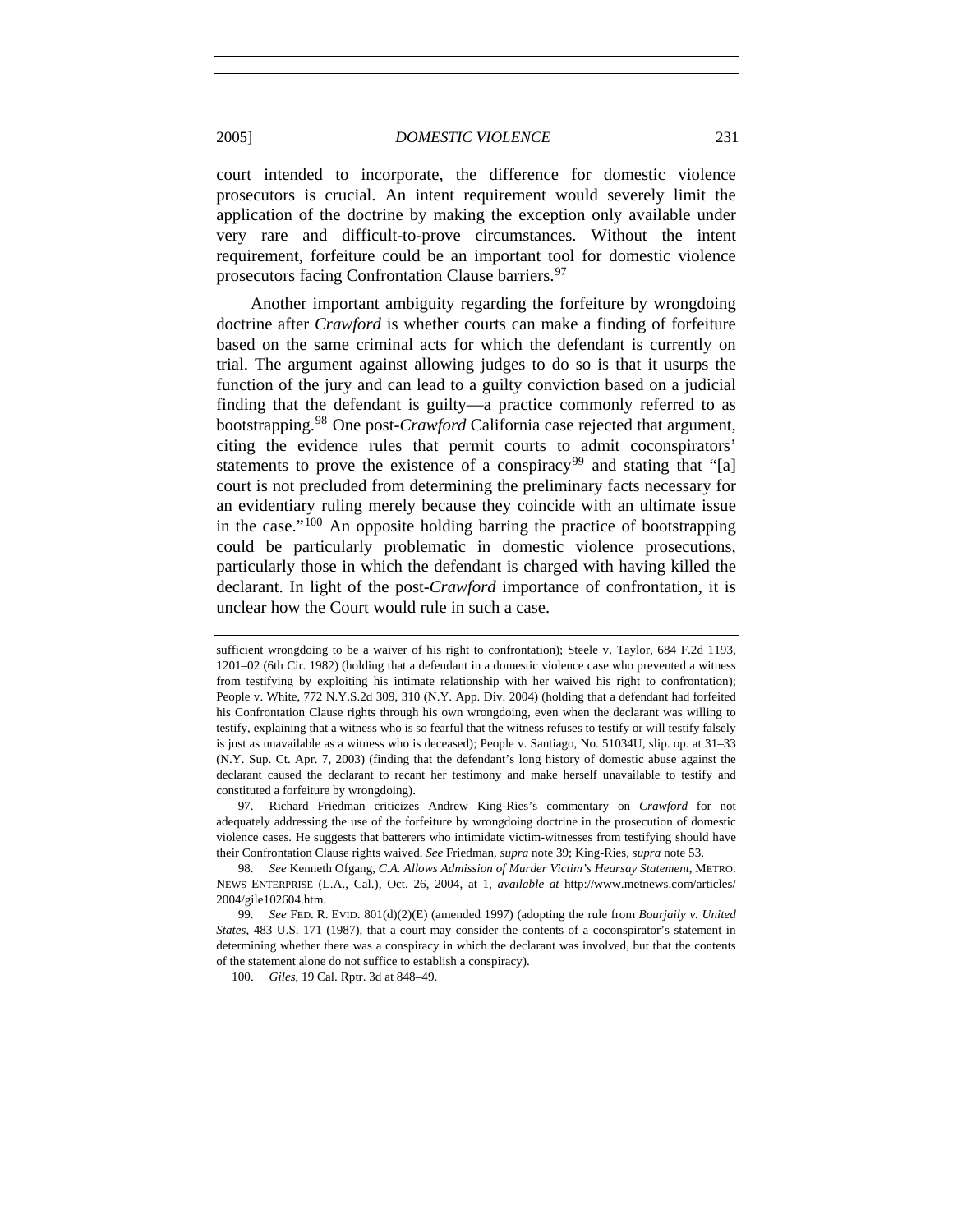court intended to incorporate, the difference for domestic violence prosecutors is crucial. An intent requirement would severely limit the application of the doctrine by making the exception only available under very rare and difficult-to-prove circumstances. Without the intent requirement, forfeiture could be an important tool for domestic violence prosecutors facing Confrontation Clause barriers.<sup>[97](#page-18-0)</sup>

Another important ambiguity regarding the forfeiture by wrongdoing doctrine after *Crawford* is whether courts can make a finding of forfeiture based on the same criminal acts for which the defendant is currently on trial. The argument against allowing judges to do so is that it usurps the function of the jury and can lead to a guilty conviction based on a judicial finding that the defendant is guilty—a practice commonly referred to as bootstrapping.[98](#page-18-1) One post-*Crawford* California case rejected that argument, citing the evidence rules that permit courts to admit coconspirators' statements to prove the existence of a conspiracy<sup>[99](#page-18-2)</sup> and stating that "[a] court is not precluded from determining the preliminary facts necessary for an evidentiary ruling merely because they coincide with an ultimate issue in the case."[100](#page-18-3) An opposite holding barring the practice of bootstrapping could be particularly problematic in domestic violence prosecutions, particularly those in which the defendant is charged with having killed the declarant. In light of the post-*Crawford* importance of confrontation, it is unclear how the Court would rule in such a case.

sufficient wrongdoing to be a waiver of his right to confrontation); [Steele v. Taylor, 684 F.2d 1193,](https://www.lexis.com/research/buttonTFLink?_m=55e82f062c507647f5d3504fe656a2cd&_xfercite=%3ccite%20cc%3d%22USA%22%3e%3c%21%5bCDATA%5b92%20F.3d%201271%5d%5d%3e%3c%2fcite%3e&_butType=3&_butStat=2&_butNum=39&_butInline=1&_butinfo=%3ccite%20cc%3d%22USA%22%3e%3c%21%5bCDATA%5b684%20F.2d%201193%2cat%201201%5d%5d%3e%3c%2fcite%3e&_fmtstr=FULL&docnum=1&_startdoc=1&wchp=dGLbVlb-zSkAA&_md5=3e1b6bdd626b6a42e7b9e253a663aaff)  [1201–02 \(6th Cir. 1982\)](https://www.lexis.com/research/buttonTFLink?_m=55e82f062c507647f5d3504fe656a2cd&_xfercite=%3ccite%20cc%3d%22USA%22%3e%3c%21%5bCDATA%5b92%20F.3d%201271%5d%5d%3e%3c%2fcite%3e&_butType=3&_butStat=2&_butNum=39&_butInline=1&_butinfo=%3ccite%20cc%3d%22USA%22%3e%3c%21%5bCDATA%5b684%20F.2d%201193%2cat%201201%5d%5d%3e%3c%2fcite%3e&_fmtstr=FULL&docnum=1&_startdoc=1&wchp=dGLbVlb-zSkAA&_md5=3e1b6bdd626b6a42e7b9e253a663aaff) (holding that a defendant in a domestic violence case who prevented a witness from testifying by exploiting his intimate relationship with her waived his right to confrontation); People v. White, 772 N.Y.S.2d 309, 310 (N.Y. App. Div. 2004) (holding that a defendant had forfeited his Confrontation Clause rights through his own wrongdoing, even when the declarant was willing to testify, explaining that a witness who is so fearful that the witness refuses to testify or will testify falsely is just as unavailable as a witness who is deceased); People v. Santiago, No. 51034U, slip. op. at 31–33 (N.Y. Sup. Ct. Apr. 7, 2003) (finding that the defendant's long history of domestic abuse against the declarant caused the declarant to recant her testimony and make herself unavailable to testify and constituted a forfeiture by wrongdoing).

<span id="page-18-0"></span> <sup>97.</sup> Richard Friedman criticizes Andrew King-Ries's commentary on *Crawford* for not adequately addressing the use of the forfeiture by wrongdoing doctrine in the prosecution of domestic violence cases. He suggests that batterers who intimidate victim-witnesses from testifying should have their Confrontation Clause rights waived. *See* Friedman, *supra* note 39; King-Ries, *supra* note 53.

<span id="page-18-1"></span><sup>98</sup>*. See* Kenneth Ofgang, *C.A. Allows Admission of Murder Victim's Hearsay Statement*, METRO. NEWS ENTERPRISE (L.A., Cal.), Oct. 26, 2004, at 1, *available at* http://www.metnews.com/articles/ 2004/gile102604.htm.

<span id="page-18-3"></span><span id="page-18-2"></span><sup>99</sup>*. See* FED. R. EVID. 801(d)(2)(E) (amended 1997) (adopting the rule from *Bourjaily v. United States*, 483 U.S. 171 (1987), that a court may consider the contents of a coconspirator's statement in determining whether there was a conspiracy in which the declarant was involved, but that the contents of the statement alone do not suffice to establish a conspiracy).

 <sup>100.</sup> *Giles*, 19 Cal. Rptr. 3d at 848–49.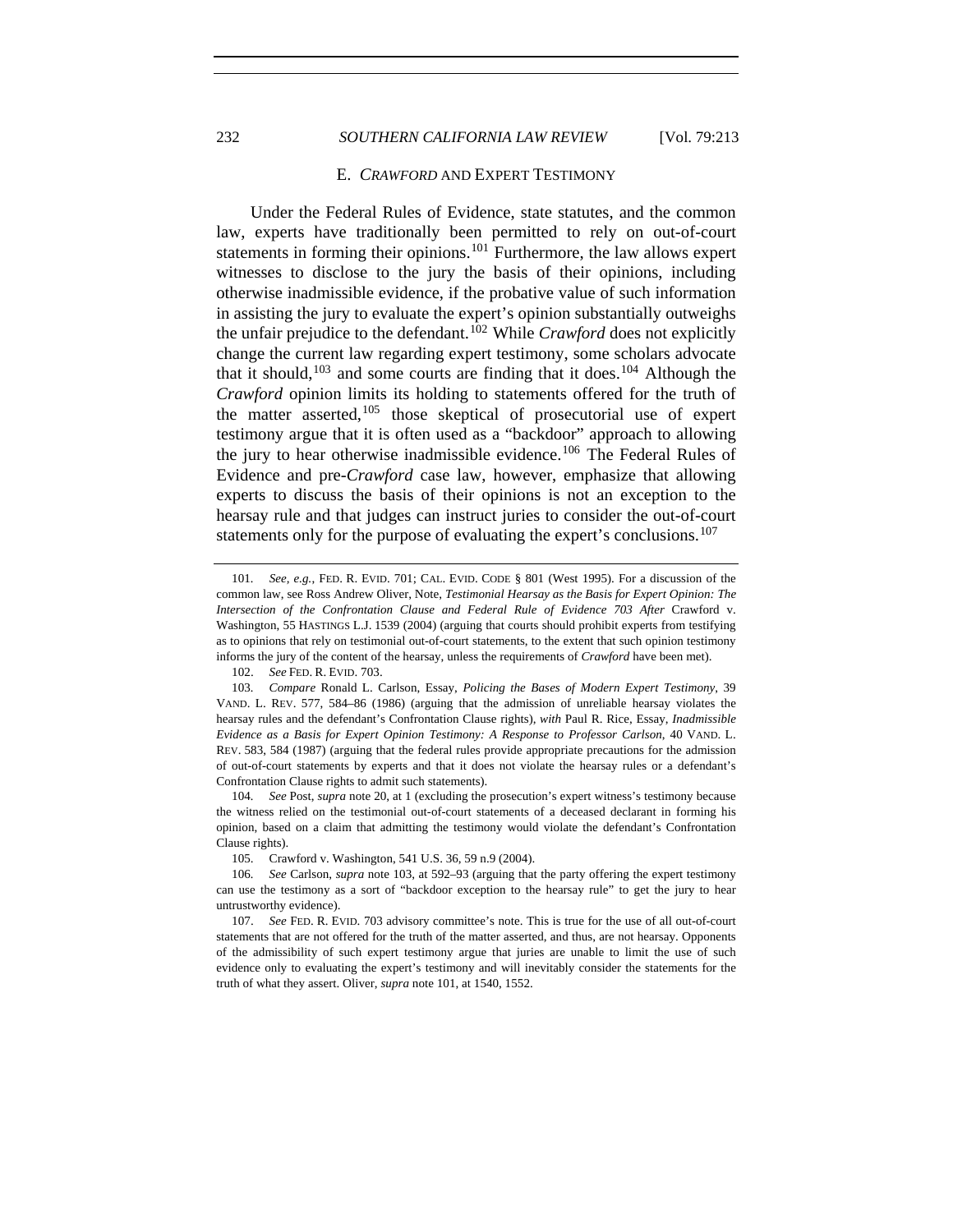# 232 *SOUTHERN CALIFORNIA LAW REVIEW* [Vol. 79:213

#### E. *CRAWFORD* AND EXPERT TESTIMONY

Under the Federal Rules of Evidence, state statutes, and the common law, experts have traditionally been permitted to rely on out-of-court statements in forming their opinions.<sup>[101](#page-19-0)</sup> Furthermore, the law allows expert witnesses to disclose to the jury the basis of their opinions, including otherwise inadmissible evidence, if the probative value of such information in assisting the jury to evaluate the expert's opinion substantially outweighs the unfair prejudice to the defendant.[102](#page-19-1) While *Crawford* does not explicitly change the current law regarding expert testimony, some scholars advocate that it should,<sup>[103](#page-19-2)</sup> and some courts are finding that it does.<sup>[104](#page-19-3)</sup> Although the *Crawford* opinion limits its holding to statements offered for the truth of the matter asserted,  $105$  those skeptical of prosecutorial use of expert testimony argue that it is often used as a "backdoor" approach to allowing the jury to hear otherwise inadmissible evidence.<sup>[106](#page-19-5)</sup> The Federal Rules of Evidence and pre-*Crawford* case law, however, emphasize that allowing experts to discuss the basis of their opinions is not an exception to the hearsay rule and that judges can instruct juries to consider the out-of-court statements only for the purpose of evaluating the expert's conclusions.<sup>[107](#page-19-6)</sup>

<span id="page-19-3"></span>104*. See* Post, *supra* note 20, at 1 (excluding the prosecution's expert witness's testimony because the witness relied on the testimonial out-of-court statements of a deceased declarant in forming his opinion, based on a claim that admitting the testimony would violate the defendant's Confrontation Clause rights).

<span id="page-19-0"></span><sup>101</sup>*. See, e.g.*, FED. R. EVID. 701; CAL. EVID. CODE § 801 (West 1995). For a discussion of the common law, see Ross Andrew Oliver, Note, *Testimonial Hearsay as the Basis for Expert Opinion: The*  Intersection of the Confrontation Clause and Federal Rule of Evidence 703 After Crawford v. Washington, 55 HASTINGS L.J. 1539 (2004) (arguing that courts should prohibit experts from testifying as to opinions that rely on testimonial out-of-court statements, to the extent that such opinion testimony informs the jury of the content of the hearsay, unless the requirements of *Crawford* have been met).

 <sup>102.</sup> *See* FED. R. EVID. 703.

<span id="page-19-2"></span><span id="page-19-1"></span><sup>103</sup>*. Compare* Ronald L. Carlson, Essay, *Policing the Bases of Modern Expert Testimony*, 39 VAND. L. REV. 577, 584–86 (1986) (arguing that the admission of unreliable hearsay violates the hearsay rules and the defendant's Confrontation Clause rights), *with* Paul R. Rice, Essay, *Inadmissible Evidence as a Basis for Expert Opinion Testimony: A Response to Professor Carlson*, 40 VAND. L. REV. 583, 584 (1987) (arguing that the federal rules provide appropriate precautions for the admission of out-of-court statements by experts and that it does not violate the hearsay rules or a defendant's Confrontation Clause rights to admit such statements).

 <sup>105.</sup> Crawford v. Washington, 541 U.S. 36, 59 n.9 (2004).

<span id="page-19-5"></span><span id="page-19-4"></span><sup>106</sup>*. See* Carlson, *supra* note 103, at 592–93 (arguing that the party offering the expert testimony can use the testimony as a sort of "backdoor exception to the hearsay rule" to get the jury to hear untrustworthy evidence).

<span id="page-19-6"></span> <sup>107.</sup> *See* FED. R. EVID. 703 advisory committee's note. This is true for the use of all out-of-court statements that are not offered for the truth of the matter asserted, and thus, are not hearsay. Opponents of the admissibility of such expert testimony argue that juries are unable to limit the use of such evidence only to evaluating the expert's testimony and will inevitably consider the statements for the truth of what they assert. Oliver, *supra* note 101, at 1540, 1552.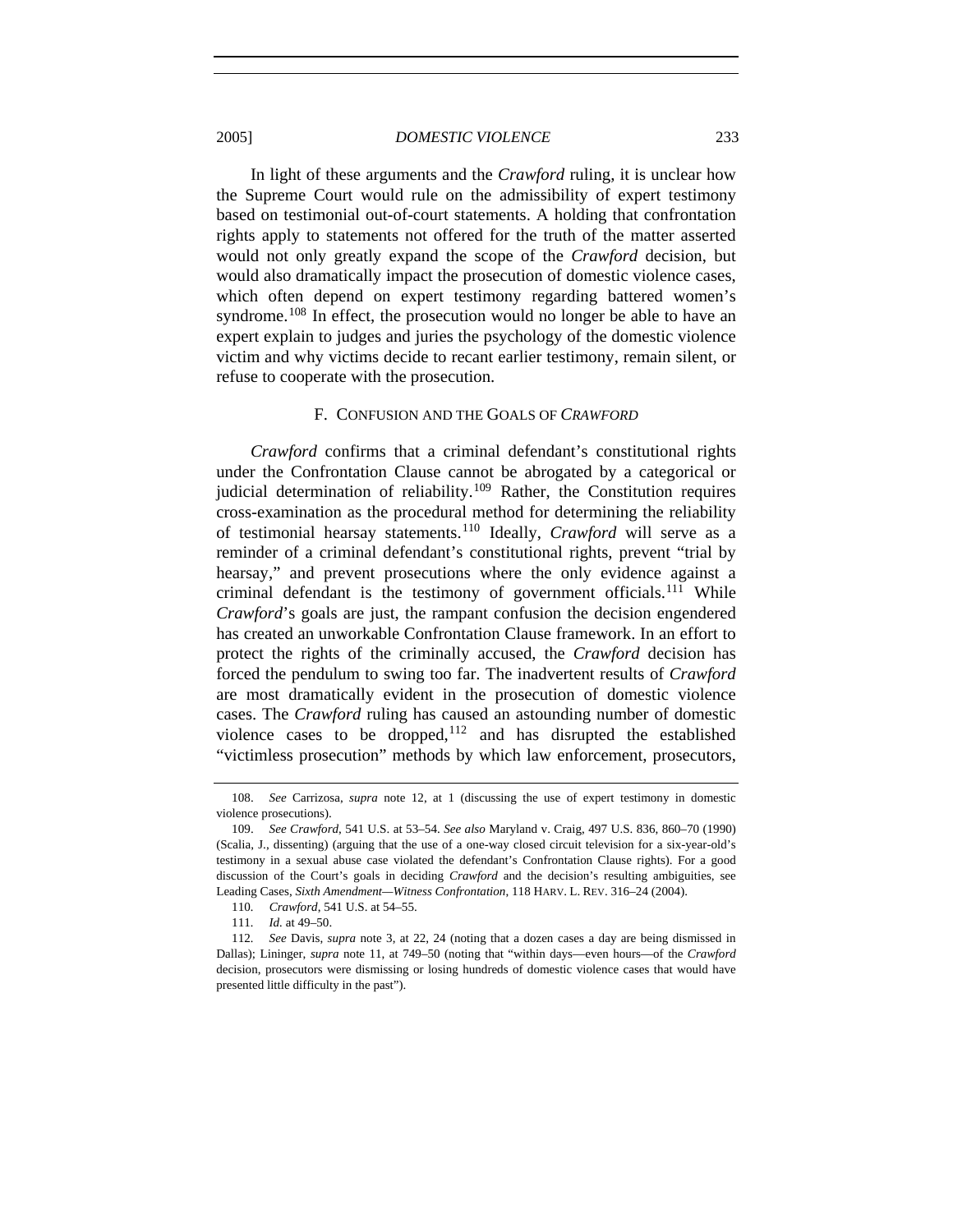In light of these arguments and the *Crawford* ruling, it is unclear how the Supreme Court would rule on the admissibility of expert testimony based on testimonial out-of-court statements. A holding that confrontation rights apply to statements not offered for the truth of the matter asserted would not only greatly expand the scope of the *Crawford* decision, but would also dramatically impact the prosecution of domestic violence cases, which often depend on expert testimony regarding battered women's syndrome.<sup>[108](#page-20-0)</sup> In effect, the prosecution would no longer be able to have an

expert explain to judges and juries the psychology of the domestic violence victim and why victims decide to recant earlier testimony, remain silent, or refuse to cooperate with the prosecution.

# F. CONFUSION AND THE GOALS OF *CRAWFORD*

*Crawford* confirms that a criminal defendant's constitutional rights under the Confrontation Clause cannot be abrogated by a categorical or judicial determination of reliability.<sup>[109](#page-20-1)</sup> Rather, the Constitution requires cross-examination as the procedural method for determining the reliability of testimonial hearsay statements.[110](#page-20-2) Ideally, *Crawford* will serve as a reminder of a criminal defendant's constitutional rights, prevent "trial by hearsay," and prevent prosecutions where the only evidence against a criminal defendant is the testimony of government officials.<sup>[111](#page-20-3)</sup> While *Crawford*'s goals are just, the rampant confusion the decision engendered has created an unworkable Confrontation Clause framework. In an effort to protect the rights of the criminally accused, the *Crawford* decision has forced the pendulum to swing too far. The inadvertent results of *Crawford* are most dramatically evident in the prosecution of domestic violence cases. The *Crawford* ruling has caused an astounding number of domestic violence cases to be dropped, $112$  and has disrupted the established "victimless prosecution" methods by which law enforcement, prosecutors,

<span id="page-20-0"></span> <sup>108.</sup> *See* Carrizosa, *supra* note 12, at 1 (discussing the use of expert testimony in domestic violence prosecutions).

<span id="page-20-1"></span> <sup>109.</sup> *See Crawford*, 541 U.S. at 53–54. *See also* Maryland v. Craig, 497 U.S. 836, 860–70 (1990) (Scalia, J., dissenting) (arguing that the use of a one-way closed circuit television for a six-year-old's testimony in a sexual abuse case violated the defendant's Confrontation Clause rights). For a good discussion of the Court's goals in deciding *Crawford* and the decision's resulting ambiguities, see Leading Cases, *Sixth Amendment—Witness Confrontation*, 118 HARV. L. REV. 316–24 (2004).

<sup>110</sup>*. Crawford*, 541 U.S. at 54–55.

<sup>111</sup>*. Id.* at 49–50.

<span id="page-20-4"></span><span id="page-20-3"></span><span id="page-20-2"></span><sup>112</sup>*. See* Davis, *supra* note 3, at 22, 24 (noting that a dozen cases a day are being dismissed in Dallas); Lininger, *supra* note 11, at 749–50 (noting that "within days—even hours—of the *Crawford* decision, prosecutors were dismissing or losing hundreds of domestic violence cases that would have presented little difficulty in the past").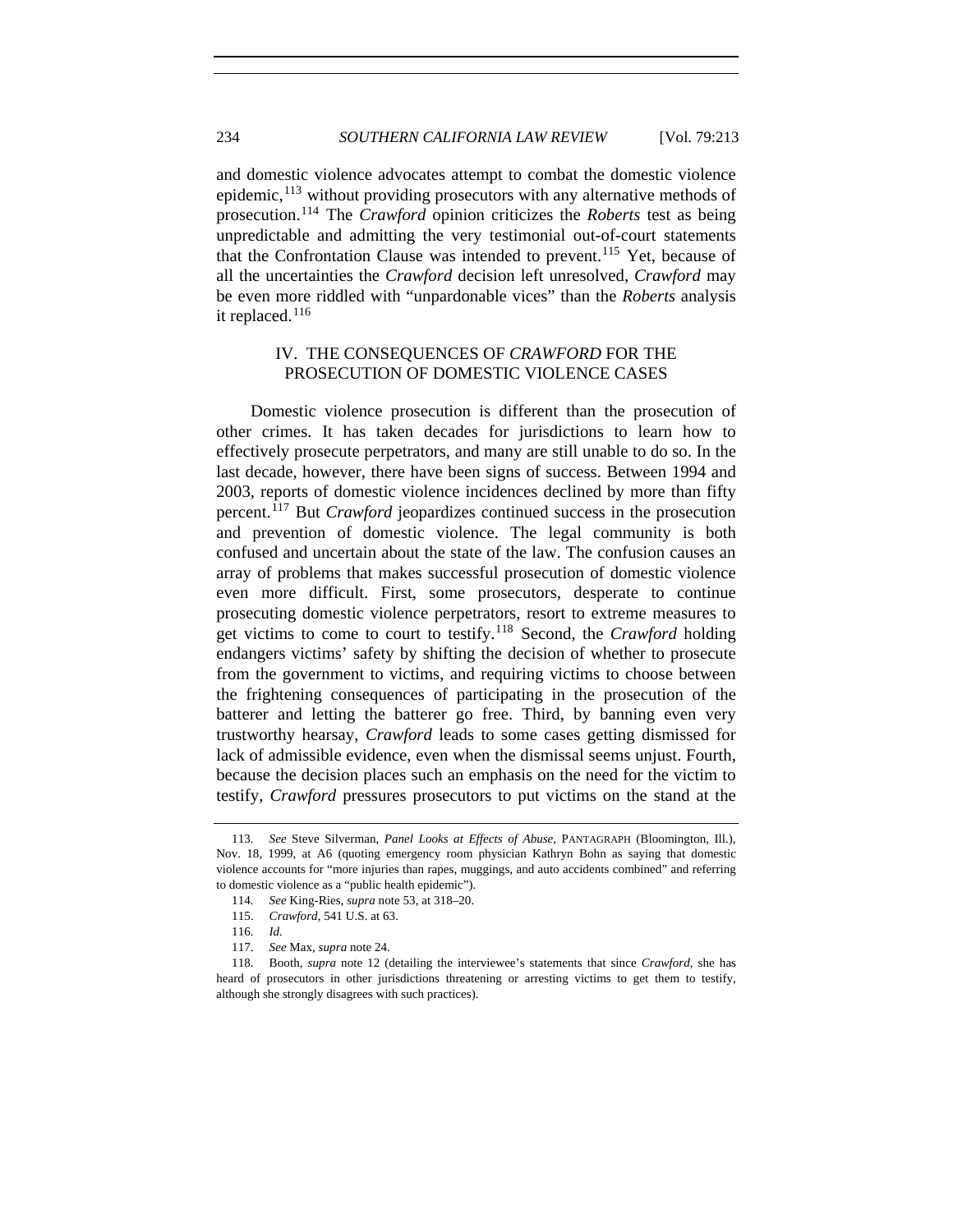and domestic violence advocates attempt to combat the domestic violence epidemic,  $^{113}$  $^{113}$  $^{113}$  without providing prosecutors with any alternative methods of prosecution.[114](#page-21-1) The *Crawford* opinion criticizes the *Roberts* test as being unpredictable and admitting the very testimonial out-of-court statements that the Confrontation Clause was intended to prevent.<sup>[115](#page-21-2)</sup> Yet, because of all the uncertainties the *Crawford* decision left unresolved, *Crawford* may be even more riddled with "unpardonable vices" than the *Roberts* analysis it replaced.<sup>[116](#page-21-3)</sup>

# IV. THE CONSEQUENCES OF *CRAWFORD* FOR THE PROSECUTION OF DOMESTIC VIOLENCE CASES

Domestic violence prosecution is different than the prosecution of other crimes. It has taken decades for jurisdictions to learn how to effectively prosecute perpetrators, and many are still unable to do so. In the last decade, however, there have been signs of success. Between 1994 and 2003, reports of domestic violence incidences declined by more than fifty percent.[117](#page-21-4) But *Crawford* jeopardizes continued success in the prosecution and prevention of domestic violence. The legal community is both confused and uncertain about the state of the law. The confusion causes an array of problems that makes successful prosecution of domestic violence even more difficult. First, some prosecutors, desperate to continue prosecuting domestic violence perpetrators, resort to extreme measures to get victims to come to court to testify.[118](#page-21-5) Second, the *Crawford* holding endangers victims' safety by shifting the decision of whether to prosecute from the government to victims, and requiring victims to choose between the frightening consequences of participating in the prosecution of the batterer and letting the batterer go free. Third, by banning even very trustworthy hearsay, *Crawford* leads to some cases getting dismissed for lack of admissible evidence, even when the dismissal seems unjust. Fourth, because the decision places such an emphasis on the need for the victim to testify, *Crawford* pressures prosecutors to put victims on the stand at the

<span id="page-21-1"></span><span id="page-21-0"></span><sup>113</sup>*. See* Steve Silverman, *Panel Looks at Effects of Abuse*, PANTAGRAPH (Bloomington, Ill.), Nov. 18, 1999, at A6 (quoting emergency room physician Kathryn Bohn as saying that domestic violence accounts for "more injuries than rapes, muggings, and auto accidents combined" and referring to domestic violence as a "public health epidemic").

<sup>114</sup>*. See* King-Ries, *supra* note 53, at 318–20.

 <sup>115.</sup> *Crawford*, 541 U.S. at 63.

<sup>116</sup>*. Id.*

 <sup>117.</sup> *See* Max, *supra* note 24.

<span id="page-21-5"></span><span id="page-21-4"></span><span id="page-21-3"></span><span id="page-21-2"></span> <sup>118.</sup> Booth, *supra* note 12 (detailing the interviewee's statements that since *Crawford*, she has heard of prosecutors in other jurisdictions threatening or arresting victims to get them to testify, although she strongly disagrees with such practices).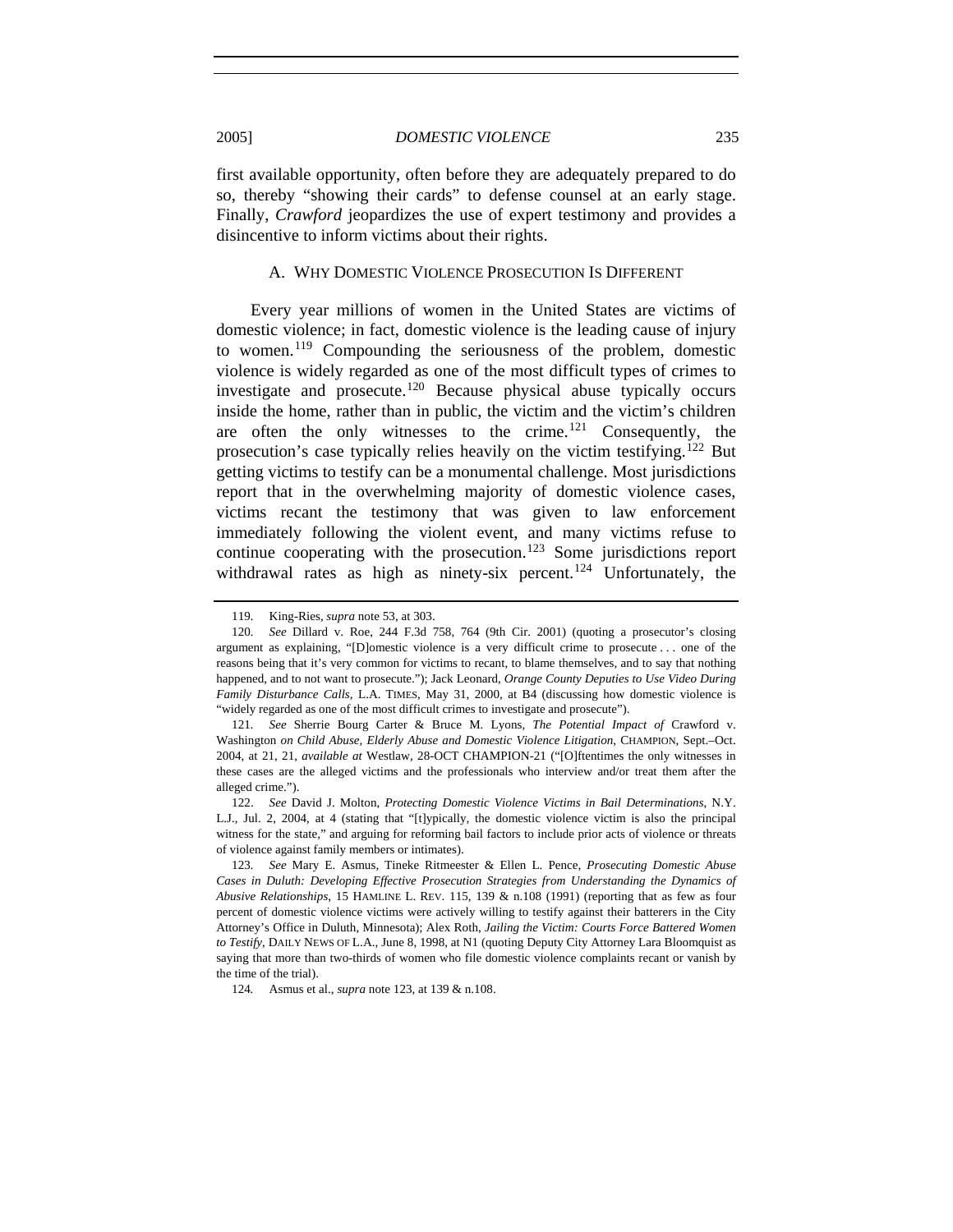first available opportunity, often before they are adequately prepared to do so, thereby "showing their cards" to defense counsel at an early stage. Finally, *Crawford* jeopardizes the use of expert testimony and provides a

#### A. WHY DOMESTIC VIOLENCE PROSECUTION IS DIFFERENT

disincentive to inform victims about their rights.

Every year millions of women in the United States are victims of domestic violence; in fact, domestic violence is the leading cause of injury to women.[119](#page-22-0) Compounding the seriousness of the problem, domestic violence is widely regarded as one of the most difficult types of crimes to investigate and prosecute.<sup>[120](#page-22-1)</sup> Because physical abuse typically occurs inside the home, rather than in public, the victim and the victim's children are often the only witnesses to the crime.<sup>[121](#page-22-2)</sup> Consequently, the prosecution's case typically relies heavily on the victim testifying.[122](#page-22-3) But getting victims to testify can be a monumental challenge. Most jurisdictions report that in the overwhelming majority of domestic violence cases, victims recant the testimony that was given to law enforcement immediately following the violent event, and many victims refuse to continue cooperating with the prosecution.<sup>[123](#page-22-4)</sup> Some jurisdictions report withdrawal rates as high as ninety-six percent.<sup>[124](#page-22-5)</sup> Unfortunately, the

<sup>119</sup>*.* King-Ries, *supra* note 53, at 303.

<span id="page-22-1"></span><span id="page-22-0"></span><sup>120</sup>*. See* Dillard v. Roe, 244 F.3d 758, 764 (9th Cir. 2001) (quoting a prosecutor's closing argument as explaining, "[D]omestic violence is a very difficult crime to prosecute . . . one of the reasons being that it's very common for victims to recant, to blame themselves, and to say that nothing happened, and to not want to prosecute."); Jack Leonard, *Orange County Deputies to Use Video During Family Disturbance Calls*, L.A. TIMES, May 31, 2000, at B4 (discussing how domestic violence is "widely regarded as one of the most difficult crimes to investigate and prosecute").

<span id="page-22-2"></span><sup>121</sup>*. See* Sherrie Bourg Carter & Bruce M. Lyons, *The Potential Impact of* Crawford v. Washington *on Child Abuse, Elderly Abuse and Domestic Violence Litigation*, CHAMPION, Sept.–Oct. 2004, at 21, 21, *available at* Westlaw, 28-OCT CHAMPION-21 ("[O]ftentimes the only witnesses in these cases are the alleged victims and the professionals who interview and/or treat them after the alleged crime.").

<span id="page-22-3"></span> <sup>122.</sup> *See* David J. Molton, *Protecting Domestic Violence Victims in Bail Determinations*, N.Y. L.J., Jul. 2, 2004, at 4 (stating that "[t]ypically, the domestic violence victim is also the principal witness for the state," and arguing for reforming bail factors to include prior acts of violence or threats of violence against family members or intimates).

<span id="page-22-4"></span><sup>123</sup>*. See* Mary E. Asmus, Tineke Ritmeester & Ellen L. Pence, *Prosecuting Domestic Abuse Cases in Duluth: Developing Effective Prosecution Strategies from Understanding the Dynamics of Abusive Relationships*, 15 HAMLINE L. REV. 115, 139 & n.108 (1991) (reporting that as few as four percent of domestic violence victims were actively willing to testify against their batterers in the City Attorney's Office in Duluth, Minnesota); Alex Roth, *Jailing the Victim: Courts Force Battered Women to Testify*, DAILY NEWS OF L.A., June 8, 1998, at N1 (quoting Deputy City Attorney Lara Bloomquist as saying that more than two-thirds of women who file domestic violence complaints recant or vanish by the time of the trial).

<span id="page-22-5"></span><sup>124</sup>*.* Asmus et al., *supra* note 123, at 139 & n.108.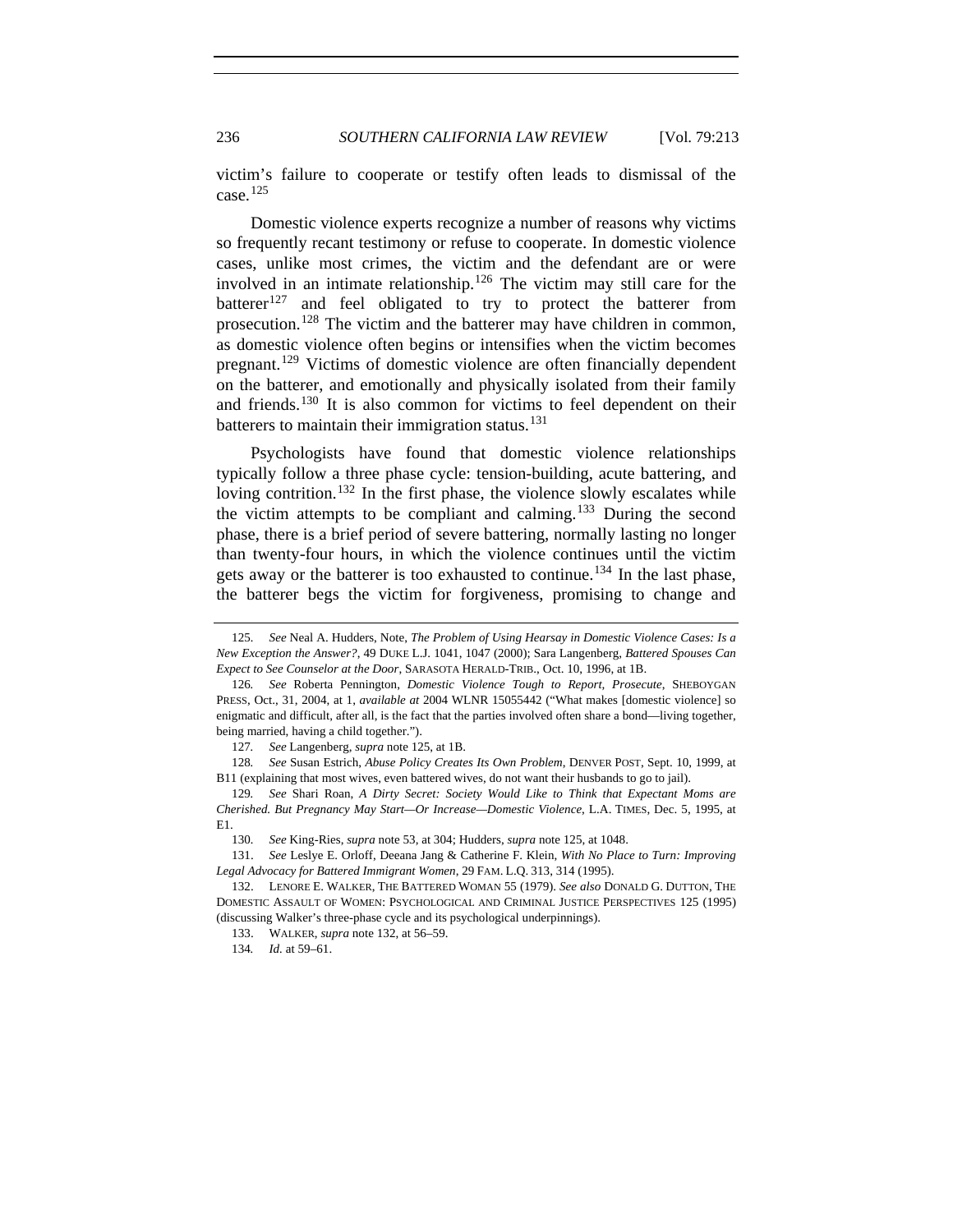victim's failure to cooperate or testify often leads to dismissal of the case.[125](#page-23-0)

Domestic violence experts recognize a number of reasons why victims so frequently recant testimony or refuse to cooperate. In domestic violence cases, unlike most crimes, the victim and the defendant are or were involved in an intimate relationship.[126](#page-23-1) The victim may still care for the batterer<sup>[127](#page-23-2)</sup> and feel obligated to try to protect the batterer from prosecution.<sup>[128](#page-23-3)</sup> The victim and the batterer may have children in common, as domestic violence often begins or intensifies when the victim becomes pregnant.[129](#page-23-4) Victims of domestic violence are often financially dependent on the batterer, and emotionally and physically isolated from their family and friends.[130](#page-23-5) It is also common for victims to feel dependent on their batterers to maintain their immigration status. $131$ 

Psychologists have found that domestic violence relationships typically follow a three phase cycle: tension-building, acute battering, and loving contrition.<sup>[132](#page-23-7)</sup> In the first phase, the violence slowly escalates while the victim attempts to be compliant and calming.<sup>[133](#page-23-8)</sup> During the second phase, there is a brief period of severe battering, normally lasting no longer than twenty-four hours, in which the violence continues until the victim gets away or the batterer is too exhausted to continue.<sup>[134](#page-23-9)</sup> In the last phase, the batterer begs the victim for forgiveness, promising to change and

<span id="page-23-0"></span><sup>125</sup>*. See* Neal A. Hudders, Note, *The Problem of Using Hearsay in Domestic Violence Cases: Is a New Exception the Answer?*, 49 DUKE L.J. 1041, 1047 (2000); Sara Langenberg, *Battered Spouses Can Expect to See Counselor at the Door*, SARASOTA HERALD-TRIB., Oct. 10, 1996, at 1B.

<span id="page-23-1"></span><sup>126</sup>*. See* Roberta Pennington, *Domestic Violence Tough to Report, Prosecute*, SHEBOYGAN PRESS, Oct., 31, 2004, at 1, *available at* 2004 WLNR 15055442 ("What makes [domestic violence] so enigmatic and difficult, after all, is the fact that the parties involved often share a bond—living together, being married, having a child together.").

<sup>127</sup>*. See* Langenberg, *supra* note 125, at 1B.

<span id="page-23-3"></span><span id="page-23-2"></span><sup>128</sup>*. See* Susan Estrich, *Abuse Policy Creates Its Own Problem*, DENVER POST, Sept. 10, 1999, at B11 (explaining that most wives, even battered wives, do not want their husbands to go to jail).

<span id="page-23-4"></span><sup>129</sup>*. See* Shari Roan, *A Dirty Secret: Society Would Like to Think that Expectant Moms are Cherished. But Pregnancy May Start—Or Increase—Domestic Violence*, L.A. TIMES, Dec. 5, 1995, at  $E1$ .

<sup>130</sup>*. See* King-Ries, *supra* note 53, at 304; Hudders, *supra* note 125, at 1048.

<span id="page-23-6"></span><span id="page-23-5"></span> <sup>131.</sup> *See* Leslye E. Orloff, Deeana Jang & Catherine F. Klein, *With No Place to Turn: Improving Legal Advocacy for Battered Immigrant Women*, 29 FAM. L.Q. 313, 314 (1995).

<span id="page-23-9"></span><span id="page-23-8"></span><span id="page-23-7"></span> <sup>132.</sup> LENORE E. WALKER, THE BATTERED WOMAN 55 (1979). *See also* DONALD G. DUTTON, THE DOMESTIC ASSAULT OF WOMEN: PSYCHOLOGICAL AND CRIMINAL JUSTICE PERSPECTIVES 125 (1995) (discussing Walker's three-phase cycle and its psychological underpinnings).

 <sup>133.</sup> WALKER, *supra* note 132, at 56–59.

<sup>134</sup>*. Id.* at 59–61.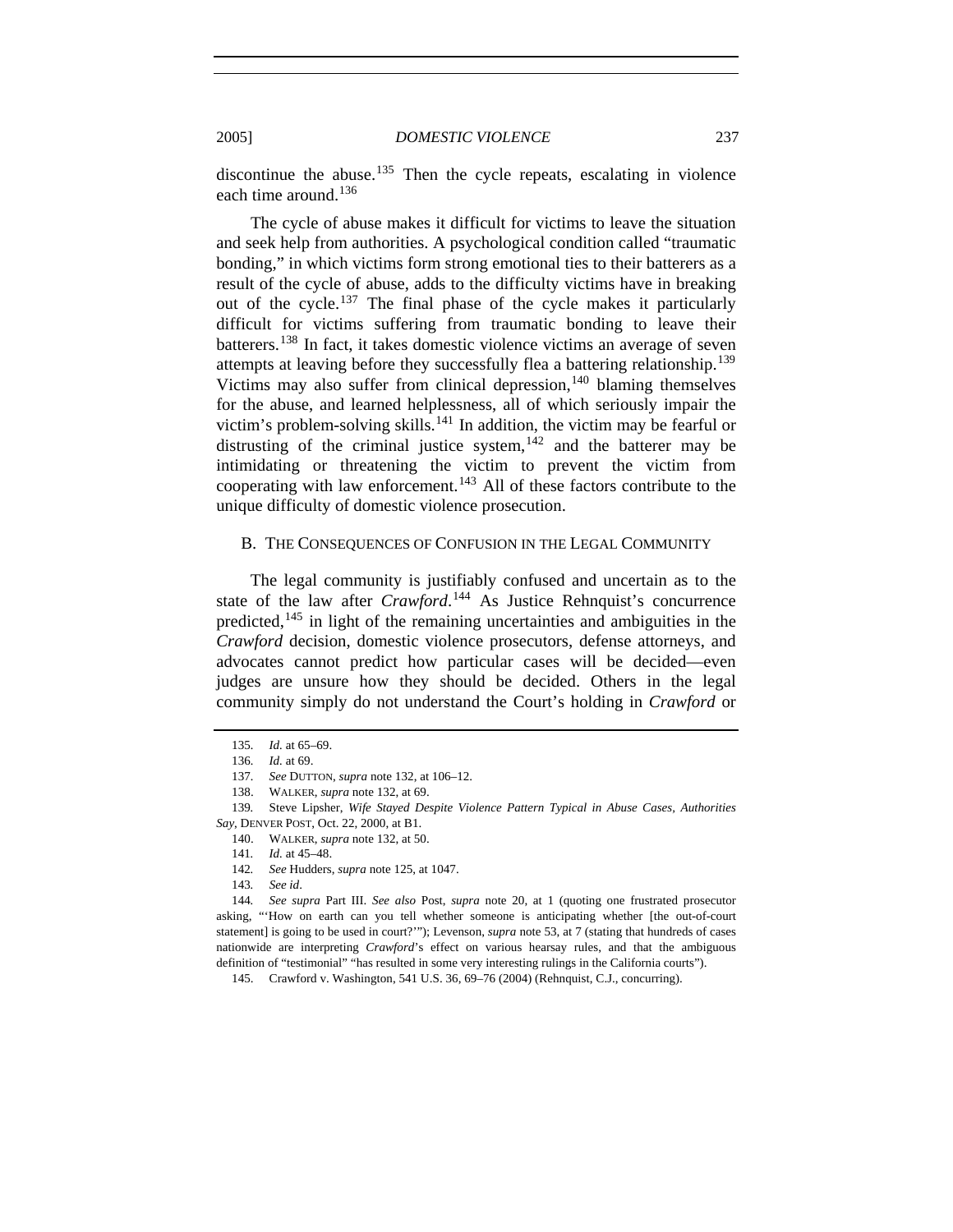discontinue the abuse.<sup>[135](#page-24-0)</sup> Then the cycle repeats, escalating in violence each time around.<sup>[136](#page-24-1)</sup>

The cycle of abuse makes it difficult for victims to leave the situation and seek help from authorities. A psychological condition called "traumatic bonding," in which victims form strong emotional ties to their batterers as a result of the cycle of abuse, adds to the difficulty victims have in breaking out of the cycle.[137](#page-24-2) The final phase of the cycle makes it particularly difficult for victims suffering from traumatic bonding to leave their batterers.[138](#page-24-3) In fact, it takes domestic violence victims an average of seven attempts at leaving before they successfully flea a battering relationship.[139](#page-24-4) Victims may also suffer from clinical depression, $140$  blaming themselves for the abuse, and learned helplessness, all of which seriously impair the victim's problem-solving skills.<sup>[141](#page-24-6)</sup> In addition, the victim may be fearful or distrusting of the criminal justice system,  $142$  and the batterer may be intimidating or threatening the victim to prevent the victim from cooperating with law enforcement.<sup>[143](#page-24-8)</sup> All of these factors contribute to the unique difficulty of domestic violence prosecution.

## B. THE CONSEQUENCES OF CONFUSION IN THE LEGAL COMMUNITY

The legal community is justifiably confused and uncertain as to the state of the law after *Crawford*.<sup>[144](#page-24-9)</sup> As Justice Rehnquist's concurrence predicted,[145](#page-24-10) in light of the remaining uncertainties and ambiguities in the *Crawford* decision, domestic violence prosecutors, defense attorneys, and advocates cannot predict how particular cases will be decided—even judges are unsure how they should be decided. Others in the legal community simply do not understand the Court's holding in *Crawford* or

<sup>135</sup>*. Id.* at 65–69.

<sup>136</sup>*. Id.* at 69.

<sup>137</sup>*. See* DUTTON, *supra* note 132, at 106–12.

 <sup>138.</sup> WALKER, *supra* note 132, at 69.

<span id="page-24-6"></span><span id="page-24-5"></span><span id="page-24-4"></span><span id="page-24-3"></span><span id="page-24-2"></span><span id="page-24-1"></span><span id="page-24-0"></span><sup>139</sup>*.* Steve Lipsher, *Wife Stayed Despite Violence Pattern Typical in Abuse Cases, Authorities Say*, DENVER POST, Oct. 22, 2000, at B1.

 <sup>140.</sup> WALKER, *supra* note 132, at 50.

<sup>141</sup>*. Id.* at 45–48.

<sup>142</sup>*. See* Hudders, *supra* note 125, at 1047.

<sup>143</sup>*. See id*.

<span id="page-24-10"></span><span id="page-24-9"></span><span id="page-24-8"></span><span id="page-24-7"></span><sup>144</sup>*. See supra* Part III. *See also* Post, *supra* note 20, at 1 (quoting one frustrated prosecutor asking, "'How on earth can you tell whether someone is anticipating whether [the out-of-court statement] is going to be used in court?'"); Levenson, *supra* note 53, at 7 (stating that hundreds of cases nationwide are interpreting *Crawford*'s effect on various hearsay rules, and that the ambiguous definition of "testimonial" "has resulted in some very interesting rulings in the California courts").

 <sup>145.</sup> Crawford v. Washington, 541 U.S. 36, 69–76 (2004) (Rehnquist, C.J., concurring).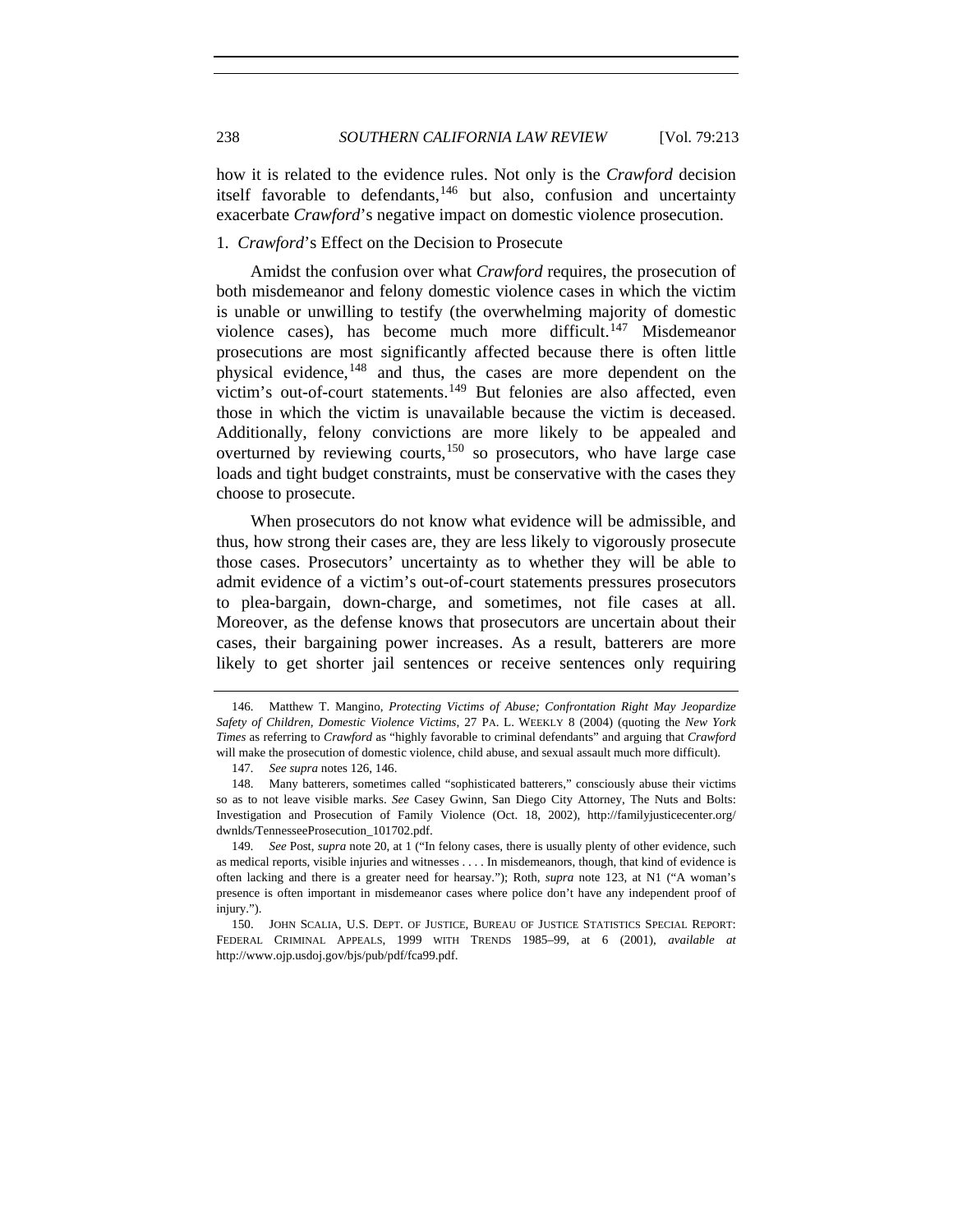how it is related to the evidence rules. Not only is the *Crawford* decision itself favorable to defendants,  $146$  but also, confusion and uncertainty exacerbate *Crawford*'s negative impact on domestic violence prosecution.

# 1. *Crawford*'s Effect on the Decision to Prosecute

Amidst the confusion over what *Crawford* requires, the prosecution of both misdemeanor and felony domestic violence cases in which the victim is unable or unwilling to testify (the overwhelming majority of domestic violence cases), has become much more difficult.<sup>[147](#page-25-1)</sup> Misdemeanor prosecutions are most significantly affected because there is often little physical evidence,<sup>[148](#page-25-2)</sup> and thus, the cases are more dependent on the victim's out-of-court statements.<sup>[149](#page-25-3)</sup> But felonies are also affected, even those in which the victim is unavailable because the victim is deceased. Additionally, felony convictions are more likely to be appealed and overturned by reviewing courts, $150$  so prosecutors, who have large case loads and tight budget constraints, must be conservative with the cases they choose to prosecute.

When prosecutors do not know what evidence will be admissible, and thus, how strong their cases are, they are less likely to vigorously prosecute those cases. Prosecutors' uncertainty as to whether they will be able to admit evidence of a victim's out-of-court statements pressures prosecutors to plea-bargain, down-charge, and sometimes, not file cases at all. Moreover, as the defense knows that prosecutors are uncertain about their cases, their bargaining power increases. As a result, batterers are more likely to get shorter jail sentences or receive sentences only requiring

<span id="page-25-0"></span> <sup>146.</sup> Matthew T. Mangino, *Protecting Victims of Abuse; Confrontation Right May Jeopardize Safety of Children, Domestic Violence Victims*, 27 PA. L. WEEKLY 8 (2004) (quoting the *New York Times* as referring to *Crawford* as "highly favorable to criminal defendants" and arguing that *Crawford* will make the prosecution of domestic violence, child abuse, and sexual assault much more difficult).

<sup>147</sup>*. See supra* notes 126, 146.

<span id="page-25-2"></span><span id="page-25-1"></span> <sup>148.</sup> Many batterers, sometimes called "sophisticated batterers," consciously abuse their victims so as to not leave visible marks. *See* Casey Gwinn, San Diego City Attorney, The Nuts and Bolts: Investigation and Prosecution of Family Violence (Oct. 18, 2002), http://familyjusticecenter.org/ dwnlds/TennesseeProsecution\_101702.pdf.

<span id="page-25-3"></span><sup>149</sup>*. See* Post, *supra* note 20, at 1 ("In felony cases, there is usually plenty of other evidence, such as medical reports, visible injuries and witnesses . . . . In misdemeanors, though, that kind of evidence is often lacking and there is a greater need for hearsay."); Roth, *supra* note 123, at N1 ("A woman's presence is often important in misdemeanor cases where police don't have any independent proof of injury.").

<span id="page-25-4"></span> <sup>150.</sup> JOHN SCALIA, U.S. DEPT. OF JUSTICE, BUREAU OF JUSTICE STATISTICS SPECIAL REPORT: FEDERAL CRIMINAL APPEALS, 1999 WITH TRENDS 1985–99, at 6 (2001), *available at* http://www.ojp.usdoj.gov/bjs/pub/pdf/fca99.pdf.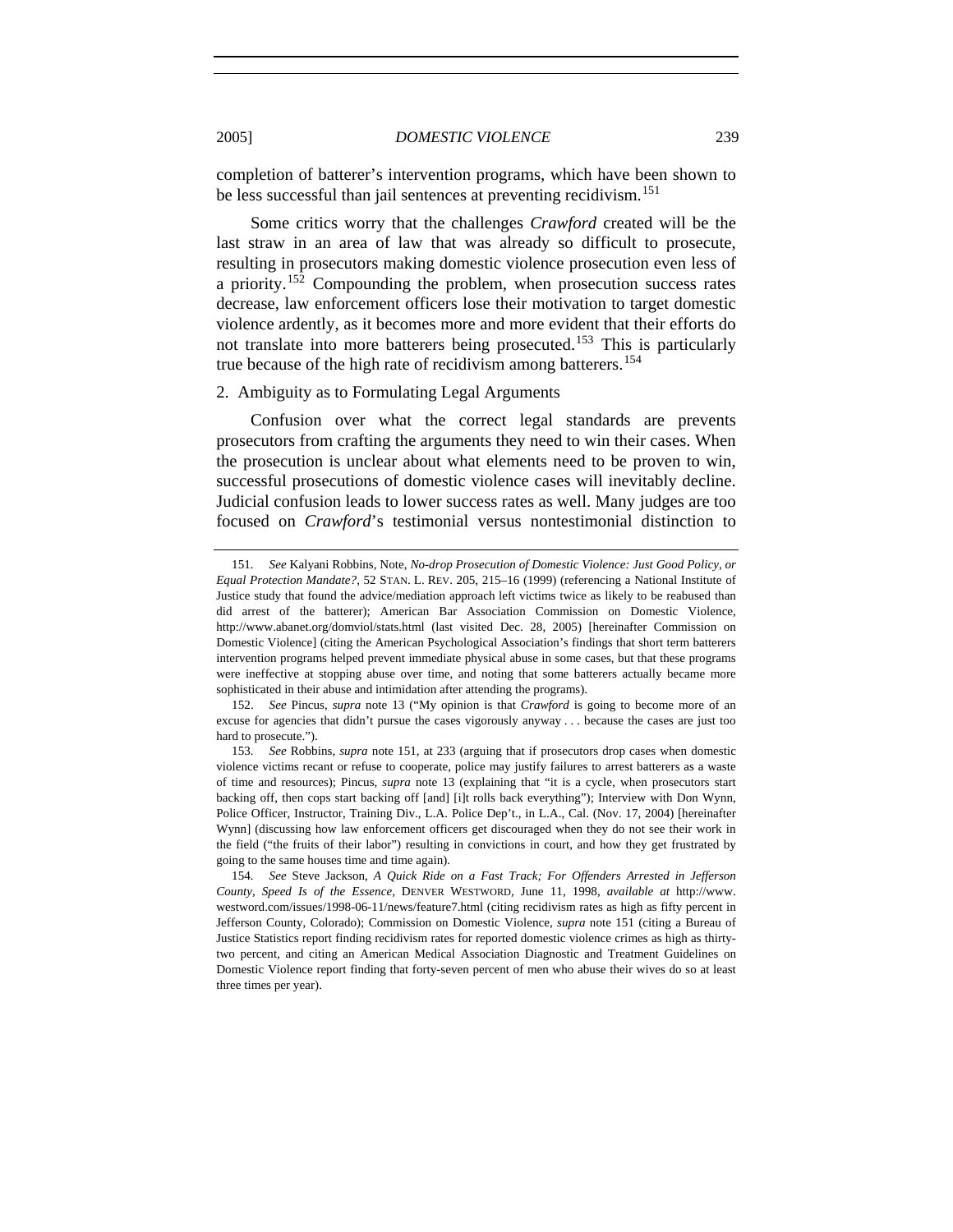completion of batterer's intervention programs, which have been shown to be less successful than jail sentences at preventing recidivism.<sup>[151](#page-26-0)</sup>

Some critics worry that the challenges *Crawford* created will be the last straw in an area of law that was already so difficult to prosecute, resulting in prosecutors making domestic violence prosecution even less of a priority.[152](#page-26-1) Compounding the problem, when prosecution success rates decrease, law enforcement officers lose their motivation to target domestic violence ardently, as it becomes more and more evident that their efforts do not translate into more batterers being prosecuted.<sup>[153](#page-26-2)</sup> This is particularly true because of the high rate of recidivism among batterers.<sup>[154](#page-26-3)</sup>

## 2. Ambiguity as to Formulating Legal Arguments

Confusion over what the correct legal standards are prevents prosecutors from crafting the arguments they need to win their cases. When the prosecution is unclear about what elements need to be proven to win, successful prosecutions of domestic violence cases will inevitably decline. Judicial confusion leads to lower success rates as well. Many judges are too focused on *Crawford*'s testimonial versus nontestimonial distinction to

<span id="page-26-0"></span><sup>151</sup>*. See* Kalyani Robbins, Note, *No-drop Prosecution of Domestic Violence: Just Good Policy, or Equal Protection Mandate?*, 52 STAN. L. REV. 205, 215–16 (1999) (referencing a National Institute of Justice study that found the advice/mediation approach left victims twice as likely to be reabused than did arrest of the batterer); American Bar Association Commission on Domestic Violence, http://www.abanet.org/domviol/stats.html (last visited Dec. 28, 2005) [hereinafter Commission on Domestic Violence] (citing the American Psychological Association's findings that short term batterers intervention programs helped prevent immediate physical abuse in some cases, but that these programs were ineffective at stopping abuse over time, and noting that some batterers actually became more sophisticated in their abuse and intimidation after attending the programs).

<span id="page-26-1"></span> <sup>152.</sup> *See* Pincus, *supra* note 13 ("My opinion is that *Crawford* is going to become more of an excuse for agencies that didn't pursue the cases vigorously anyway . . . because the cases are just too hard to prosecute.").

<span id="page-26-2"></span><sup>153</sup>*. See* Robbins, *supra* note 151, at 233 (arguing that if prosecutors drop cases when domestic violence victims recant or refuse to cooperate, police may justify failures to arrest batterers as a waste of time and resources); Pincus, *supra* note 13 (explaining that "it is a cycle, when prosecutors start backing off, then cops start backing off [and] [i]t rolls back everything"); Interview with Don Wynn, Police Officer, Instructor, Training Div., L.A. Police Dep't., in L.A., Cal. (Nov. 17, 2004) [hereinafter Wynn] (discussing how law enforcement officers get discouraged when they do not see their work in the field ("the fruits of their labor") resulting in convictions in court, and how they get frustrated by going to the same houses time and time again).

<span id="page-26-3"></span><sup>154</sup>*. See* Steve Jackson, *A Quick Ride on a Fast Track; For Offenders Arrested in Jefferson County, Speed Is of the Essence*, DENVER WESTWORD, June 11, 1998, *available at* http://www. westword.com/issues/1998-06-11/news/feature7.html (citing recidivism rates as high as fifty percent in Jefferson County, Colorado); Commission on Domestic Violence, *supra* note 151 (citing a Bureau of Justice Statistics report finding recidivism rates for reported domestic violence crimes as high as thirtytwo percent, and citing an American Medical Association Diagnostic and Treatment Guidelines on Domestic Violence report finding that forty-seven percent of men who abuse their wives do so at least three times per year).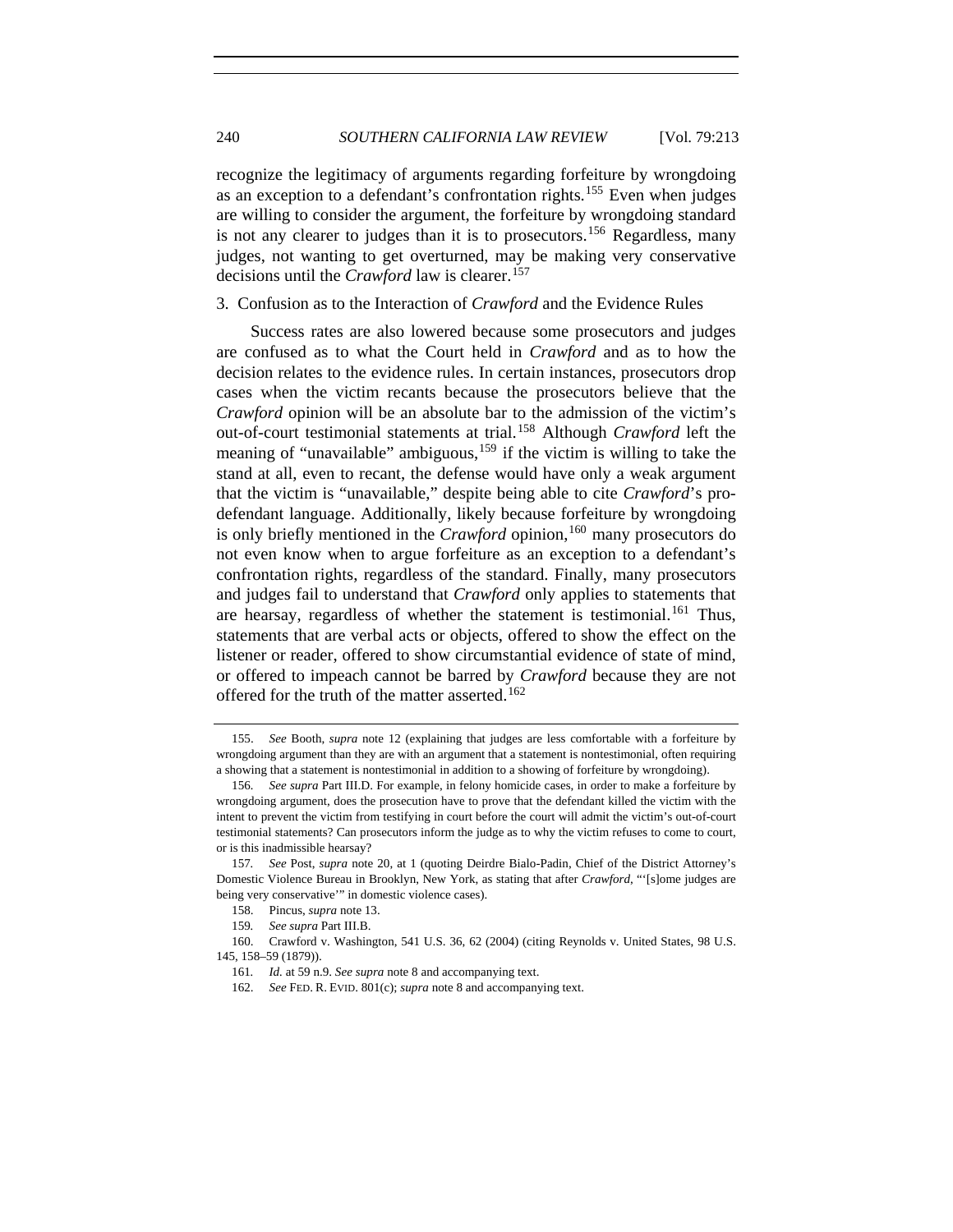recognize the legitimacy of arguments regarding forfeiture by wrongdoing as an exception to a defendant's confrontation rights.<sup>[155](#page-27-0)</sup> Even when judges are willing to consider the argument, the forfeiture by wrongdoing standard is not any clearer to judges than it is to prosecutors.<sup>[156](#page-27-1)</sup> Regardless, many judges, not wanting to get overturned, may be making very conservative decisions until the *Crawford* law is clearer.<sup>[157](#page-27-2)</sup>

## 3. Confusion as to the Interaction of *Crawford* and the Evidence Rules

Success rates are also lowered because some prosecutors and judges are confused as to what the Court held in *Crawford* and as to how the decision relates to the evidence rules. In certain instances, prosecutors drop cases when the victim recants because the prosecutors believe that the *Crawford* opinion will be an absolute bar to the admission of the victim's out-of-court testimonial statements at trial.[158](#page-27-3) Although *Crawford* left the meaning of "unavailable" ambiguous,<sup>[159](#page-27-4)</sup> if the victim is willing to take the stand at all, even to recant, the defense would have only a weak argument that the victim is "unavailable," despite being able to cite *Crawford*'s prodefendant language. Additionally, likely because forfeiture by wrongdoing is only briefly mentioned in the *Crawford* opinion,<sup>[160](#page-27-5)</sup> many prosecutors do not even know when to argue forfeiture as an exception to a defendant's confrontation rights, regardless of the standard. Finally, many prosecutors and judges fail to understand that *Crawford* only applies to statements that are hearsay, regardless of whether the statement is testimonial.<sup>[161](#page-27-6)</sup> Thus, statements that are verbal acts or objects, offered to show the effect on the listener or reader, offered to show circumstantial evidence of state of mind, or offered to impeach cannot be barred by *Crawford* because they are not offered for the truth of the matter asserted.<sup>[162](#page-27-7)</sup>

<span id="page-27-0"></span> <sup>155.</sup> *See* Booth, *supra* note 12 (explaining that judges are less comfortable with a forfeiture by wrongdoing argument than they are with an argument that a statement is nontestimonial, often requiring a showing that a statement is nontestimonial in addition to a showing of forfeiture by wrongdoing).

<span id="page-27-1"></span><sup>156</sup>*. See supra* Part III.D. For example, in felony homicide cases, in order to make a forfeiture by wrongdoing argument, does the prosecution have to prove that the defendant killed the victim with the intent to prevent the victim from testifying in court before the court will admit the victim's out-of-court testimonial statements? Can prosecutors inform the judge as to why the victim refuses to come to court, or is this inadmissible hearsay?

<span id="page-27-2"></span><sup>157</sup>*. See* Post, *supra* note 20, at 1 (quoting Deirdre Bialo-Padin, Chief of the District Attorney's Domestic Violence Bureau in Brooklyn, New York, as stating that after *Crawford*, "'[s]ome judges are being very conservative'" in domestic violence cases).

 <sup>158.</sup> Pincus, *supra* note 13.

<sup>159</sup>*. See supra* Part III.B.

<span id="page-27-7"></span><span id="page-27-6"></span><span id="page-27-5"></span><span id="page-27-4"></span><span id="page-27-3"></span> <sup>160.</sup> Crawford v. Washington, 541 U.S. 36, 62 (2004) (citing Reynolds v. United States, 98 U.S. 145, 158–59 (1879)).

<sup>161</sup>*. Id.* at 59 n.9. *See supra* note 8 and accompanying text.

 <sup>162.</sup> *See* FED. R. EVID. 801(c); *supra* note 8 and accompanying text.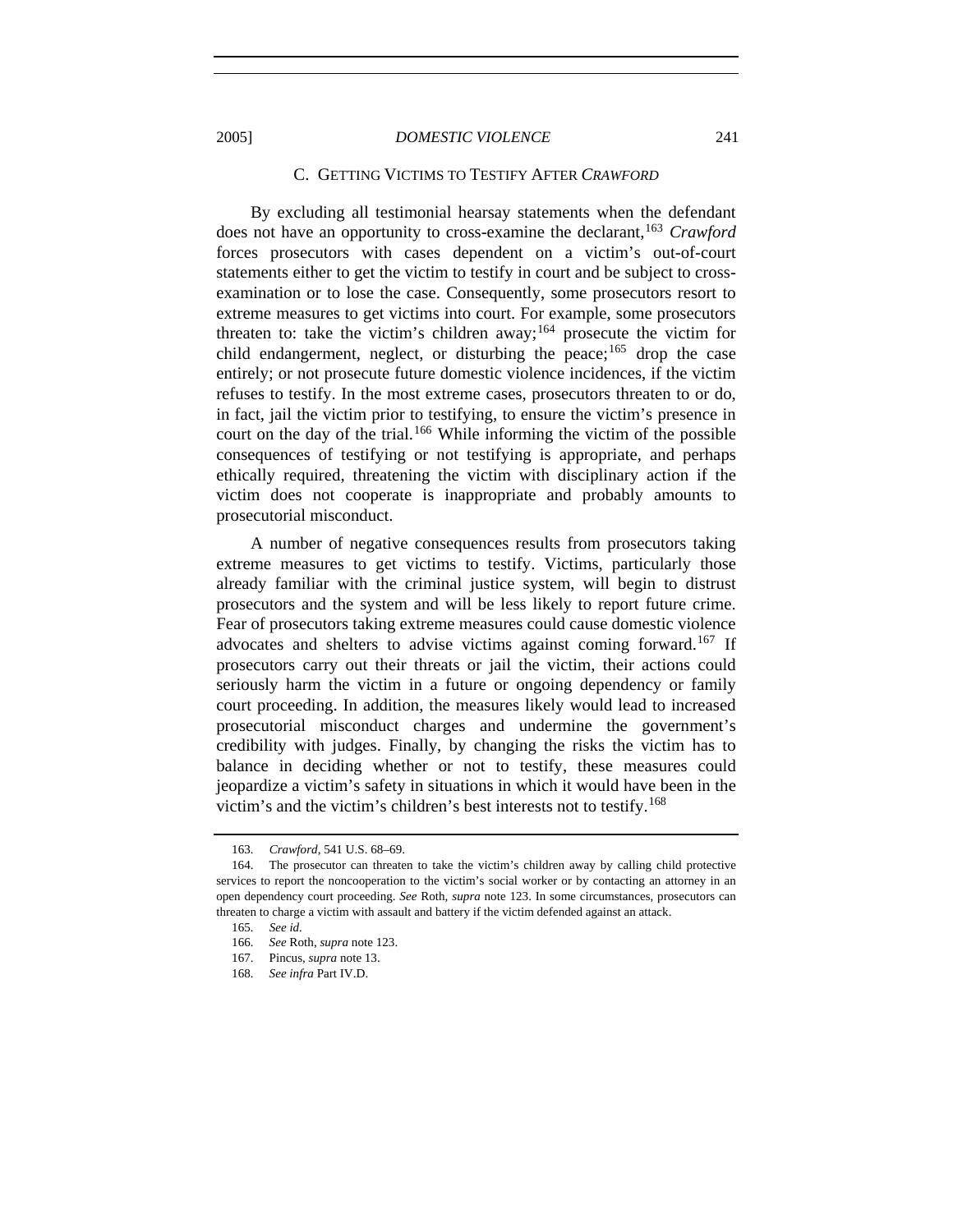#### C. GETTING VICTIMS TO TESTIFY AFTER *CRAWFORD*

By excluding all testimonial hearsay statements when the defendant does not have an opportunity to cross-examine the declarant,<sup>[163](#page-28-0)</sup> *Crawford* forces prosecutors with cases dependent on a victim's out-of-court statements either to get the victim to testify in court and be subject to crossexamination or to lose the case. Consequently, some prosecutors resort to extreme measures to get victims into court. For example, some prosecutors threaten to: take the victim's children away;<sup>[164](#page-28-1)</sup> prosecute the victim for child endangerment, neglect, or disturbing the peace;  $165$  drop the case entirely; or not prosecute future domestic violence incidences, if the victim refuses to testify. In the most extreme cases, prosecutors threaten to or do, in fact, jail the victim prior to testifying, to ensure the victim's presence in court on the day of the trial.<sup>166</sup> While informing the victim of the possible consequences of testifying or not testifying is appropriate, and perhaps ethically required, threatening the victim with disciplinary action if the victim does not cooperate is inappropriate and probably amounts to prosecutorial misconduct.

A number of negative consequences results from prosecutors taking extreme measures to get victims to testify. Victims, particularly those already familiar with the criminal justice system, will begin to distrust prosecutors and the system and will be less likely to report future crime. Fear of prosecutors taking extreme measures could cause domestic violence advocates and shelters to advise victims against coming forward.<sup>[167](#page-28-4)</sup> If prosecutors carry out their threats or jail the victim, their actions could seriously harm the victim in a future or ongoing dependency or family court proceeding. In addition, the measures likely would lead to increased prosecutorial misconduct charges and undermine the government's credibility with judges. Finally, by changing the risks the victim has to balance in deciding whether or not to testify, these measures could jeopardize a victim's safety in situations in which it would have been in the victim's and the victim's children's best interests not to testify.<sup>[168](#page-28-5)</sup>

<sup>163</sup>*. Crawford*, 541 U.S. 68–69.

<span id="page-28-3"></span><span id="page-28-2"></span><span id="page-28-1"></span><span id="page-28-0"></span> <sup>164.</sup> The prosecutor can threaten to take the victim's children away by calling child protective services to report the noncooperation to the victim's social worker or by contacting an attorney in an open dependency court proceeding. *See* Roth, *supra* note 123. In some circumstances, prosecutors can threaten to charge a victim with assault and battery if the victim defended against an attack.

<sup>165</sup>*. See id.*

<sup>166</sup>*. See* Roth, *supra* note 123.

<span id="page-28-4"></span> <sup>167.</sup> Pincus, *supra* note 13.

<span id="page-28-5"></span><sup>168</sup>*. See infra* Part IV.D.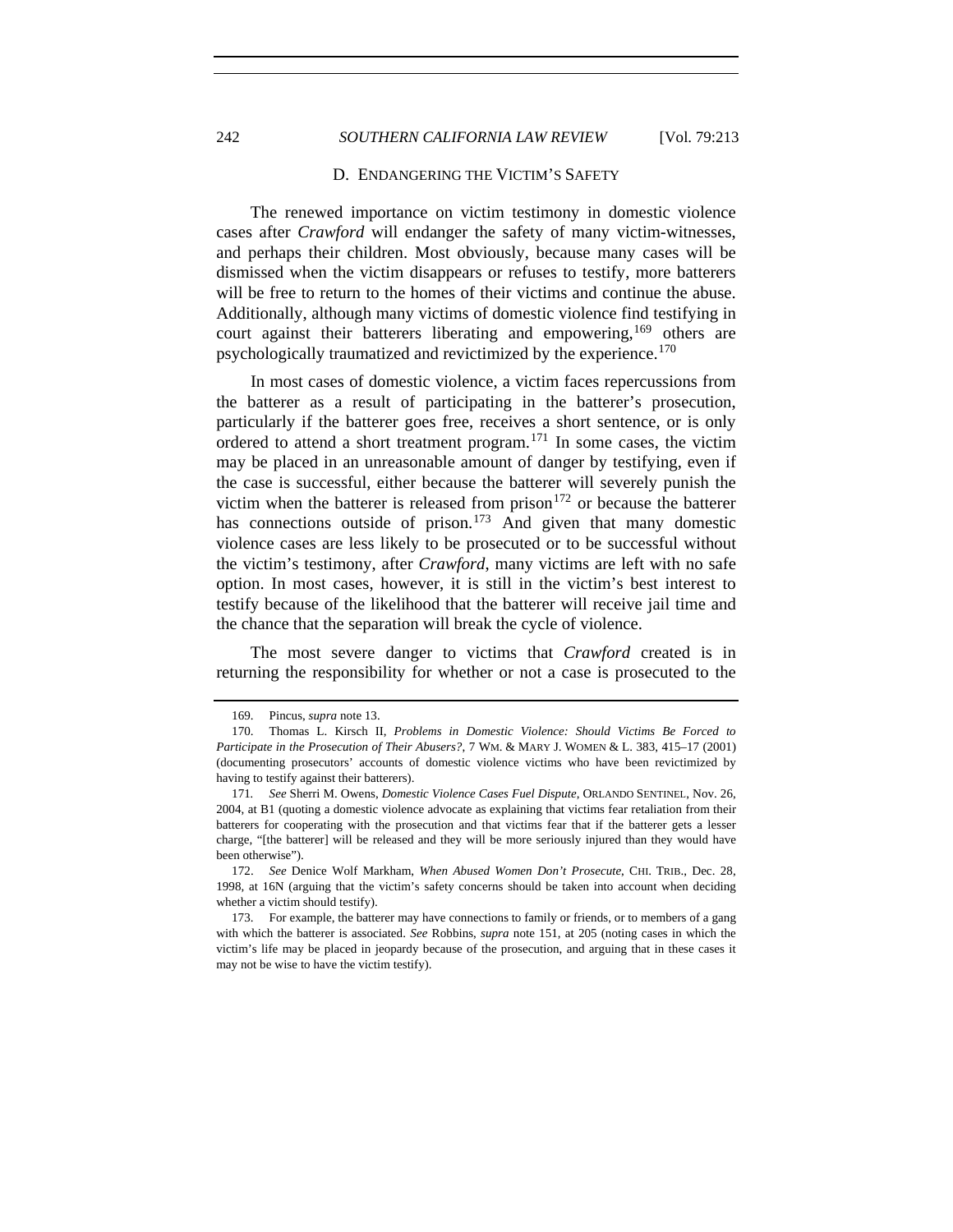## 242 *SOUTHERN CALIFORNIA LAW REVIEW* [Vol. 79:213

#### D. ENDANGERING THE VICTIM'S SAFETY

The renewed importance on victim testimony in domestic violence cases after *Crawford* will endanger the safety of many victim-witnesses, and perhaps their children. Most obviously, because many cases will be dismissed when the victim disappears or refuses to testify, more batterers will be free to return to the homes of their victims and continue the abuse. Additionally, although many victims of domestic violence find testifying in court against their batterers liberating and empowering,<sup>[169](#page-29-0)</sup> others are psychologically traumatized and revictimized by the experience.<sup>[170](#page-29-1)</sup>

In most cases of domestic violence, a victim faces repercussions from the batterer as a result of participating in the batterer's prosecution, particularly if the batterer goes free, receives a short sentence, or is only ordered to attend a short treatment program.<sup>[171](#page-29-2)</sup> In some cases, the victim may be placed in an unreasonable amount of danger by testifying, even if the case is successful, either because the batterer will severely punish the victim when the batterer is released from prison<sup>[172](#page-29-3)</sup> or because the batterer has connections outside of prison.<sup>[173](#page-29-4)</sup> And given that many domestic violence cases are less likely to be prosecuted or to be successful without the victim's testimony, after *Crawford*, many victims are left with no safe option. In most cases, however, it is still in the victim's best interest to testify because of the likelihood that the batterer will receive jail time and the chance that the separation will break the cycle of violence.

The most severe danger to victims that *Crawford* created is in returning the responsibility for whether or not a case is prosecuted to the

 <sup>169.</sup> Pincus, *supra* note 13.

<span id="page-29-1"></span><span id="page-29-0"></span> <sup>170.</sup> Thomas L. Kirsch II, *Problems in Domestic Violence: Should Victims Be Forced to Participate in the Prosecution of Their Abusers?*, 7 WM. & MARY J. WOMEN & L. 383, 415–17 (2001) (documenting prosecutors' accounts of domestic violence victims who have been revictimized by having to testify against their batterers).

<span id="page-29-2"></span><sup>171</sup>*. See* Sherri M. Owens, *Domestic Violence Cases Fuel Dispute*, ORLANDO SENTINEL, Nov. 26, 2004, at B1 (quoting a domestic violence advocate as explaining that victims fear retaliation from their batterers for cooperating with the prosecution and that victims fear that if the batterer gets a lesser charge, "[the batterer] will be released and they will be more seriously injured than they would have been otherwise").

<span id="page-29-3"></span> <sup>172.</sup> *See* Denice Wolf Markham, *When Abused Women Don't Prosecute*, CHI. TRIB., Dec. 28, 1998, at 16N (arguing that the victim's safety concerns should be taken into account when deciding whether a victim should testify).

<span id="page-29-4"></span> <sup>173.</sup> For example, the batterer may have connections to family or friends, or to members of a gang with which the batterer is associated. *See* Robbins, *supra* note 151, at 205 (noting cases in which the victim's life may be placed in jeopardy because of the prosecution, and arguing that in these cases it may not be wise to have the victim testify).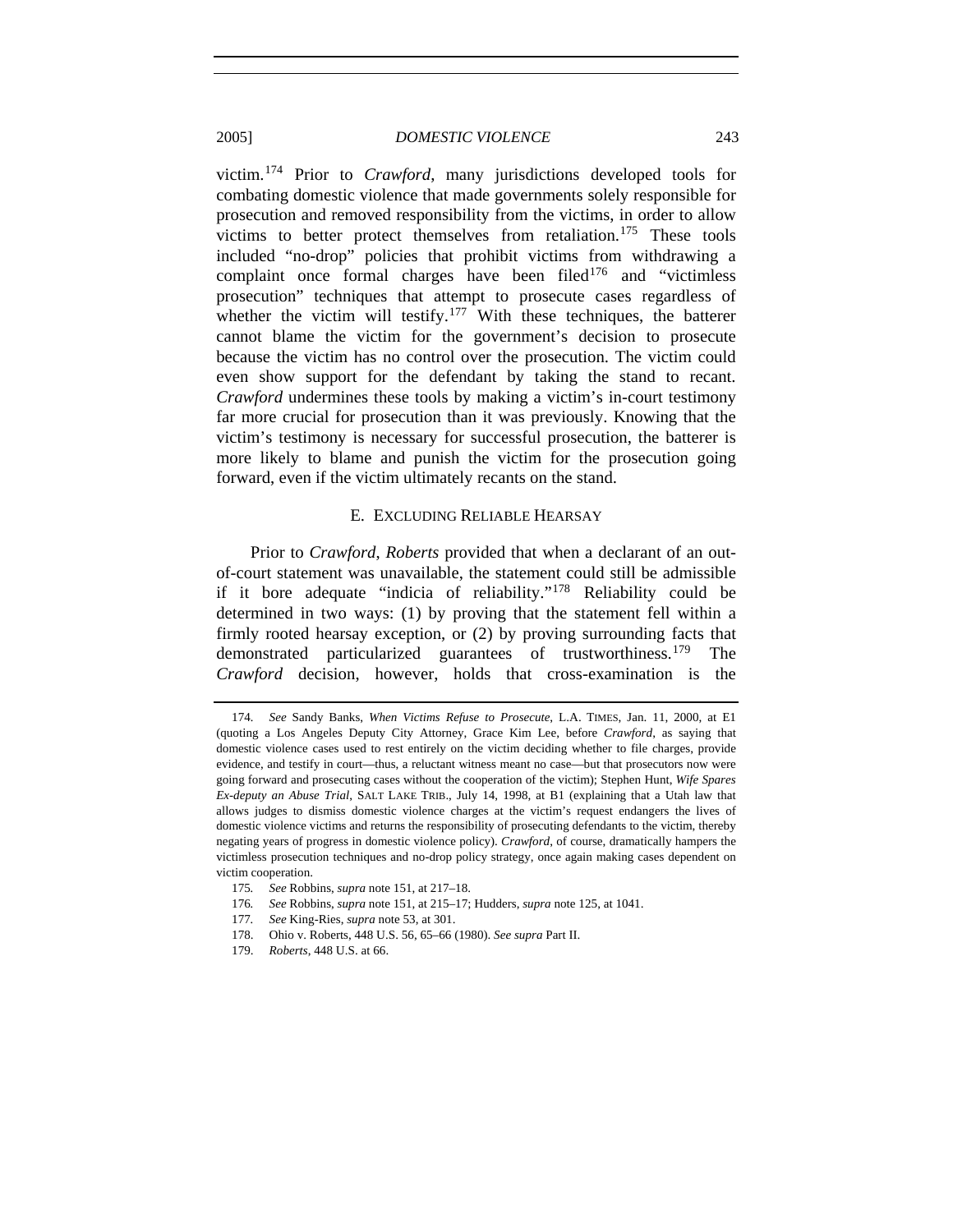victim.[174](#page-30-0) Prior to *Crawford*, many jurisdictions developed tools for combating domestic violence that made governments solely responsible for prosecution and removed responsibility from the victims, in order to allow victims to better protect themselves from retaliation.<sup>[175](#page-30-1)</sup> These tools included "no-drop" policies that prohibit victims from withdrawing a complaint once formal charges have been filed $176$  and "victimless prosecution" techniques that attempt to prosecute cases regardless of whether the victim will testify.<sup>[177](#page-30-3)</sup> With these techniques, the batterer cannot blame the victim for the government's decision to prosecute because the victim has no control over the prosecution. The victim could even show support for the defendant by taking the stand to recant. *Crawford* undermines these tools by making a victim's in-court testimony far more crucial for prosecution than it was previously. Knowing that the victim's testimony is necessary for successful prosecution, the batterer is more likely to blame and punish the victim for the prosecution going forward, even if the victim ultimately recants on the stand.

## E. EXCLUDING RELIABLE HEARSAY

Prior to *Crawford*, *Roberts* provided that when a declarant of an outof-court statement was unavailable, the statement could still be admissible if it bore adequate "indicia of reliability."[178](#page-30-4) Reliability could be determined in two ways: (1) by proving that the statement fell within a firmly rooted hearsay exception, or (2) by proving surrounding facts that demonstrated particularized guarantees of trustworthiness.<sup>[179](#page-30-5)</sup> The *Crawford* decision, however, holds that cross-examination is the

- <span id="page-30-2"></span>176*. See* Robbins, *supra* note 151, at 215–17; Hudders, *supra* note 125, at 1041.
- <span id="page-30-3"></span>177*. See* King-Ries, *supra* note 53, at 301.
- <span id="page-30-4"></span>178. Ohio v. Roberts, 448 U.S. 56, 65–66 (1980). *See supra* Part II.
- <span id="page-30-5"></span>179. *Roberts*, 448 U.S. at 66.

<span id="page-30-0"></span><sup>174</sup>*. See* Sandy Banks, *When Victims Refuse to Prosecute*, L.A. TIMES, Jan. 11, 2000, at E1 (quoting a Los Angeles Deputy City Attorney, Grace Kim Lee, before *Crawford*, as saying that domestic violence cases used to rest entirely on the victim deciding whether to file charges, provide evidence, and testify in court—thus, a reluctant witness meant no case—but that prosecutors now were going forward and prosecuting cases without the cooperation of the victim); Stephen Hunt, *Wife Spares Ex-deputy an Abuse Trial*, SALT LAKE TRIB., July 14, 1998, at B1 (explaining that a Utah law that allows judges to dismiss domestic violence charges at the victim's request endangers the lives of domestic violence victims and returns the responsibility of prosecuting defendants to the victim, thereby negating years of progress in domestic violence policy). *Crawford*, of course, dramatically hampers the victimless prosecution techniques and no-drop policy strategy, once again making cases dependent on victim cooperation.

<span id="page-30-1"></span><sup>175</sup>*. See* Robbins, *supra* note 151, at 217–18.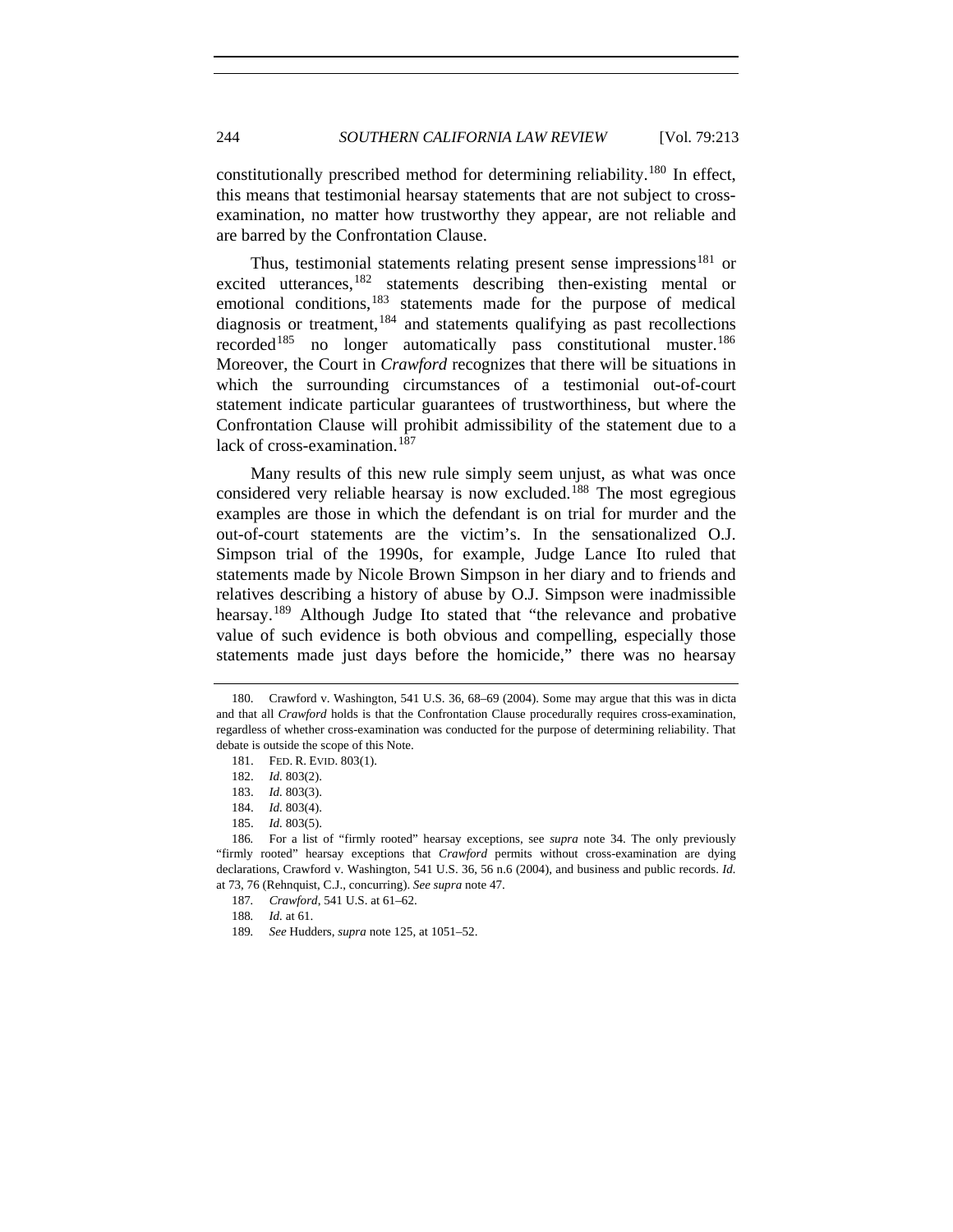constitutionally prescribed method for determining reliability.<sup>[180](#page-31-0)</sup> In effect, this means that testimonial hearsay statements that are not subject to crossexamination, no matter how trustworthy they appear, are not reliable and are barred by the Confrontation Clause.

Thus, testimonial statements relating present sense impressions<sup>[181](#page-31-1)</sup> or excited utterances,<sup>[182](#page-31-2)</sup> statements describing then-existing mental or emotional conditions,<sup>[183](#page-31-3)</sup> statements made for the purpose of medical diagnosis or treatment,  $184$  and statements qualifying as past recollections recorded<sup>[185](#page-31-5)</sup> no longer automatically pass constitutional muster.<sup>[186](#page-31-6)</sup> Moreover, the Court in *Crawford* recognizes that there will be situations in which the surrounding circumstances of a testimonial out-of-court statement indicate particular guarantees of trustworthiness, but where the Confrontation Clause will prohibit admissibility of the statement due to a lack of cross-examination.<sup>[187](#page-31-7)</sup>

Many results of this new rule simply seem unjust, as what was once considered very reliable hearsay is now excluded.<sup>[188](#page-31-8)</sup> The most egregious examples are those in which the defendant is on trial for murder and the out-of-court statements are the victim's. In the sensationalized O.J. Simpson trial of the 1990s, for example, Judge Lance Ito ruled that statements made by Nicole Brown Simpson in her diary and to friends and relatives describing a history of abuse by O.J. Simpson were inadmissible hearsay.<sup>[189](#page-31-9)</sup> Although Judge Ito stated that "the relevance and probative value of such evidence is both obvious and compelling, especially those statements made just days before the homicide," there was no hearsay

<span id="page-31-1"></span><span id="page-31-0"></span> <sup>180.</sup> Crawford v. Washington, 541 U.S. 36, 68–69 (2004). Some may argue that this was in dicta and that all *Crawford* holds is that the Confrontation Clause procedurally requires cross-examination, regardless of whether cross-examination was conducted for the purpose of determining reliability. That debate is outside the scope of this Note.

 <sup>181.</sup> FED. R. EVID. 803(1).

 <sup>182.</sup> *Id.* 803(2).

 <sup>183.</sup> *Id.* 803(3).

 <sup>184.</sup> *Id.* 803(4).

 <sup>185.</sup> *Id.* 803(5).

<span id="page-31-8"></span><span id="page-31-7"></span><span id="page-31-6"></span><span id="page-31-5"></span><span id="page-31-4"></span><span id="page-31-3"></span><span id="page-31-2"></span><sup>186</sup>*.* For a list of "firmly rooted" hearsay exceptions, see *supra* note 34. The only previously "firmly rooted" hearsay exceptions that *Crawford* permits without cross-examination are dying declarations, Crawford v. Washington, 541 U.S. 36, 56 n.6 (2004), and business and public records. *Id.* at 73, 76 (Rehnquist, C.J., concurring). *See supra* note 47.

<sup>187</sup>*. Crawford*, 541 U.S. at 61–62.

<sup>188</sup>*. Id.* at 61.

<span id="page-31-9"></span><sup>189</sup>*. See* Hudders, *supra* note 125, at 1051–52.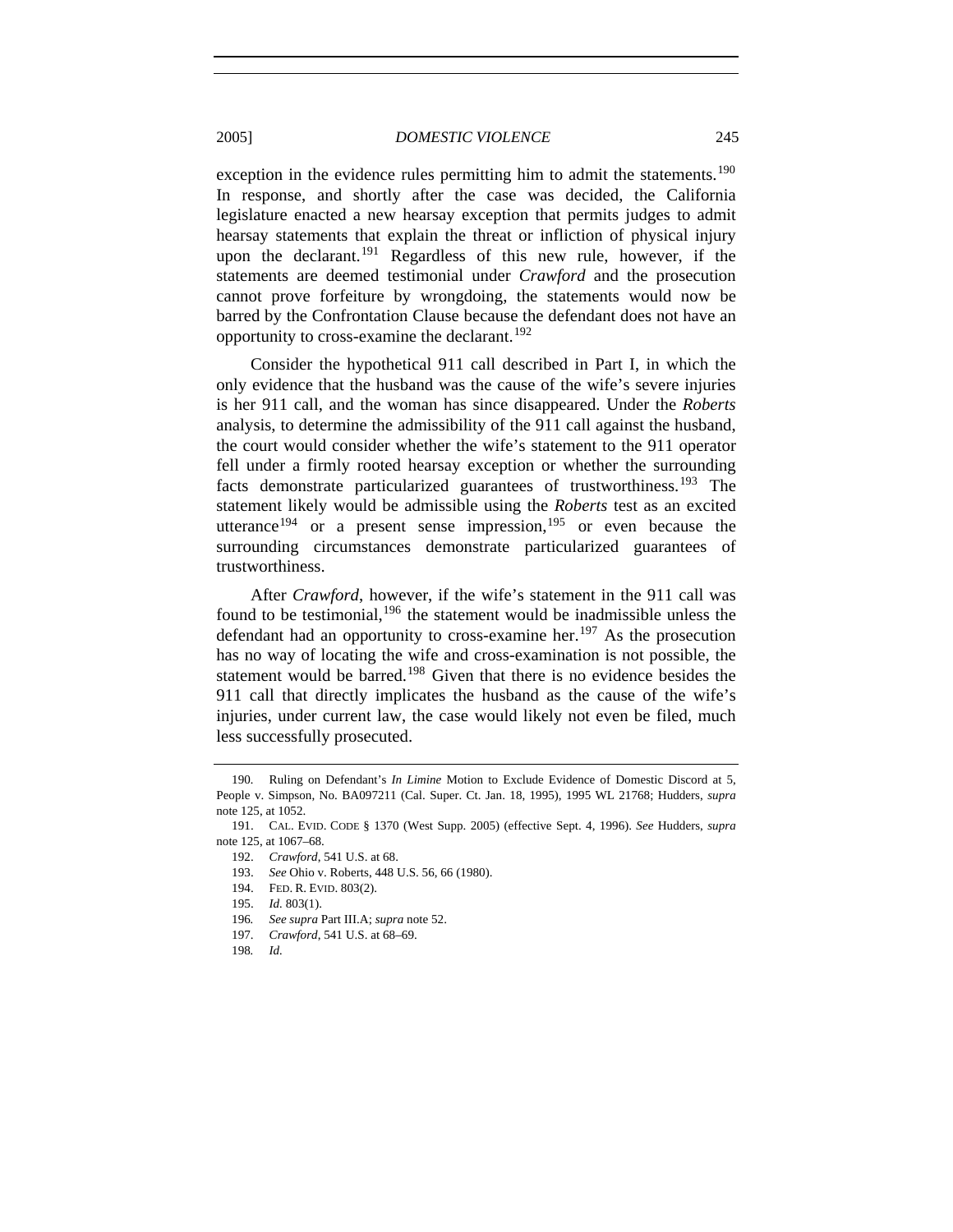exception in the evidence rules permitting him to admit the statements.<sup>[190](#page-32-0)</sup> In response, and shortly after the case was decided, the California legislature enacted a new hearsay exception that permits judges to admit hearsay statements that explain the threat or infliction of physical injury upon the declarant.<sup>[191](#page-32-1)</sup> Regardless of this new rule, however, if the statements are deemed testimonial under *Crawford* and the prosecution cannot prove forfeiture by wrongdoing, the statements would now be barred by the Confrontation Clause because the defendant does not have an opportunity to cross-examine the declarant.<sup>[192](#page-32-2)</sup>

Consider the hypothetical 911 call described in Part I, in which the only evidence that the husband was the cause of the wife's severe injuries is her 911 call, and the woman has since disappeared. Under the *Roberts* analysis, to determine the admissibility of the 911 call against the husband, the court would consider whether the wife's statement to the 911 operator fell under a firmly rooted hearsay exception or whether the surrounding facts demonstrate particularized guarantees of trustworthiness.<sup>[193](#page-32-3)</sup> The statement likely would be admissible using the *Roberts* test as an excited utterance<sup>[194](#page-32-4)</sup> or a present sense impression,<sup>[195](#page-32-5)</sup> or even because the surrounding circumstances demonstrate particularized guarantees of trustworthiness.

After *Crawford*, however, if the wife's statement in the 911 call was found to be testimonial,  $196$  the statement would be inadmissible unless the defendant had an opportunity to cross-examine her.<sup>[197](#page-32-7)</sup> As the prosecution has no way of locating the wife and cross-examination is not possible, the statement would be barred.<sup>[198](#page-32-8)</sup> Given that there is no evidence besides the 911 call that directly implicates the husband as the cause of the wife's injuries, under current law, the case would likely not even be filed, much less successfully prosecuted.

- 193. *See* Ohio v. Roberts, 448 U.S. 56, 66 (1980).
- 194. FED. R. EVID. 803(2).
- 195. *Id.* 803(1).
- <span id="page-32-7"></span><span id="page-32-6"></span>196*. See supra* Part III.A; *supra* note 52.
- 197. *Crawford*, 541 U.S. at 68–69.
- <span id="page-32-8"></span>198*. Id.*

<span id="page-32-0"></span><sup>190</sup>*.* Ruling on Defendant's *In Limine* Motion to Exclude Evidence of Domestic Discord at 5, People v. Simpson, No. BA097211 (Cal. Super. Ct. Jan. 18, 1995), 1995 WL 21768; Hudders, *supra* note 125, at 1052.

<span id="page-32-5"></span><span id="page-32-4"></span><span id="page-32-3"></span><span id="page-32-2"></span><span id="page-32-1"></span> <sup>191.</sup> CAL. EVID. CODE § 1370 (West Supp. 2005) (effective Sept. 4, 1996). *See* Hudders, *supra* note 125, at 1067–68.

 <sup>192.</sup> *Crawford*, 541 U.S. at 68.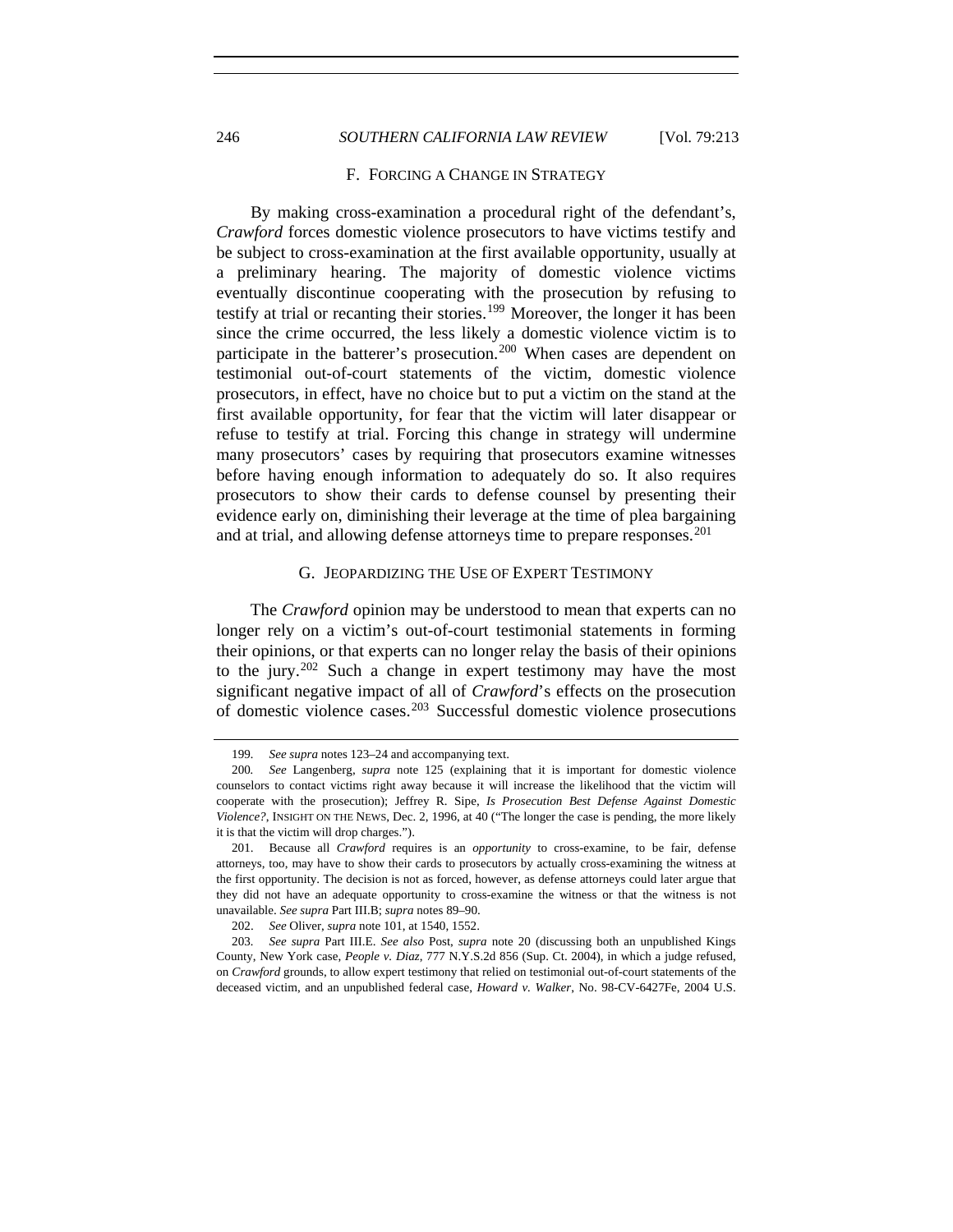246 *SOUTHERN CALIFORNIA LAW REVIEW* [Vol. 79:213

#### F. FORCING A CHANGE IN STRATEGY

By making cross-examination a procedural right of the defendant's, *Crawford* forces domestic violence prosecutors to have victims testify and be subject to cross-examination at the first available opportunity, usually at a preliminary hearing. The majority of domestic violence victims eventually discontinue cooperating with the prosecution by refusing to testify at trial or recanting their stories.<sup>[199](#page-33-0)</sup> Moreover, the longer it has been since the crime occurred, the less likely a domestic violence victim is to participate in the batterer's prosecution.<sup>[200](#page-33-1)</sup> When cases are dependent on testimonial out-of-court statements of the victim, domestic violence prosecutors, in effect, have no choice but to put a victim on the stand at the first available opportunity, for fear that the victim will later disappear or refuse to testify at trial. Forcing this change in strategy will undermine many prosecutors' cases by requiring that prosecutors examine witnesses before having enough information to adequately do so. It also requires prosecutors to show their cards to defense counsel by presenting their evidence early on, diminishing their leverage at the time of plea bargaining and at trial, and allowing defense attorneys time to prepare responses.<sup>[201](#page-33-2)</sup>

## G. JEOPARDIZING THE USE OF EXPERT TESTIMONY

The *Crawford* opinion may be understood to mean that experts can no longer rely on a victim's out-of-court testimonial statements in forming their opinions, or that experts can no longer relay the basis of their opinions to the jury.<sup>[202](#page-33-3)</sup> Such a change in expert testimony may have the most significant negative impact of all of *Crawford*'s effects on the prosecution of domestic violence cases.[203](#page-33-4) Successful domestic violence prosecutions

<sup>199</sup>*. See supra* notes 123–24 and accompanying text.

<span id="page-33-1"></span><span id="page-33-0"></span><sup>200</sup>*. See* Langenberg, *supra* note 125 (explaining that it is important for domestic violence counselors to contact victims right away because it will increase the likelihood that the victim will cooperate with the prosecution); Jeffrey R. Sipe, *Is Prosecution Best Defense Against Domestic Violence?*, INSIGHT ON THE NEWS, Dec. 2, 1996, at 40 ("The longer the case is pending, the more likely it is that the victim will drop charges.").

<span id="page-33-2"></span> <sup>201.</sup> Because all *Crawford* requires is an *opportunity* to cross-examine, to be fair, defense attorneys, too, may have to show their cards to prosecutors by actually cross-examining the witness at the first opportunity. The decision is not as forced, however, as defense attorneys could later argue that they did not have an adequate opportunity to cross-examine the witness or that the witness is not unavailable. *See supra* Part III.B; *supra* notes 89–90.

 <sup>202.</sup> *See* Oliver, *supra* note 101, at 1540, 1552.

<span id="page-33-4"></span><span id="page-33-3"></span><sup>203</sup>*. See supra* Part III.E. *See also* Post, *supra* note 20 (discussing both an unpublished Kings County, New York case, *People v. Diaz*, 777 N.Y.S.2d 856 (Sup. Ct. 2004), in which a judge refused, on *Crawford* grounds, to allow expert testimony that relied on testimonial out-of-court statements of the deceased victim, and an unpublished federal case, *Howard v. Walker*, No. 98-CV-6427Fe, 2004 U.S.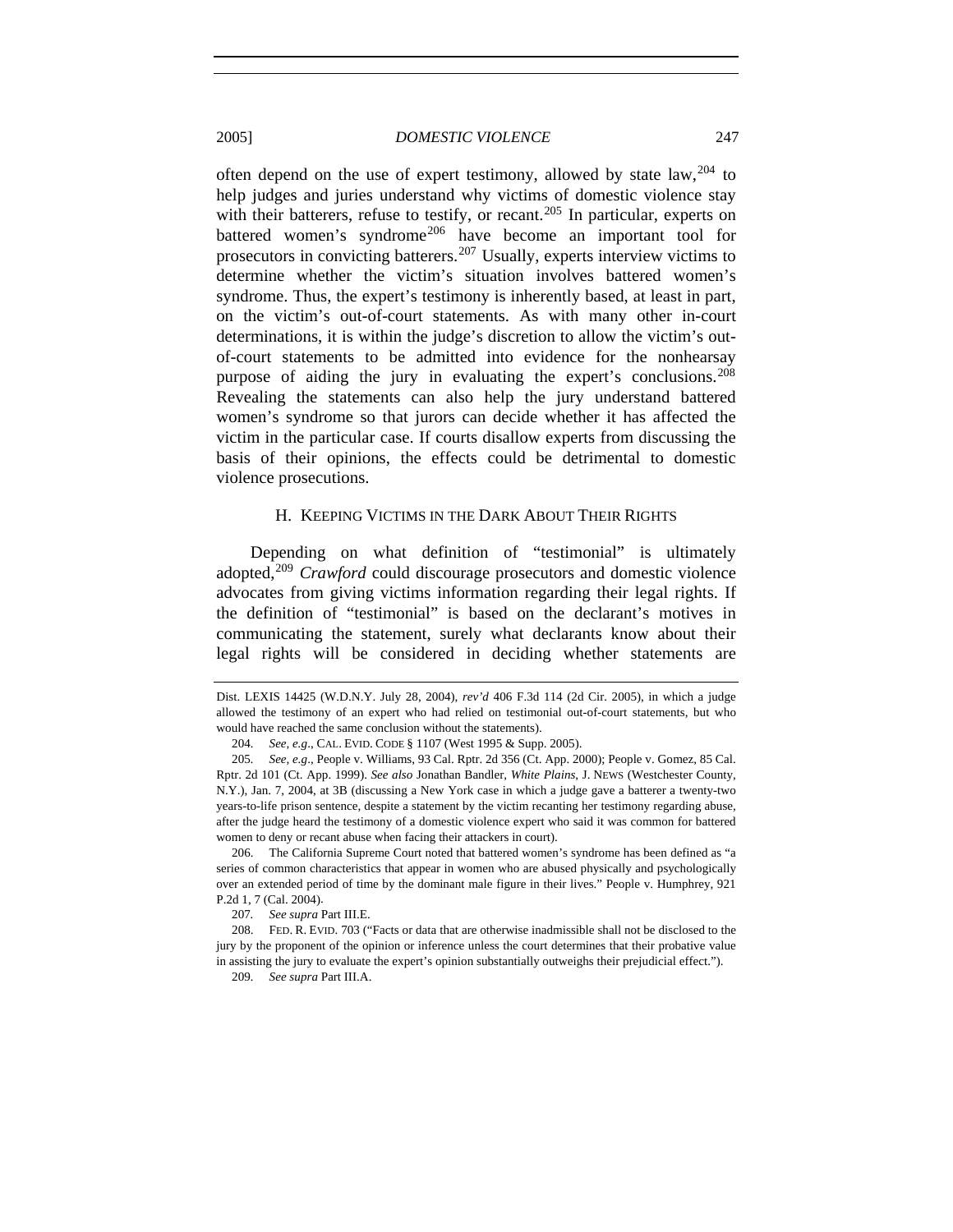often depend on the use of expert testimony, allowed by state  $law$ ,  $204$  to help judges and juries understand why victims of domestic violence stay with their batterers, refuse to testify, or recant.<sup>[205](#page-34-1)</sup> In particular, experts on battered women's syndrome<sup>[206](#page-34-2)</sup> have become an important tool for prosecutors in convicting batterers.[207](#page-34-3) Usually, experts interview victims to determine whether the victim's situation involves battered women's syndrome. Thus, the expert's testimony is inherently based, at least in part, on the victim's out-of-court statements. As with many other in-court determinations, it is within the judge's discretion to allow the victim's outof-court statements to be admitted into evidence for the nonhearsay purpose of aiding the jury in evaluating the expert's conclusions.<sup>[208](#page-34-4)</sup> Revealing the statements can also help the jury understand battered women's syndrome so that jurors can decide whether it has affected the victim in the particular case. If courts disallow experts from discussing the basis of their opinions, the effects could be detrimental to domestic violence prosecutions.

## H. KEEPING VICTIMS IN THE DARK ABOUT THEIR RIGHTS

Depending on what definition of "testimonial" is ultimately adopted,[209](#page-34-5) *Crawford* could discourage prosecutors and domestic violence advocates from giving victims information regarding their legal rights. If the definition of "testimonial" is based on the declarant's motives in communicating the statement, surely what declarants know about their legal rights will be considered in deciding whether statements are

Dist. LEXIS 14425 (W.D.N.Y. July 28, 2004), *rev'd* 406 F.3d 114 (2d Cir. 2005), in which a judge allowed the testimony of an expert who had relied on testimonial out-of-court statements, but who would have reached the same conclusion without the statements).

<sup>204</sup>*. See, e.g*., CAL. EVID. CODE § 1107 (West 1995 & Supp. 2005).

<span id="page-34-1"></span><span id="page-34-0"></span><sup>205</sup>*. See, e.g*., People v. Williams, 93 Cal. Rptr. 2d 356 (Ct. App. 2000); People v. Gomez, 85 Cal. Rptr. 2d 101 (Ct. App. 1999). *See also* Jonathan Bandler, *White Plains*, J. NEWS (Westchester County, N.Y.), Jan. 7, 2004, at 3B (discussing a New York case in which a judge gave a batterer a twenty-two years-to-life prison sentence, despite a statement by the victim recanting her testimony regarding abuse, after the judge heard the testimony of a domestic violence expert who said it was common for battered women to deny or recant abuse when facing their attackers in court).

<span id="page-34-2"></span> <sup>206.</sup> The California Supreme Court noted that battered women's syndrome has been defined as "a series of common characteristics that appear in women who are abused physically and psychologically over an extended period of time by the dominant male figure in their lives." People v. Humphrey, 921 P.2d 1, 7 (Cal. 2004).

<sup>207</sup>*. See supra* Part III.E.

<span id="page-34-5"></span><span id="page-34-4"></span><span id="page-34-3"></span> <sup>208.</sup> FED. R. EVID. 703 ("Facts or data that are otherwise inadmissible shall not be disclosed to the jury by the proponent of the opinion or inference unless the court determines that their probative value in assisting the jury to evaluate the expert's opinion substantially outweighs their prejudicial effect.").

<sup>209</sup>*. See supra* Part III.A.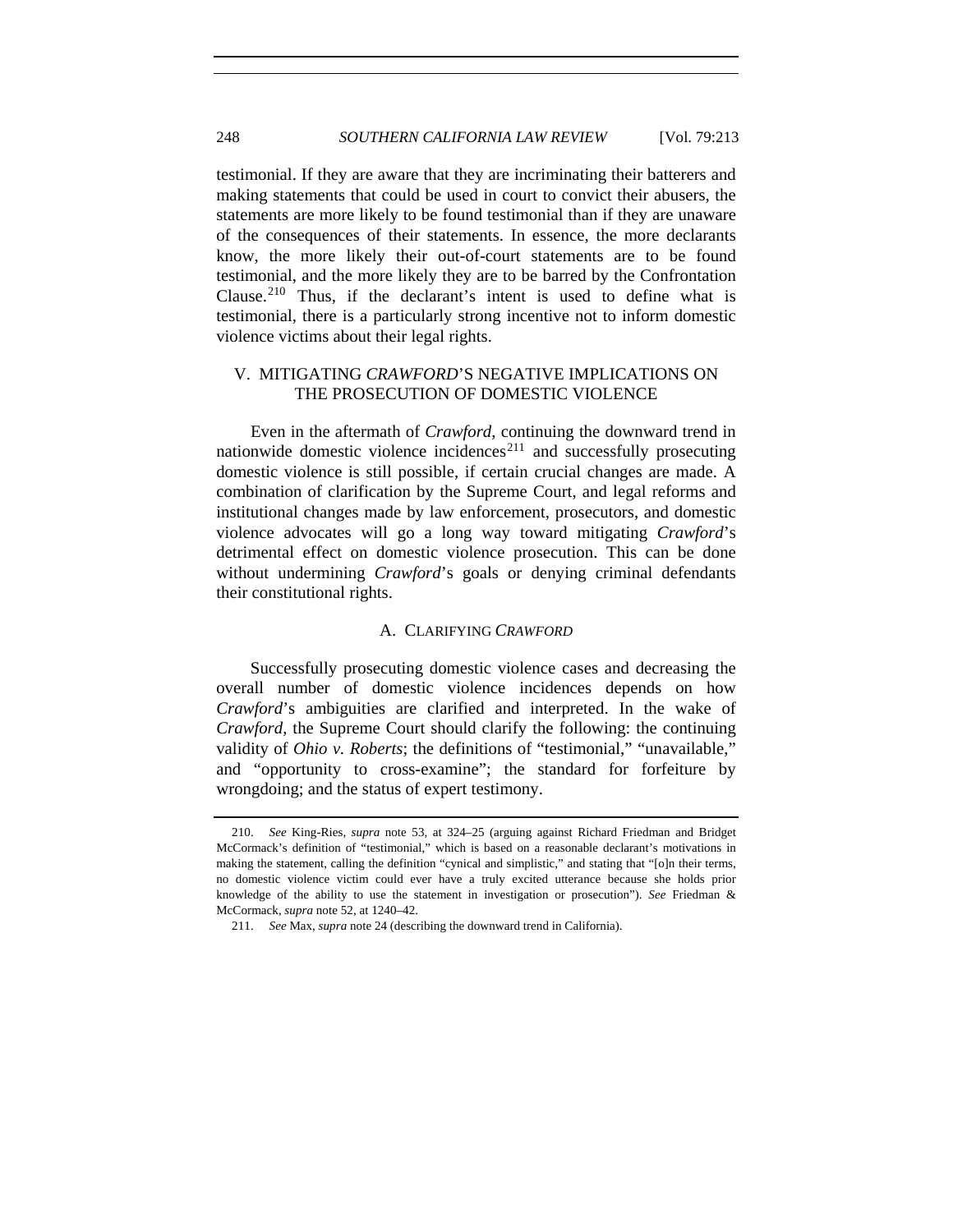testimonial. If they are aware that they are incriminating their batterers and making statements that could be used in court to convict their abusers, the statements are more likely to be found testimonial than if they are unaware of the consequences of their statements. In essence, the more declarants know, the more likely their out-of-court statements are to be found testimonial, and the more likely they are to be barred by the Confrontation Clause.[210](#page-35-0) Thus, if the declarant's intent is used to define what is testimonial, there is a particularly strong incentive not to inform domestic violence victims about their legal rights.

# V. MITIGATING *CRAWFORD*'S NEGATIVE IMPLICATIONS ON THE PROSECUTION OF DOMESTIC VIOLENCE

Even in the aftermath of *Crawford*, continuing the downward trend in nationwide domestic violence incidences<sup>[211](#page-35-1)</sup> and successfully prosecuting domestic violence is still possible, if certain crucial changes are made. A combination of clarification by the Supreme Court, and legal reforms and institutional changes made by law enforcement, prosecutors, and domestic violence advocates will go a long way toward mitigating *Crawford*'s detrimental effect on domestic violence prosecution. This can be done without undermining *Crawford*'s goals or denying criminal defendants their constitutional rights.

# A. CLARIFYING *CRAWFORD*

Successfully prosecuting domestic violence cases and decreasing the overall number of domestic violence incidences depends on how *Crawford*'s ambiguities are clarified and interpreted. In the wake of *Crawford*, the Supreme Court should clarify the following: the continuing validity of *Ohio v. Roberts*; the definitions of "testimonial," "unavailable," and "opportunity to cross-examine"; the standard for forfeiture by wrongdoing; and the status of expert testimony.

<span id="page-35-0"></span> <sup>210.</sup> *See* King-Ries, *supra* note 53, at 324–25 (arguing against Richard Friedman and Bridget McCormack's definition of "testimonial," which is based on a reasonable declarant's motivations in making the statement, calling the definition "cynical and simplistic," and stating that "[o]n their terms, no domestic violence victim could ever have a truly excited utterance because she holds prior knowledge of the ability to use the statement in investigation or prosecution"). *See* Friedman & McCormack, *supra* note 52, at 1240–42.

<span id="page-35-1"></span> <sup>211.</sup> *See* Max, *supra* note 24 (describing the downward trend in California).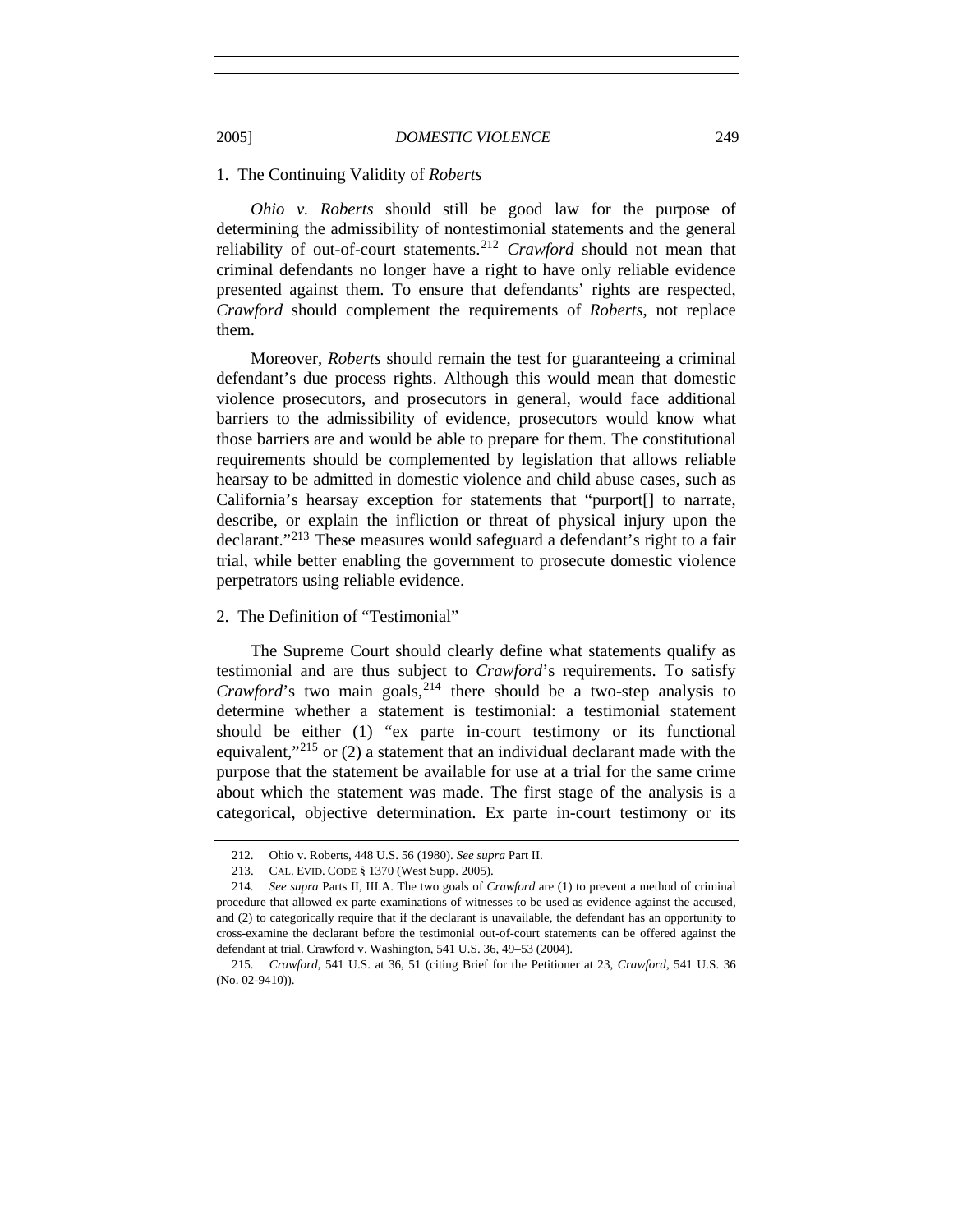#### 1. The Continuing Validity of *Roberts*

*Ohio v. Roberts* should still be good law for the purpose of determining the admissibility of nontestimonial statements and the general reliability of out-of-court statements.[212](#page-36-0) *Crawford* should not mean that criminal defendants no longer have a right to have only reliable evidence presented against them. To ensure that defendants' rights are respected, *Crawford* should complement the requirements of *Roberts*, not replace them.

Moreover, *Roberts* should remain the test for guaranteeing a criminal defendant's due process rights. Although this would mean that domestic violence prosecutors, and prosecutors in general, would face additional barriers to the admissibility of evidence, prosecutors would know what those barriers are and would be able to prepare for them. The constitutional requirements should be complemented by legislation that allows reliable hearsay to be admitted in domestic violence and child abuse cases, such as California's hearsay exception for statements that "purport[] to narrate, describe, or explain the infliction or threat of physical injury upon the declarant."[213](#page-36-1) These measures would safeguard a defendant's right to a fair trial, while better enabling the government to prosecute domestic violence perpetrators using reliable evidence.

# 2. The Definition of "Testimonial"

The Supreme Court should clearly define what statements qualify as testimonial and are thus subject to *Crawford*'s requirements. To satisfy *Crawford*'s two main goals,  $2^{14}$  there should be a two-step analysis to determine whether a statement is testimonial: a testimonial statement should be either (1) "ex parte in-court testimony or its functional equivalent," $215$  or (2) a statement that an individual declarant made with the purpose that the statement be available for use at a trial for the same crime about which the statement was made. The first stage of the analysis is a categorical, objective determination. Ex parte in-court testimony or its

 <sup>212.</sup> Ohio v. Roberts, 448 U.S. 56 (1980). *See supra* Part II.

 <sup>213.</sup> CAL. EVID. CODE § 1370 (West Supp. 2005).

<span id="page-36-2"></span><span id="page-36-1"></span><span id="page-36-0"></span><sup>214</sup>*. See supra* Parts II, III.A. The two goals of *Crawford* are (1) to prevent a method of criminal procedure that allowed ex parte examinations of witnesses to be used as evidence against the accused, and (2) to categorically require that if the declarant is unavailable, the defendant has an opportunity to cross-examine the declarant before the testimonial out-of-court statements can be offered against the defendant at trial. Crawford v. Washington, 541 U.S. 36, 49–53 (2004).

<span id="page-36-3"></span><sup>215</sup>*. Crawford*, 541 U.S. at 36, 51 (citing Brief for the Petitioner at 23, *Crawford*, 541 U.S. 36 (No. 02-9410)).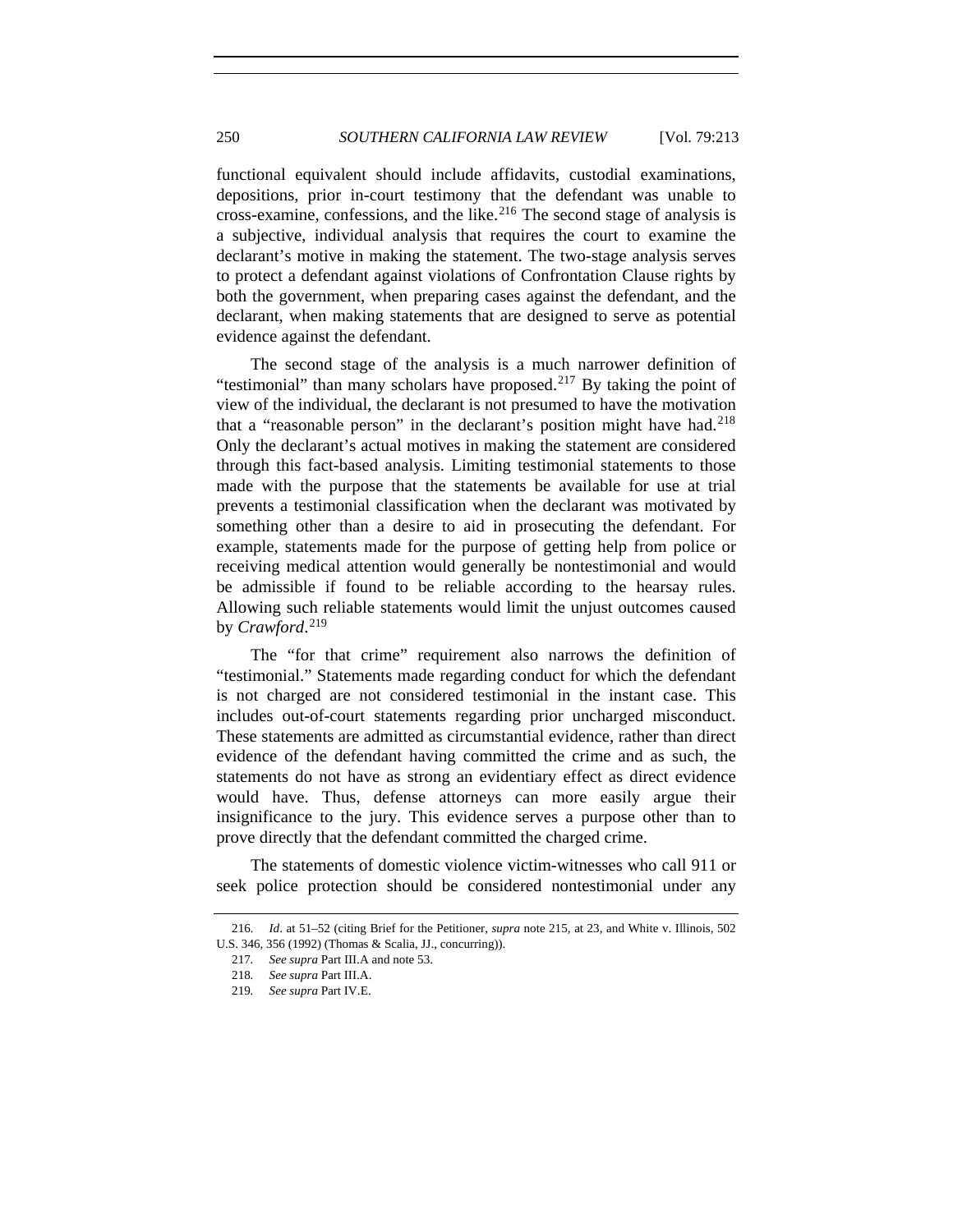functional equivalent should include affidavits, custodial examinations, depositions, prior in-court testimony that the defendant was unable to cross-examine, confessions, and the like.<sup>[216](#page-37-0)</sup> The second stage of analysis is a subjective, individual analysis that requires the court to examine the declarant's motive in making the statement. The two-stage analysis serves to protect a defendant against violations of Confrontation Clause rights by both the government, when preparing cases against the defendant, and the declarant, when making statements that are designed to serve as potential evidence against the defendant.

The second stage of the analysis is a much narrower definition of "testimonial" than many scholars have proposed.<sup>[217](#page-37-1)</sup> By taking the point of view of the individual, the declarant is not presumed to have the motivation that a "reasonable person" in the declarant's position might have had.<sup>[218](#page-37-2)</sup> Only the declarant's actual motives in making the statement are considered through this fact-based analysis. Limiting testimonial statements to those made with the purpose that the statements be available for use at trial prevents a testimonial classification when the declarant was motivated by something other than a desire to aid in prosecuting the defendant. For example, statements made for the purpose of getting help from police or receiving medical attention would generally be nontestimonial and would be admissible if found to be reliable according to the hearsay rules. Allowing such reliable statements would limit the unjust outcomes caused by *Crawford*. [219](#page-37-3)

The "for that crime" requirement also narrows the definition of "testimonial." Statements made regarding conduct for which the defendant is not charged are not considered testimonial in the instant case. This includes out-of-court statements regarding prior uncharged misconduct. These statements are admitted as circumstantial evidence, rather than direct evidence of the defendant having committed the crime and as such, the statements do not have as strong an evidentiary effect as direct evidence would have. Thus, defense attorneys can more easily argue their insignificance to the jury. This evidence serves a purpose other than to prove directly that the defendant committed the charged crime.

The statements of domestic violence victim-witnesses who call 911 or seek police protection should be considered nontestimonial under any

<span id="page-37-3"></span><span id="page-37-2"></span><span id="page-37-1"></span><span id="page-37-0"></span><sup>216</sup>*. Id*. at 51–52 (citing Brief for the Petitioner, *supra* note 215, at 23, and White v. Illinois, 502 U.S. 346, 356 (1992) (Thomas & Scalia, JJ., concurring)).

<sup>217</sup>*. See supra* Part III.A and note 53.

<sup>218</sup>*. See supra* Part III.A.

<sup>219</sup>*. See supra* Part IV.E.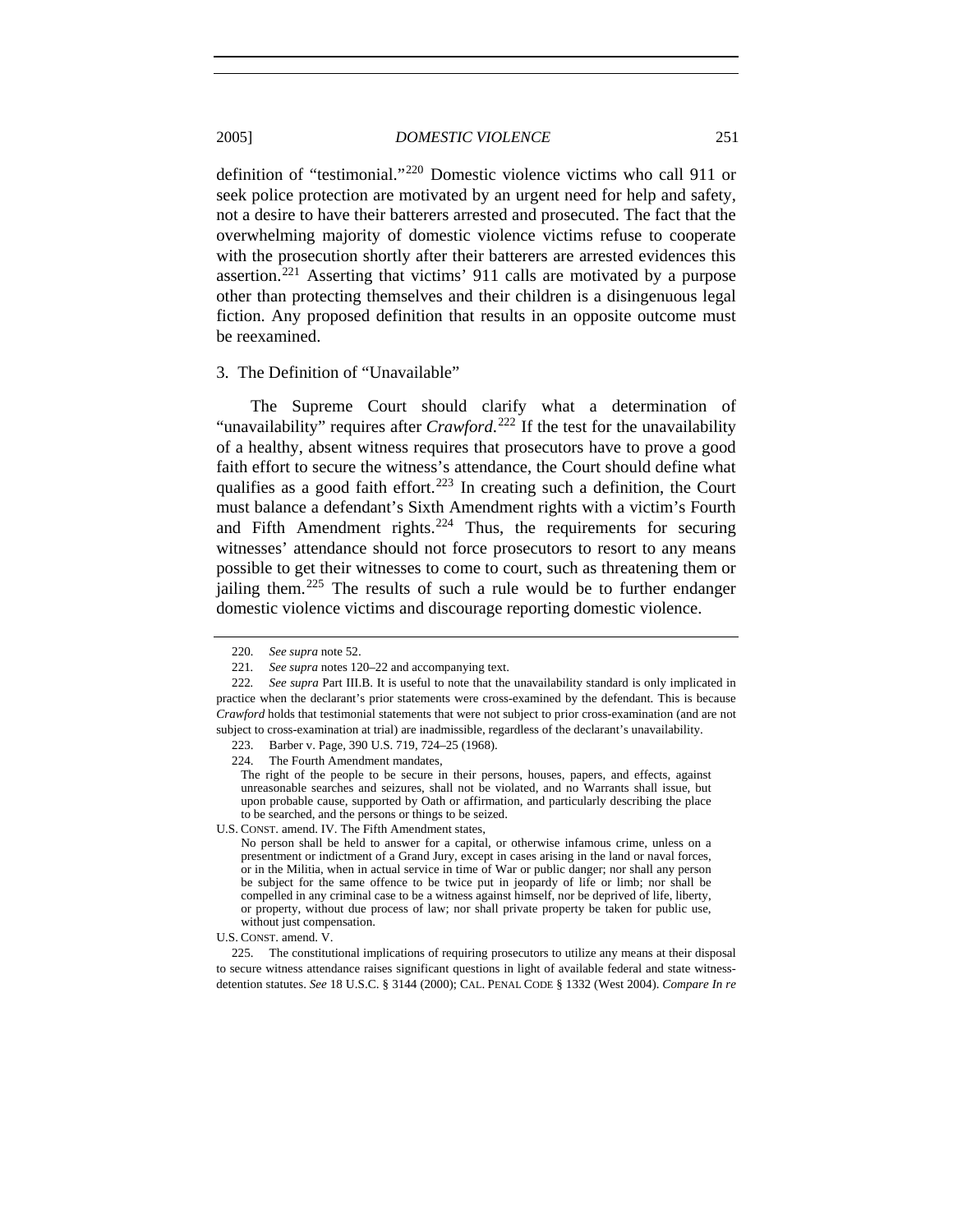definition of "testimonial."[220](#page-38-0) Domestic violence victims who call 911 or seek police protection are motivated by an urgent need for help and safety, not a desire to have their batterers arrested and prosecuted. The fact that the overwhelming majority of domestic violence victims refuse to cooperate with the prosecution shortly after their batterers are arrested evidences this assertion.[221](#page-38-1) Asserting that victims' 911 calls are motivated by a purpose other than protecting themselves and their children is a disingenuous legal fiction. Any proposed definition that results in an opposite outcome must be reexamined.

#### 3. The Definition of "Unavailable"

The Supreme Court should clarify what a determination of "unavailability" requires after *Crawford*.<sup>[222](#page-38-2)</sup> If the test for the unavailability of a healthy, absent witness requires that prosecutors have to prove a good faith effort to secure the witness's attendance, the Court should define what qualifies as a good faith effort.<sup>[223](#page-38-3)</sup> In creating such a definition, the Court must balance a defendant's Sixth Amendment rights with a victim's Fourth and Fifth Amendment rights. $224$  Thus, the requirements for securing witnesses' attendance should not force prosecutors to resort to any means possible to get their witnesses to come to court, such as threatening them or jailing them.<sup>[225](#page-38-5)</sup> The results of such a rule would be to further endanger domestic violence victims and discourage reporting domestic violence.

<span id="page-38-4"></span>U.S. CONST. amend. IV. The Fifth Amendment states,

<sup>220</sup>*. See supra* note 52.

<sup>221</sup>*. See supra* notes 120–22 and accompanying text.

<span id="page-38-3"></span><span id="page-38-2"></span><span id="page-38-1"></span><span id="page-38-0"></span><sup>222</sup>*. See supra* Part III.B. It is useful to note that the unavailability standard is only implicated in practice when the declarant's prior statements were cross-examined by the defendant. This is because *Crawford* holds that testimonial statements that were not subject to prior cross-examination (and are not subject to cross-examination at trial) are inadmissible, regardless of the declarant's unavailability.

 <sup>223.</sup> Barber v. Page, 390 U.S. 719, 724–25 (1968).

 <sup>224.</sup> The Fourth Amendment mandates,

The right of the people to be secure in their persons, houses, papers, and effects, against unreasonable searches and seizures, shall not be violated, and no Warrants shall issue, but upon probable cause, supported by Oath or affirmation, and particularly describing the place to be searched, and the persons or things to be seized.

No person shall be held to answer for a capital, or otherwise infamous crime, unless on a presentment or indictment of a Grand Jury, except in cases arising in the land or naval forces, or in the Militia, when in actual service in time of War or public danger; nor shall any person be subject for the same offence to be twice put in jeopardy of life or limb; nor shall be compelled in any criminal case to be a witness against himself, nor be deprived of life, liberty, or property, without due process of law; nor shall private property be taken for public use, without just compensation.

U.S. CONST. amend. V.

<span id="page-38-5"></span> <sup>225.</sup> The constitutional implications of requiring prosecutors to utilize any means at their disposal to secure witness attendance raises significant questions in light of available federal and state witnessdetention statutes. *See* 18 U.S.C. § 3144 (2000); CAL. PENAL CODE § 1332 (West 2004). *Compare In re*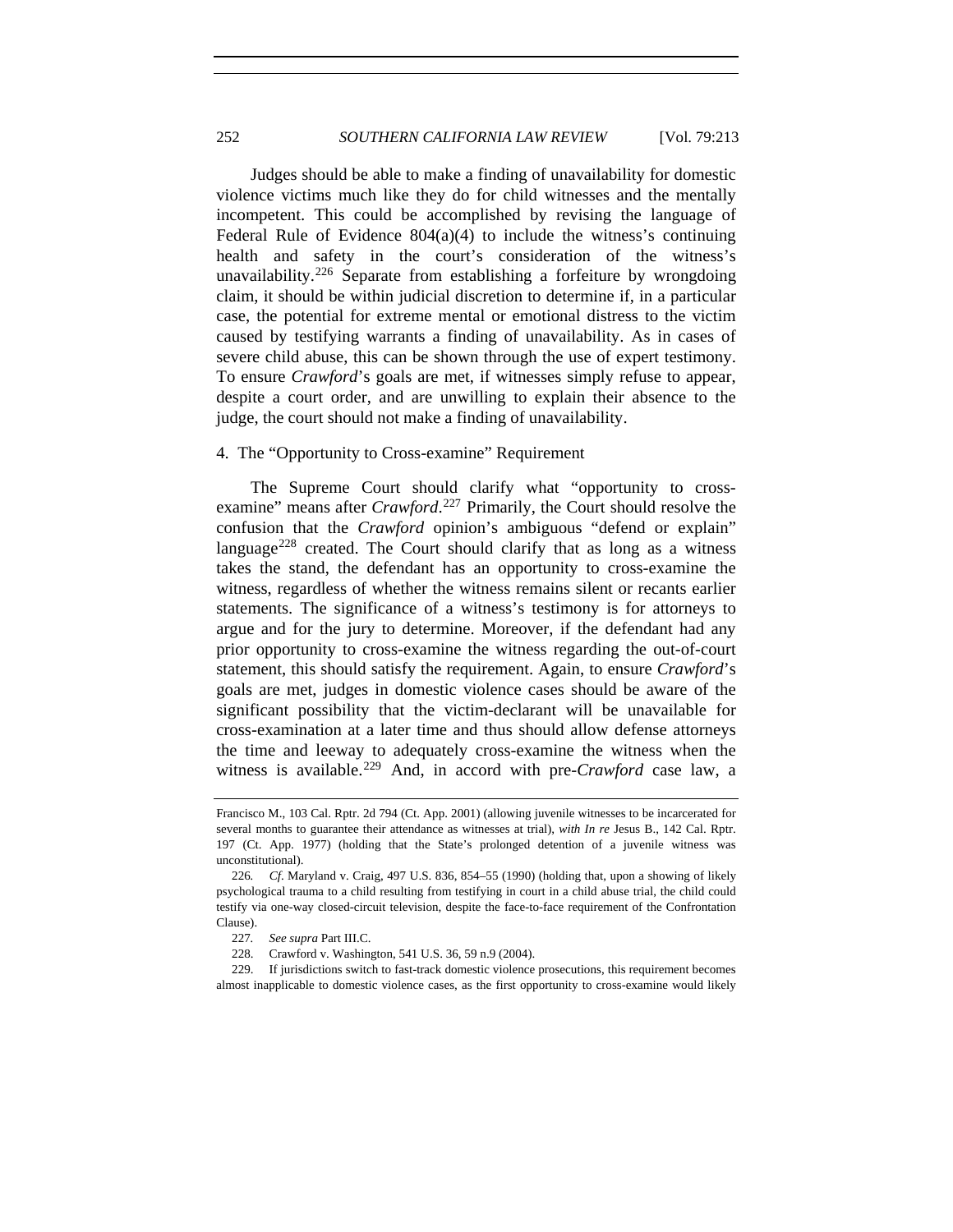Judges should be able to make a finding of unavailability for domestic violence victims much like they do for child witnesses and the mentally incompetent. This could be accomplished by revising the language of Federal Rule of Evidence  $804(a)(4)$  to include the witness's continuing health and safety in the court's consideration of the witness's unavailability.<sup>[226](#page-39-0)</sup> Separate from establishing a forfeiture by wrongdoing claim, it should be within judicial discretion to determine if, in a particular case, the potential for extreme mental or emotional distress to the victim caused by testifying warrants a finding of unavailability. As in cases of severe child abuse, this can be shown through the use of expert testimony. To ensure *Crawford*'s goals are met, if witnesses simply refuse to appear, despite a court order, and are unwilling to explain their absence to the judge, the court should not make a finding of unavailability.

# 4. The "Opportunity to Cross-examine" Requirement

The Supreme Court should clarify what "opportunity to crossexamine" means after *Crawford*.<sup>[227](#page-39-1)</sup> Primarily, the Court should resolve the confusion that the *Crawford* opinion's ambiguous "defend or explain" language<sup>[228](#page-39-2)</sup> created. The Court should clarify that as long as a witness takes the stand, the defendant has an opportunity to cross-examine the witness, regardless of whether the witness remains silent or recants earlier statements. The significance of a witness's testimony is for attorneys to argue and for the jury to determine. Moreover, if the defendant had any prior opportunity to cross-examine the witness regarding the out-of-court statement, this should satisfy the requirement. Again, to ensure *Crawford*'s goals are met, judges in domestic violence cases should be aware of the significant possibility that the victim-declarant will be unavailable for cross-examination at a later time and thus should allow defense attorneys the time and leeway to adequately cross-examine the witness when the witness is available.<sup>[229](#page-39-3)</sup> And, in accord with pre-*Crawford* case law, a

<span id="page-39-3"></span><span id="page-39-2"></span><span id="page-39-1"></span> 229. If jurisdictions switch to fast-track domestic violence prosecutions, this requirement becomes almost inapplicable to domestic violence cases, as the first opportunity to cross-examine would likely

Francisco M., 103 Cal. Rptr. 2d 794 (Ct. App. 2001) (allowing juvenile witnesses to be incarcerated for several months to guarantee their attendance as witnesses at trial), *with In re* Jesus B., 142 Cal. Rptr. 197 (Ct. App. 1977) (holding that the State's prolonged detention of a juvenile witness was unconstitutional).

<span id="page-39-0"></span><sup>226</sup>*. Cf*. Maryland v. Craig, 497 U.S. 836, 854–55 (1990) (holding that, upon a showing of likely psychological trauma to a child resulting from testifying in court in a child abuse trial, the child could testify via one-way closed-circuit television, despite the face-to-face requirement of the Confrontation Clause).

<sup>227</sup>*. See supra* Part III.C.

 <sup>228.</sup> Crawford v. Washington, 541 U.S. 36, 59 n.9 (2004).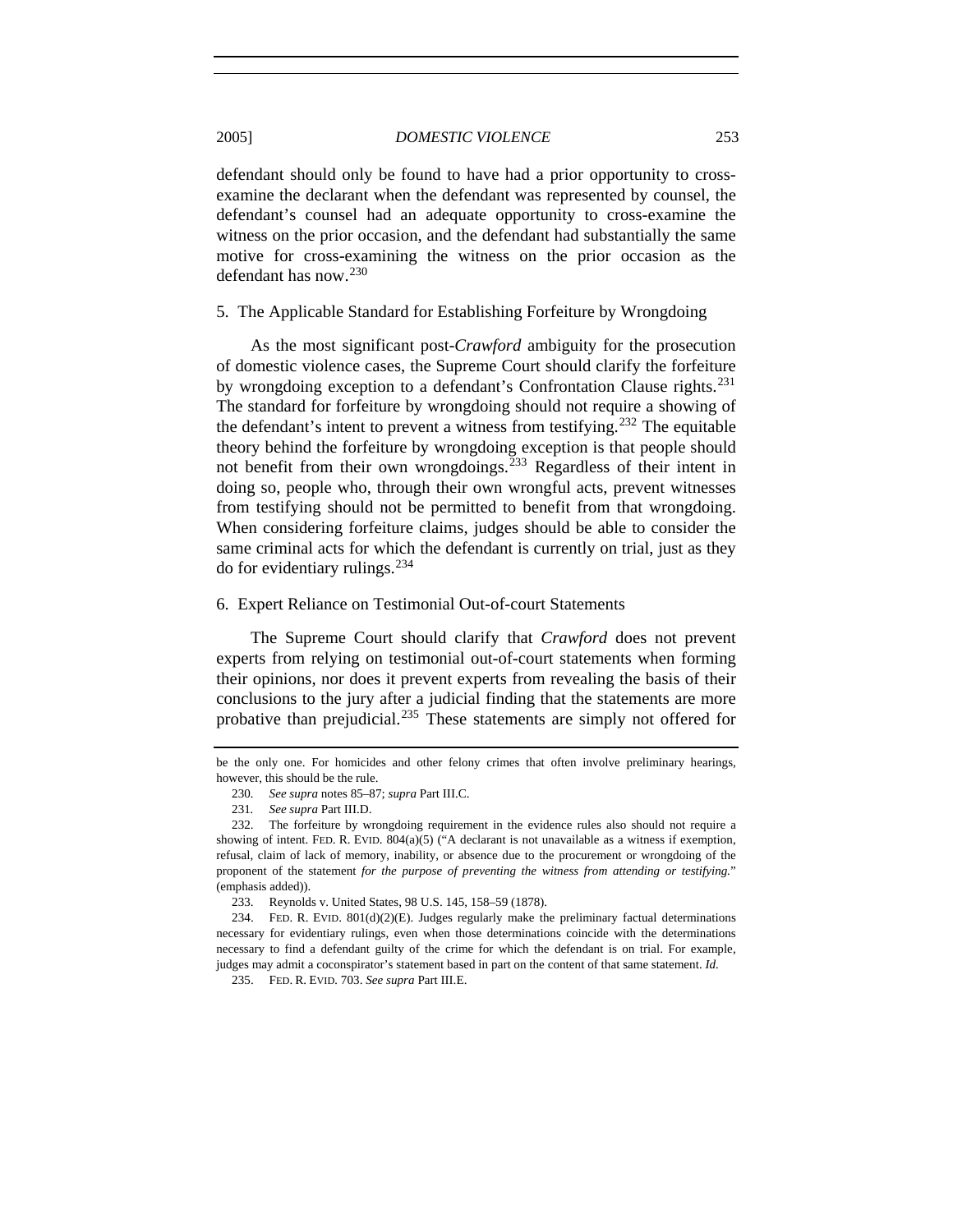defendant should only be found to have had a prior opportunity to crossexamine the declarant when the defendant was represented by counsel, the defendant's counsel had an adequate opportunity to cross-examine the witness on the prior occasion, and the defendant had substantially the same motive for cross-examining the witness on the prior occasion as the defendant has now.[230](#page-40-0)

#### 5. The Applicable Standard for Establishing Forfeiture by Wrongdoing

As the most significant post-*Crawford* ambiguity for the prosecution of domestic violence cases, the Supreme Court should clarify the forfeiture by wrongdoing exception to a defendant's Confrontation Clause rights.<sup>[231](#page-40-1)</sup> The standard for forfeiture by wrongdoing should not require a showing of the defendant's intent to prevent a witness from testifying.<sup>[232](#page-40-2)</sup> The equitable theory behind the forfeiture by wrongdoing exception is that people should not benefit from their own wrongdoings.[233](#page-40-3) Regardless of their intent in doing so, people who, through their own wrongful acts, prevent witnesses from testifying should not be permitted to benefit from that wrongdoing. When considering forfeiture claims, judges should be able to consider the same criminal acts for which the defendant is currently on trial, just as they do for evidentiary rulings. $^{234}$  $^{234}$  $^{234}$ 

# 6. Expert Reliance on Testimonial Out-of-court Statements

The Supreme Court should clarify that *Crawford* does not prevent experts from relying on testimonial out-of-court statements when forming their opinions, nor does it prevent experts from revealing the basis of their conclusions to the jury after a judicial finding that the statements are more probative than prejudicial.<sup>[235](#page-40-5)</sup> These statements are simply not offered for

<span id="page-40-0"></span>be the only one. For homicides and other felony crimes that often involve preliminary hearings, however, this should be the rule.

<sup>230</sup>*. See supra* notes 85–87; *supra* Part III.C.

<sup>231</sup>*. See supra* Part III.D.

<span id="page-40-2"></span><span id="page-40-1"></span> <sup>232.</sup> The forfeiture by wrongdoing requirement in the evidence rules also should not require a showing of intent. FED. R. EVID. 804(a)(5) ("A declarant is not unavailable as a witness if exemption, refusal, claim of lack of memory, inability, or absence due to the procurement or wrongdoing of the proponent of the statement *for the purpose of preventing the witness from attending or testifying.*" (emphasis added)).

 <sup>233.</sup> Reynolds v. United States, 98 U.S. 145, 158–59 (1878).

<span id="page-40-5"></span><span id="page-40-4"></span><span id="page-40-3"></span> <sup>234.</sup> FED. R. EVID. 801(d)(2)(E). Judges regularly make the preliminary factual determinations necessary for evidentiary rulings, even when those determinations coincide with the determinations necessary to find a defendant guilty of the crime for which the defendant is on trial. For example, judges may admit a coconspirator's statement based in part on the content of that same statement. *Id.*

 <sup>235.</sup> FED. R. EVID*.* 703. *See supra* Part III.E.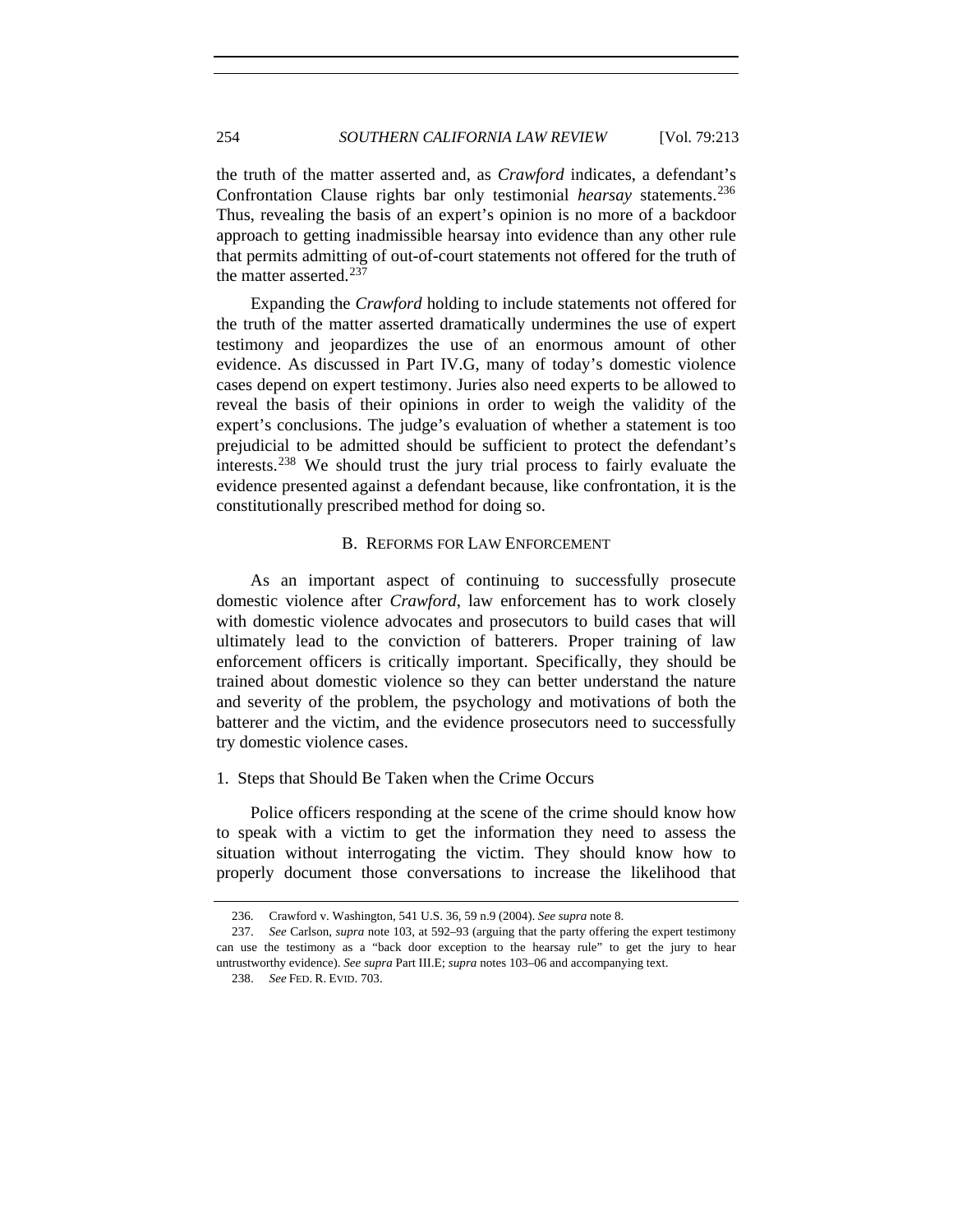the truth of the matter asserted and, as *Crawford* indicates, a defendant's Confrontation Clause rights bar only testimonial *hearsay* statements.[236](#page-41-0) Thus, revealing the basis of an expert's opinion is no more of a backdoor approach to getting inadmissible hearsay into evidence than any other rule that permits admitting of out-of-court statements not offered for the truth of the matter asserted. $237$ 

Expanding the *Crawford* holding to include statements not offered for the truth of the matter asserted dramatically undermines the use of expert testimony and jeopardizes the use of an enormous amount of other evidence. As discussed in Part IV.G, many of today's domestic violence cases depend on expert testimony. Juries also need experts to be allowed to reveal the basis of their opinions in order to weigh the validity of the expert's conclusions. The judge's evaluation of whether a statement is too prejudicial to be admitted should be sufficient to protect the defendant's interests.[238](#page-41-2) We should trust the jury trial process to fairly evaluate the evidence presented against a defendant because, like confrontation, it is the constitutionally prescribed method for doing so.

# B. REFORMS FOR LAW ENFORCEMENT

As an important aspect of continuing to successfully prosecute domestic violence after *Crawford*, law enforcement has to work closely with domestic violence advocates and prosecutors to build cases that will ultimately lead to the conviction of batterers. Proper training of law enforcement officers is critically important. Specifically, they should be trained about domestic violence so they can better understand the nature and severity of the problem, the psychology and motivations of both the batterer and the victim, and the evidence prosecutors need to successfully try domestic violence cases.

# 1. Steps that Should Be Taken when the Crime Occurs

Police officers responding at the scene of the crime should know how to speak with a victim to get the information they need to assess the situation without interrogating the victim. They should know how to properly document those conversations to increase the likelihood that

 <sup>236.</sup> Crawford v. Washington, 541 U.S. 36, 59 n.9 (2004). *See supra* note 8.

<span id="page-41-2"></span><span id="page-41-1"></span><span id="page-41-0"></span> <sup>237.</sup> *See* Carlson, *supra* note 103, at 592–93 (arguing that the party offering the expert testimony can use the testimony as a "back door exception to the hearsay rule" to get the jury to hear untrustworthy evidence). *See supra* Part III.E; *supra* notes 103–06 and accompanying text.

 <sup>238.</sup> *See* FED. R. EVID. 703.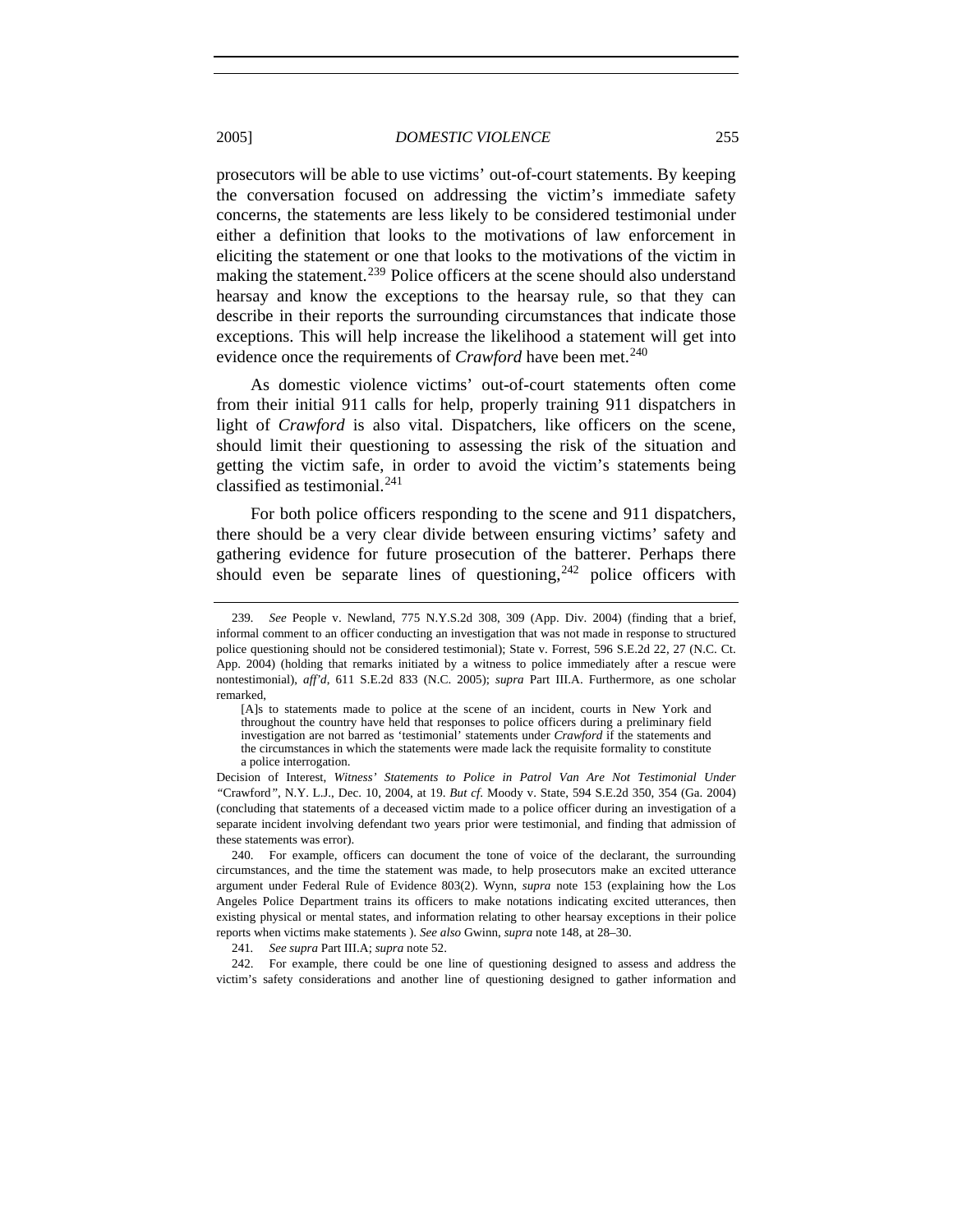prosecutors will be able to use victims' out-of-court statements. By keeping the conversation focused on addressing the victim's immediate safety concerns, the statements are less likely to be considered testimonial under either a definition that looks to the motivations of law enforcement in eliciting the statement or one that looks to the motivations of the victim in making the statement.<sup>[239](#page-42-0)</sup> Police officers at the scene should also understand hearsay and know the exceptions to the hearsay rule, so that they can describe in their reports the surrounding circumstances that indicate those exceptions. This will help increase the likelihood a statement will get into evidence once the requirements of *Crawford* have been met.<sup>[240](#page-42-1)</sup>

As domestic violence victims' out-of-court statements often come from their initial 911 calls for help, properly training 911 dispatchers in light of *Crawford* is also vital. Dispatchers, like officers on the scene, should limit their questioning to assessing the risk of the situation and getting the victim safe, in order to avoid the victim's statements being classified as testimonial. $^{241}$  $^{241}$  $^{241}$ 

For both police officers responding to the scene and 911 dispatchers, there should be a very clear divide between ensuring victims' safety and gathering evidence for future prosecution of the batterer. Perhaps there should even be separate lines of questioning,  $242$  police officers with

241*. See supra* Part III.A; *supra* note 52.

<span id="page-42-3"></span><span id="page-42-2"></span> 242. For example, there could be one line of questioning designed to assess and address the victim's safety considerations and another line of questioning designed to gather information and

<span id="page-42-0"></span><sup>239</sup>*. See* People v. Newland, 775 N.Y.S.2d 308, 309 (App. Div. 2004) (finding that a brief, informal comment to an officer conducting an investigation that was not made in response to structured police questioning should not be considered testimonial); State v. Forrest, 596 S.E.2d 22, 27 (N.C. Ct. App. 2004) (holding that remarks initiated by a witness to police immediately after a rescue were nontestimonial), *aff'd*, 611 S.E.2d 833 (N.C. 2005); *supra* Part III.A. Furthermore, as one scholar remarked,

<sup>[</sup>A]s to statements made to police at the scene of an incident, courts in New York and throughout the country have held that responses to police officers during a preliminary field investigation are not barred as 'testimonial' statements under *Crawford* if the statements and the circumstances in which the statements were made lack the requisite formality to constitute a police interrogation.

Decision of Interest, *Witness' Statements to Police in Patrol Van Are Not Testimonial Under "*Crawford*"*, N.Y. L.J., Dec. 10, 2004, at 19. *But cf*. Moody v. State, 594 S.E.2d 350, 354 (Ga. 2004) (concluding that statements of a deceased victim made to a police officer during an investigation of a separate incident involving defendant two years prior were testimonial, and finding that admission of these statements was error).

<span id="page-42-1"></span> <sup>240.</sup> For example, officers can document the tone of voice of the declarant, the surrounding circumstances, and the time the statement was made, to help prosecutors make an excited utterance argument under Federal Rule of Evidence 803(2). Wynn, *supra* note 153 (explaining how the Los Angeles Police Department trains its officers to make notations indicating excited utterances, then existing physical or mental states, and information relating to other hearsay exceptions in their police reports when victims make statements ). *See also* Gwinn, *supra* note 148, at 28–30.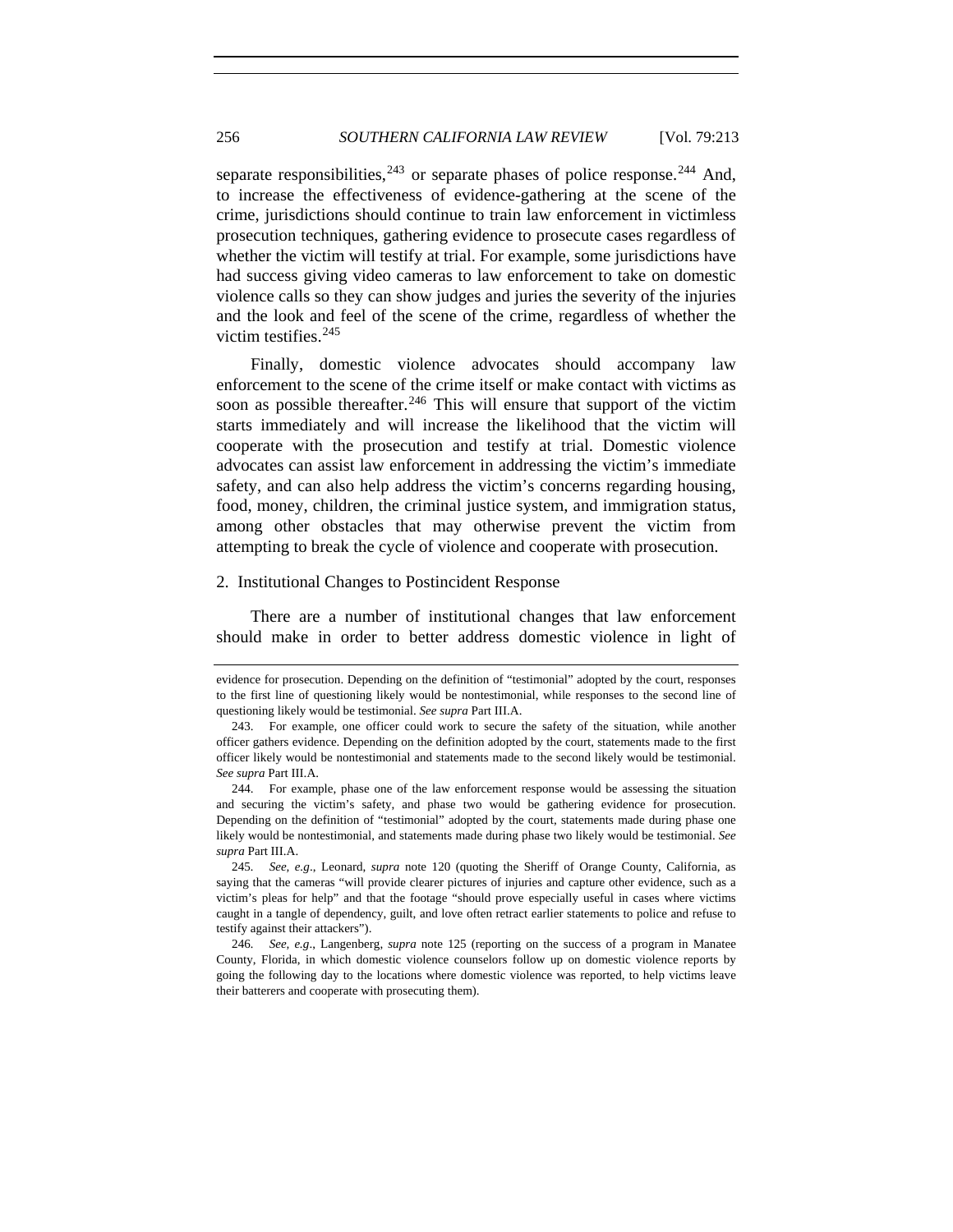separate responsibilities,  $243$  or separate phases of police response.  $244$  And, to increase the effectiveness of evidence-gathering at the scene of the crime, jurisdictions should continue to train law enforcement in victimless prosecution techniques, gathering evidence to prosecute cases regardless of whether the victim will testify at trial. For example, some jurisdictions have had success giving video cameras to law enforcement to take on domestic violence calls so they can show judges and juries the severity of the injuries and the look and feel of the scene of the crime, regardless of whether the victim testifies.<sup>[245](#page-43-2)</sup>

Finally, domestic violence advocates should accompany law enforcement to the scene of the crime itself or make contact with victims as soon as possible thereafter.<sup>[246](#page-43-3)</sup> This will ensure that support of the victim starts immediately and will increase the likelihood that the victim will cooperate with the prosecution and testify at trial. Domestic violence advocates can assist law enforcement in addressing the victim's immediate safety, and can also help address the victim's concerns regarding housing, food, money, children, the criminal justice system, and immigration status, among other obstacles that may otherwise prevent the victim from attempting to break the cycle of violence and cooperate with prosecution.

#### 2. Institutional Changes to Postincident Response

There are a number of institutional changes that law enforcement should make in order to better address domestic violence in light of

evidence for prosecution. Depending on the definition of "testimonial" adopted by the court, responses to the first line of questioning likely would be nontestimonial, while responses to the second line of questioning likely would be testimonial. *See supra* Part III.A.

<span id="page-43-0"></span> <sup>243.</sup> For example, one officer could work to secure the safety of the situation, while another officer gathers evidence. Depending on the definition adopted by the court, statements made to the first officer likely would be nontestimonial and statements made to the second likely would be testimonial. *See supra* Part III.A.

<span id="page-43-1"></span> <sup>244.</sup> For example, phase one of the law enforcement response would be assessing the situation and securing the victim's safety, and phase two would be gathering evidence for prosecution. Depending on the definition of "testimonial" adopted by the court, statements made during phase one likely would be nontestimonial, and statements made during phase two likely would be testimonial. *See supra* Part III.A.

<span id="page-43-2"></span><sup>245</sup>*. See, e.g*., Leonard, *supra* note 120 (quoting the Sheriff of Orange County, California, as saying that the cameras "will provide clearer pictures of injuries and capture other evidence, such as a victim's pleas for help" and that the footage "should prove especially useful in cases where victims caught in a tangle of dependency, guilt, and love often retract earlier statements to police and refuse to testify against their attackers").

<span id="page-43-3"></span><sup>246</sup>*. See, e.g*., Langenberg, *supra* note 125 (reporting on the success of a program in Manatee County, Florida, in which domestic violence counselors follow up on domestic violence reports by going the following day to the locations where domestic violence was reported, to help victims leave their batterers and cooperate with prosecuting them).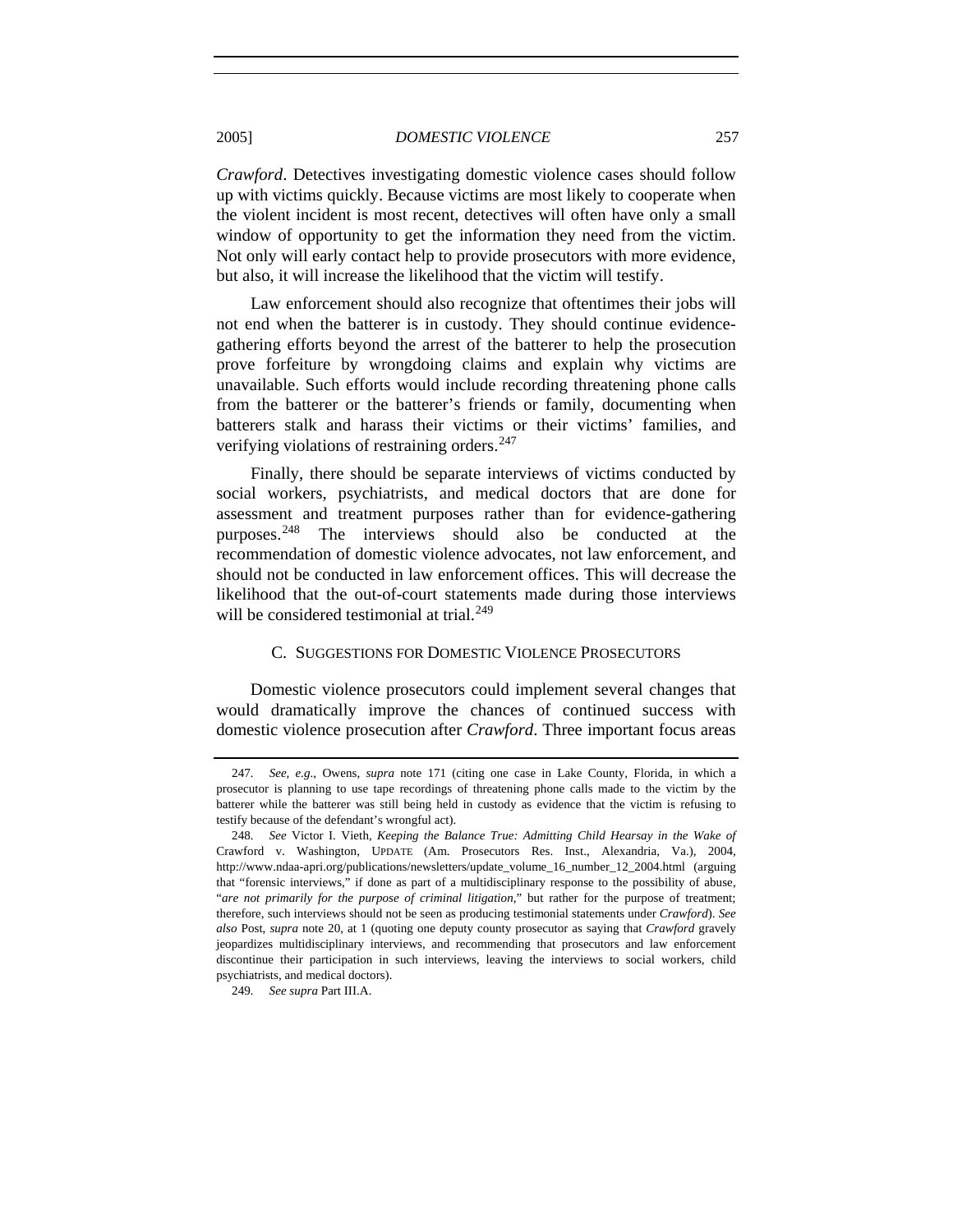*Crawford*. Detectives investigating domestic violence cases should follow up with victims quickly. Because victims are most likely to cooperate when the violent incident is most recent, detectives will often have only a small window of opportunity to get the information they need from the victim. Not only will early contact help to provide prosecutors with more evidence, but also, it will increase the likelihood that the victim will testify.

Law enforcement should also recognize that oftentimes their jobs will not end when the batterer is in custody. They should continue evidencegathering efforts beyond the arrest of the batterer to help the prosecution prove forfeiture by wrongdoing claims and explain why victims are unavailable. Such efforts would include recording threatening phone calls from the batterer or the batterer's friends or family, documenting when batterers stalk and harass their victims or their victims' families, and verifying violations of restraining orders.<sup>[247](#page-44-0)</sup>

Finally, there should be separate interviews of victims conducted by social workers, psychiatrists, and medical doctors that are done for assessment and treatment purposes rather than for evidence-gathering purposes.[248](#page-44-1) The interviews should also be conducted at the recommendation of domestic violence advocates, not law enforcement, and should not be conducted in law enforcement offices. This will decrease the likelihood that the out-of-court statements made during those interviews will be considered testimonial at trial.<sup>[249](#page-44-2)</sup>

# C. SUGGESTIONS FOR DOMESTIC VIOLENCE PROSECUTORS

Domestic violence prosecutors could implement several changes that would dramatically improve the chances of continued success with domestic violence prosecution after *Crawford*. Three important focus areas

<span id="page-44-0"></span><sup>247</sup>*. See, e.g*., Owens, *supra* note 171 (citing one case in Lake County, Florida, in which a prosecutor is planning to use tape recordings of threatening phone calls made to the victim by the batterer while the batterer was still being held in custody as evidence that the victim is refusing to testify because of the defendant's wrongful act).

<span id="page-44-1"></span><sup>248</sup>*. See* Victor I. Vieth, *Keeping the Balance True: Admitting Child Hearsay in the Wake of*  Crawford v. Washington, UPDATE (Am. Prosecutors Res. Inst., Alexandria, Va.), 2004, http://www.ndaa-apri.org/publications/newsletters/update\_volume\_16\_number\_12\_2004.html (arguing that "forensic interviews," if done as part of a multidisciplinary response to the possibility of abuse, "*are not primarily for the purpose of criminal litigation*," but rather for the purpose of treatment; therefore, such interviews should not be seen as producing testimonial statements under *Crawford*). *See also* Post, *supra* note 20, at 1 (quoting one deputy county prosecutor as saying that *Crawford* gravely jeopardizes multidisciplinary interviews, and recommending that prosecutors and law enforcement discontinue their participation in such interviews, leaving the interviews to social workers, child psychiatrists, and medical doctors).

<span id="page-44-2"></span><sup>249</sup>*. See supra* Part III.A.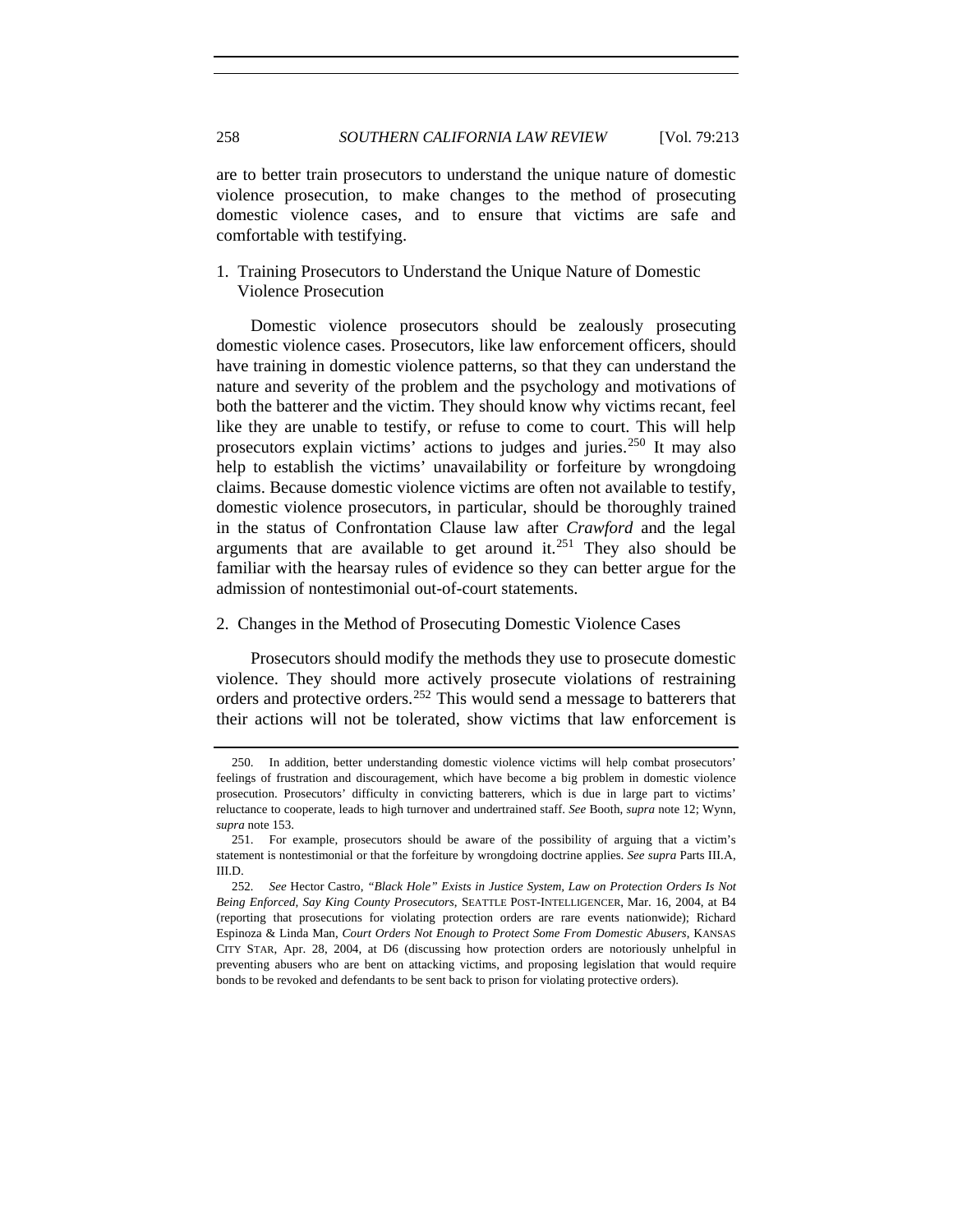are to better train prosecutors to understand the unique nature of domestic violence prosecution, to make changes to the method of prosecuting domestic violence cases, and to ensure that victims are safe and comfortable with testifying.

1. Training Prosecutors to Understand the Unique Nature of Domestic Violence Prosecution

Domestic violence prosecutors should be zealously prosecuting domestic violence cases. Prosecutors, like law enforcement officers, should have training in domestic violence patterns, so that they can understand the nature and severity of the problem and the psychology and motivations of both the batterer and the victim. They should know why victims recant, feel like they are unable to testify, or refuse to come to court. This will help prosecutors explain victims' actions to judges and juries.<sup>[250](#page-45-0)</sup> It may also help to establish the victims' unavailability or forfeiture by wrongdoing claims. Because domestic violence victims are often not available to testify, domestic violence prosecutors, in particular, should be thoroughly trained in the status of Confrontation Clause law after *Crawford* and the legal arguments that are available to get around it.<sup>[251](#page-45-1)</sup> They also should be familiar with the hearsay rules of evidence so they can better argue for the admission of nontestimonial out-of-court statements.

# 2. Changes in the Method of Prosecuting Domestic Violence Cases

Prosecutors should modify the methods they use to prosecute domestic violence. They should more actively prosecute violations of restraining orders and protective orders.<sup>[252](#page-45-2)</sup> This would send a message to batterers that their actions will not be tolerated, show victims that law enforcement is

<span id="page-45-0"></span> <sup>250.</sup> In addition, better understanding domestic violence victims will help combat prosecutors' feelings of frustration and discouragement, which have become a big problem in domestic violence prosecution. Prosecutors' difficulty in convicting batterers, which is due in large part to victims' reluctance to cooperate, leads to high turnover and undertrained staff. *See* Booth, *supra* note 12; Wynn, *supra* note 153.

<span id="page-45-1"></span> <sup>251.</sup> For example, prosecutors should be aware of the possibility of arguing that a victim's statement is nontestimonial or that the forfeiture by wrongdoing doctrine applies. *See supra* Parts III.A, III.D.

<span id="page-45-2"></span><sup>252</sup>*. See* Hector Castro, *"Black Hole" Exists in Justice System, Law on Protection Orders Is Not Being Enforced, Say King County Prosecutors*, SEATTLE POST-INTELLIGENCER, Mar. 16, 2004, at B4 (reporting that prosecutions for violating protection orders are rare events nationwide); Richard Espinoza & Linda Man, *Court Orders Not Enough to Protect Some From Domestic Abusers*, KANSAS CITY STAR, Apr. 28, 2004, at D6 (discussing how protection orders are notoriously unhelpful in preventing abusers who are bent on attacking victims, and proposing legislation that would require bonds to be revoked and defendants to be sent back to prison for violating protective orders).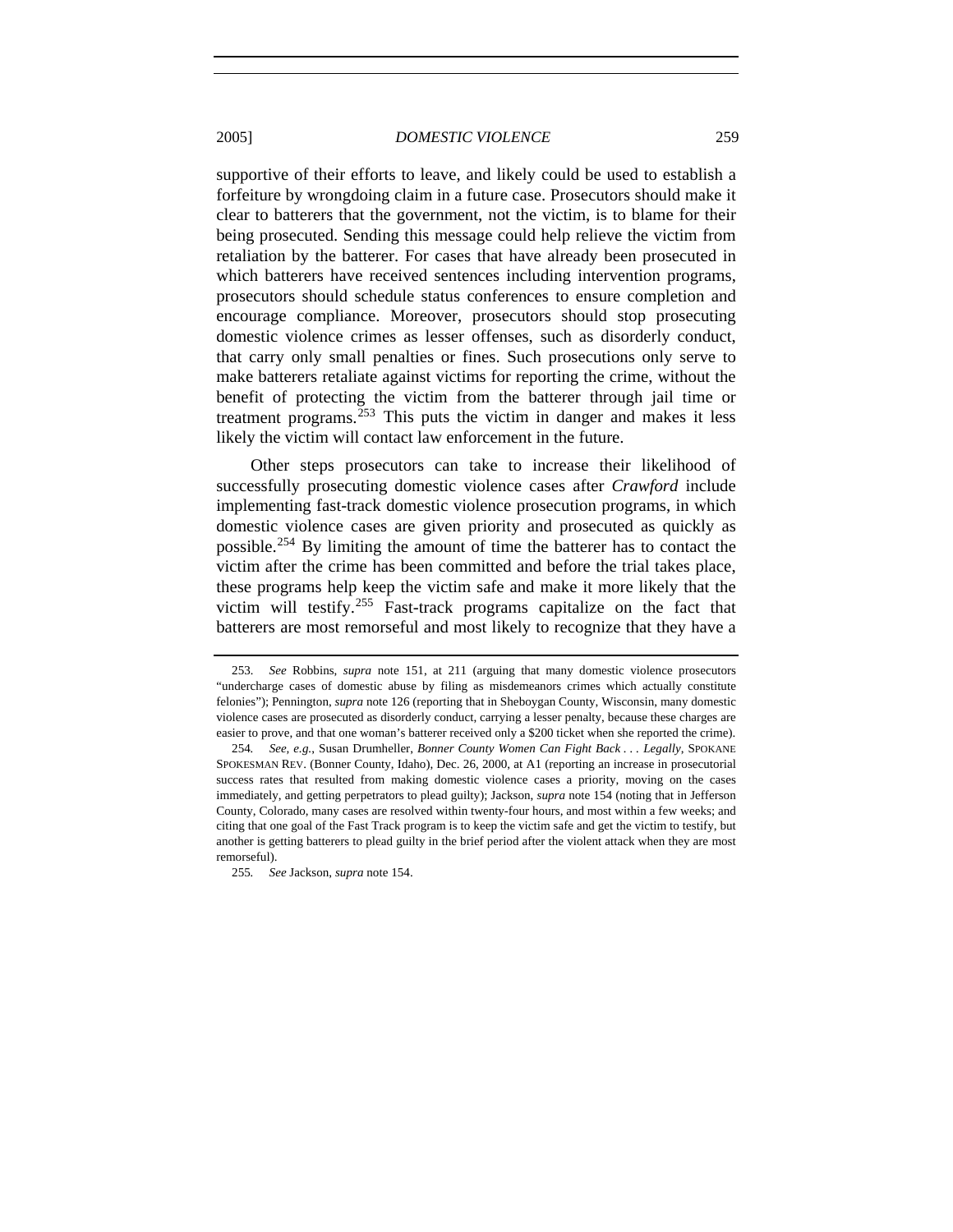supportive of their efforts to leave, and likely could be used to establish a forfeiture by wrongdoing claim in a future case. Prosecutors should make it clear to batterers that the government, not the victim, is to blame for their being prosecuted. Sending this message could help relieve the victim from retaliation by the batterer. For cases that have already been prosecuted in which batterers have received sentences including intervention programs, prosecutors should schedule status conferences to ensure completion and encourage compliance. Moreover, prosecutors should stop prosecuting domestic violence crimes as lesser offenses, such as disorderly conduct, that carry only small penalties or fines. Such prosecutions only serve to make batterers retaliate against victims for reporting the crime, without the benefit of protecting the victim from the batterer through jail time or treatment programs. $253$  This puts the victim in danger and makes it less likely the victim will contact law enforcement in the future.

Other steps prosecutors can take to increase their likelihood of successfully prosecuting domestic violence cases after *Crawford* include implementing fast-track domestic violence prosecution programs, in which domestic violence cases are given priority and prosecuted as quickly as possible.[254](#page-46-1) By limiting the amount of time the batterer has to contact the victim after the crime has been committed and before the trial takes place, these programs help keep the victim safe and make it more likely that the victim will testify.[255](#page-46-2) Fast-track programs capitalize on the fact that batterers are most remorseful and most likely to recognize that they have a

<span id="page-46-0"></span><sup>253</sup>*. See* Robbins, *supra* note 151, at 211 (arguing that many domestic violence prosecutors "undercharge cases of domestic abuse by filing as misdemeanors crimes which actually constitute felonies"); Pennington, *supra* note 126 (reporting that in Sheboygan County, Wisconsin, many domestic violence cases are prosecuted as disorderly conduct, carrying a lesser penalty, because these charges are easier to prove, and that one woman's batterer received only a \$200 ticket when she reported the crime).

<span id="page-46-1"></span><sup>254</sup>*. See, e.g.*, Susan Drumheller, *Bonner County Women Can Fight Back . . . Legally*, SPOKANE SPOKESMAN REV. (Bonner County, Idaho), Dec. 26, 2000, at A1 (reporting an increase in prosecutorial success rates that resulted from making domestic violence cases a priority, moving on the cases immediately, and getting perpetrators to plead guilty); Jackson, *supra* note 154 (noting that in Jefferson County, Colorado, many cases are resolved within twenty-four hours, and most within a few weeks; and citing that one goal of the Fast Track program is to keep the victim safe and get the victim to testify, but another is getting batterers to plead guilty in the brief period after the violent attack when they are most remorseful).

<span id="page-46-2"></span><sup>255</sup>*. See* Jackson, *supra* note 154.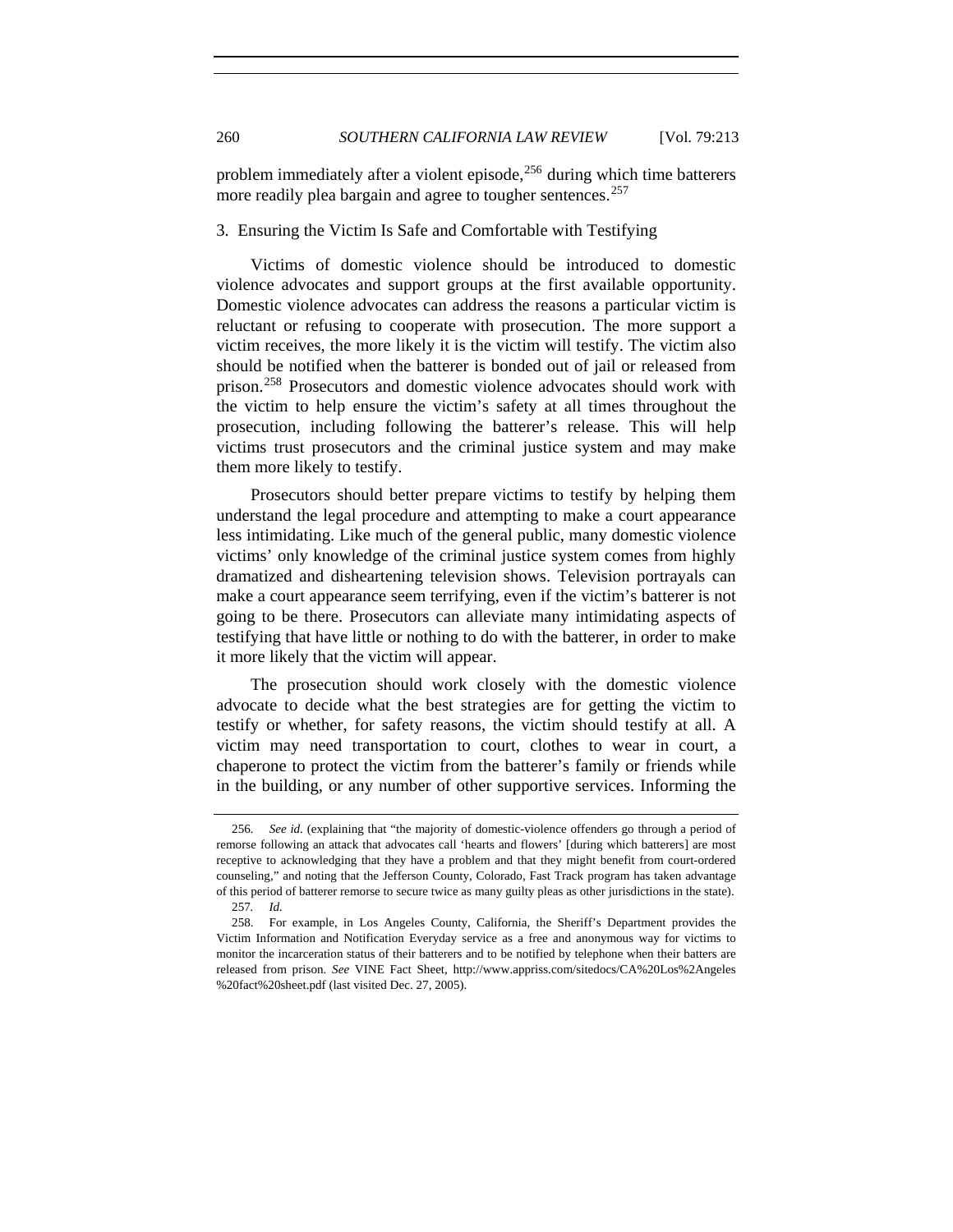problem immediately after a violent episode, $256$  during which time batterers more readily plea bargain and agree to tougher sentences.<sup>[257](#page-47-1)</sup>

# 3. Ensuring the Victim Is Safe and Comfortable with Testifying

Victims of domestic violence should be introduced to domestic violence advocates and support groups at the first available opportunity. Domestic violence advocates can address the reasons a particular victim is reluctant or refusing to cooperate with prosecution. The more support a victim receives, the more likely it is the victim will testify. The victim also should be notified when the batterer is bonded out of jail or released from prison.[258](#page-47-2) Prosecutors and domestic violence advocates should work with the victim to help ensure the victim's safety at all times throughout the prosecution, including following the batterer's release. This will help victims trust prosecutors and the criminal justice system and may make them more likely to testify.

Prosecutors should better prepare victims to testify by helping them understand the legal procedure and attempting to make a court appearance less intimidating. Like much of the general public, many domestic violence victims' only knowledge of the criminal justice system comes from highly dramatized and disheartening television shows. Television portrayals can make a court appearance seem terrifying, even if the victim's batterer is not going to be there. Prosecutors can alleviate many intimidating aspects of testifying that have little or nothing to do with the batterer, in order to make it more likely that the victim will appear.

The prosecution should work closely with the domestic violence advocate to decide what the best strategies are for getting the victim to testify or whether, for safety reasons, the victim should testify at all. A victim may need transportation to court, clothes to wear in court, a chaperone to protect the victim from the batterer's family or friends while in the building, or any number of other supportive services. Informing the

<span id="page-47-0"></span><sup>256</sup>*. See id.* (explaining that "the majority of domestic-violence offenders go through a period of remorse following an attack that advocates call 'hearts and flowers' [during which batterers] are most receptive to acknowledging that they have a problem and that they might benefit from court-ordered counseling," and noting that the Jefferson County, Colorado, Fast Track program has taken advantage of this period of batterer remorse to secure twice as many guilty pleas as other jurisdictions in the state). 257*. Id.*

<span id="page-47-2"></span><span id="page-47-1"></span> <sup>258.</sup> For example, in Los Angeles County, California, the Sheriff's Department provides the Victim Information and Notification Everyday service as a free and anonymous way for victims to monitor the incarceration status of their batterers and to be notified by telephone when their batters are released from prison. *See* VINE Fact Sheet, http://www.appriss.com/sitedocs/CA%20Los%2Angeles %20fact%20sheet.pdf (last visited Dec. 27, 2005).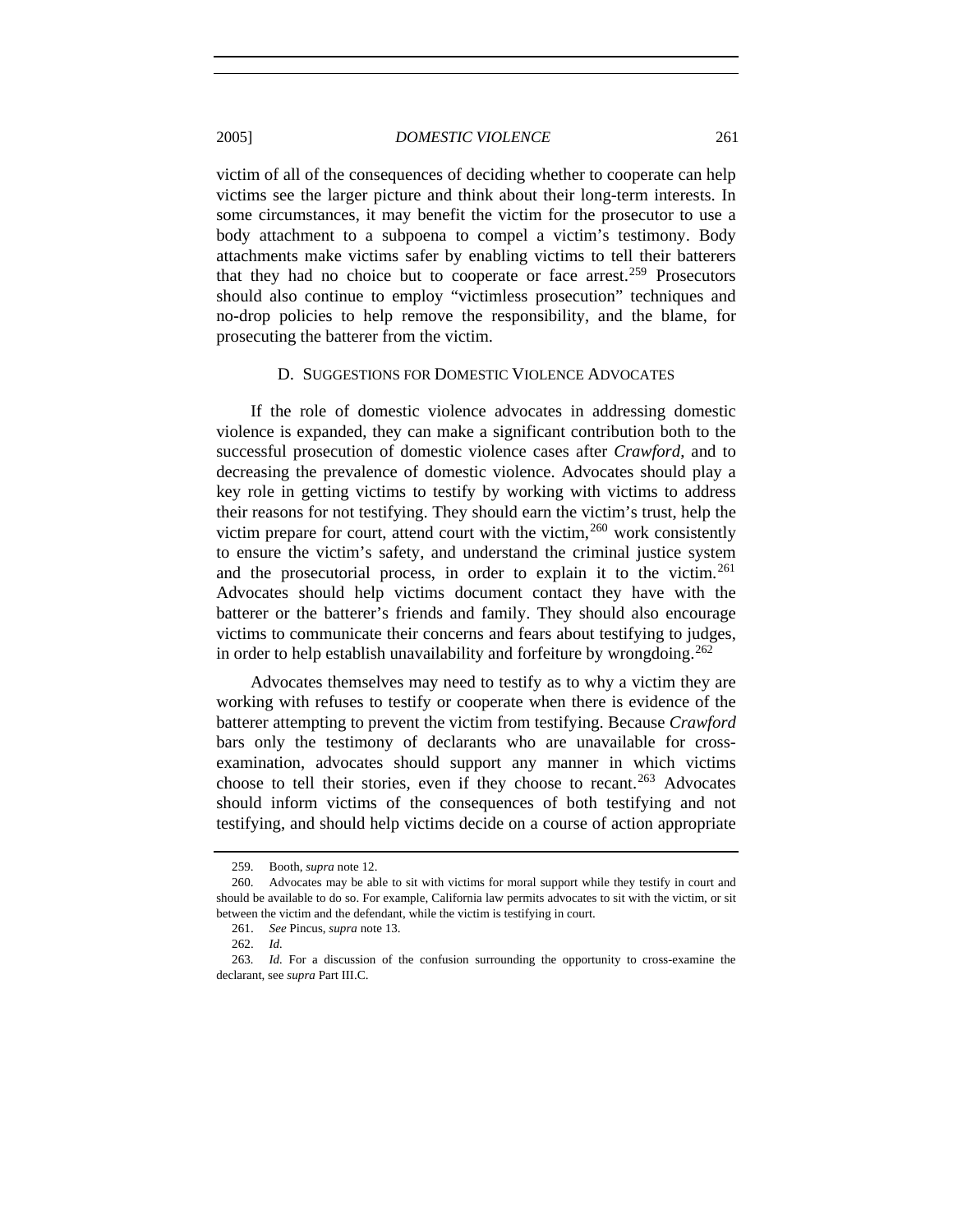victim of all of the consequences of deciding whether to cooperate can help victims see the larger picture and think about their long-term interests. In some circumstances, it may benefit the victim for the prosecutor to use a body attachment to a subpoena to compel a victim's testimony. Body attachments make victims safer by enabling victims to tell their batterers that they had no choice but to cooperate or face arrest.<sup>[259](#page-48-0)</sup> Prosecutors should also continue to employ "victimless prosecution" techniques and no-drop policies to help remove the responsibility, and the blame, for prosecuting the batterer from the victim.

#### D. SUGGESTIONS FOR DOMESTIC VIOLENCE ADVOCATES

If the role of domestic violence advocates in addressing domestic violence is expanded, they can make a significant contribution both to the successful prosecution of domestic violence cases after *Crawford*, and to decreasing the prevalence of domestic violence. Advocates should play a key role in getting victims to testify by working with victims to address their reasons for not testifying. They should earn the victim's trust, help the victim prepare for court, attend court with the victim,  $260$  work consistently to ensure the victim's safety, and understand the criminal justice system and the prosecutorial process, in order to explain it to the victim.<sup>[261](#page-48-2)</sup> Advocates should help victims document contact they have with the batterer or the batterer's friends and family. They should also encourage victims to communicate their concerns and fears about testifying to judges, in order to help establish unavailability and forfeiture by wrongdoing.<sup>[262](#page-48-3)</sup>

Advocates themselves may need to testify as to why a victim they are working with refuses to testify or cooperate when there is evidence of the batterer attempting to prevent the victim from testifying. Because *Crawford* bars only the testimony of declarants who are unavailable for crossexamination, advocates should support any manner in which victims choose to tell their stories, even if they choose to recant.<sup>[263](#page-48-4)</sup> Advocates should inform victims of the consequences of both testifying and not testifying, and should help victims decide on a course of action appropriate

 <sup>259.</sup> Booth, *supra* note 12.

<span id="page-48-1"></span><span id="page-48-0"></span> <sup>260.</sup> Advocates may be able to sit with victims for moral support while they testify in court and should be available to do so. For example, California law permits advocates to sit with the victim, or sit between the victim and the defendant, while the victim is testifying in court.

 <sup>261.</sup> *See* Pincus, *supra* note 13.

 <sup>262.</sup> *Id.*

<span id="page-48-4"></span><span id="page-48-3"></span><span id="page-48-2"></span><sup>263</sup>*. Id.* For a discussion of the confusion surrounding the opportunity to cross-examine the declarant, see *supra* Part III.C.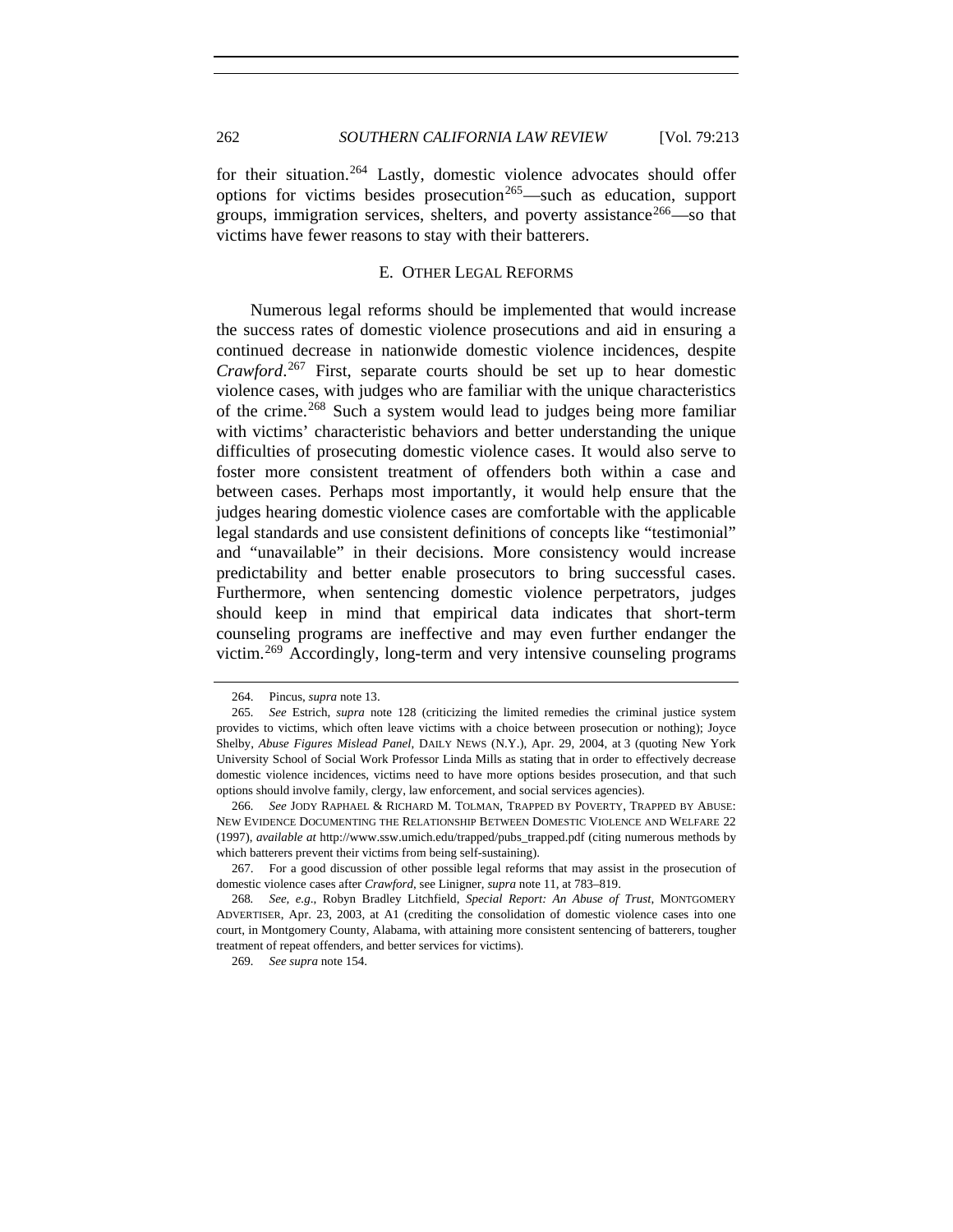for their situation.<sup>[264](#page-49-0)</sup> Lastly, domestic violence advocates should offer options for victims besides prosecution<sup>[265](#page-49-1)</sup>—such as education, support groups, immigration services, shelters, and poverty assistance  $266$ —so that victims have fewer reasons to stay with their batterers.

# E. OTHER LEGAL REFORMS

Numerous legal reforms should be implemented that would increase the success rates of domestic violence prosecutions and aid in ensuring a continued decrease in nationwide domestic violence incidences, despite *Crawford*. [267](#page-49-3) First, separate courts should be set up to hear domestic violence cases, with judges who are familiar with the unique characteristics of the crime.[268](#page-49-4) Such a system would lead to judges being more familiar with victims' characteristic behaviors and better understanding the unique difficulties of prosecuting domestic violence cases. It would also serve to foster more consistent treatment of offenders both within a case and between cases. Perhaps most importantly, it would help ensure that the judges hearing domestic violence cases are comfortable with the applicable legal standards and use consistent definitions of concepts like "testimonial" and "unavailable" in their decisions. More consistency would increase predictability and better enable prosecutors to bring successful cases. Furthermore, when sentencing domestic violence perpetrators, judges should keep in mind that empirical data indicates that short-term counseling programs are ineffective and may even further endanger the victim.[269](#page-49-5) Accordingly, long-term and very intensive counseling programs

 <sup>264.</sup> Pincus, *supra* note 13.

<span id="page-49-1"></span><span id="page-49-0"></span><sup>265</sup>*. See* Estrich, *supra* note 128 (criticizing the limited remedies the criminal justice system provides to victims, which often leave victims with a choice between prosecution or nothing); Joyce Shelby, *Abuse Figures Mislead Panel*, DAILY NEWS (N.Y.), Apr. 29, 2004, at 3 (quoting New York University School of Social Work Professor Linda Mills as stating that in order to effectively decrease domestic violence incidences, victims need to have more options besides prosecution, and that such options should involve family, clergy, law enforcement, and social services agencies).

<span id="page-49-2"></span><sup>266</sup>*. See* JODY RAPHAEL & RICHARD M. TOLMAN, TRAPPED BY POVERTY, TRAPPED BY ABUSE: NEW EVIDENCE DOCUMENTING THE RELATIONSHIP BETWEEN DOMESTIC VIOLENCE AND WELFARE 22 (1997), *available at* http://www.ssw.umich.edu/trapped/pubs\_trapped.pdf (citing numerous methods by which batterers prevent their victims from being self-sustaining).

<span id="page-49-3"></span> <sup>267.</sup> For a good discussion of other possible legal reforms that may assist in the prosecution of domestic violence cases after *Crawford*, see Linigner, *supra* note 11, at 783–819.

<span id="page-49-5"></span><span id="page-49-4"></span><sup>268</sup>*. See, e.g*., Robyn Bradley Litchfield, *Special Report: An Abuse of Trust*, MONTGOMERY ADVERTISER, Apr. 23, 2003, at A1 (crediting the consolidation of domestic violence cases into one court, in Montgomery County, Alabama, with attaining more consistent sentencing of batterers, tougher treatment of repeat offenders, and better services for victims).

<sup>269</sup>*. See supra* note 154.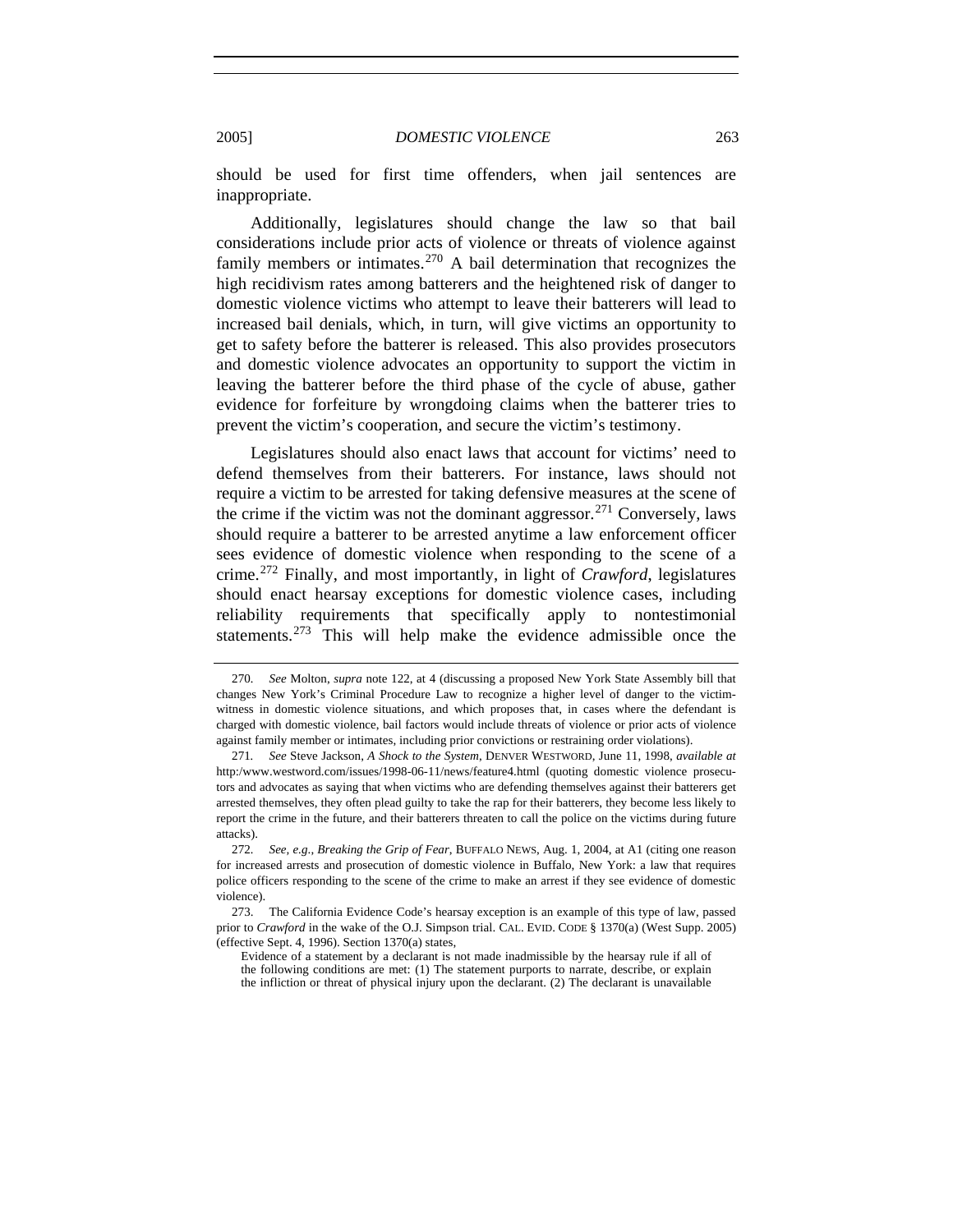should be used for first time offenders, when jail sentences are inappropriate.

Additionally, legislatures should change the law so that bail considerations include prior acts of violence or threats of violence against family members or intimates.<sup>[270](#page-50-0)</sup> A bail determination that recognizes the high recidivism rates among batterers and the heightened risk of danger to domestic violence victims who attempt to leave their batterers will lead to increased bail denials, which, in turn, will give victims an opportunity to get to safety before the batterer is released. This also provides prosecutors and domestic violence advocates an opportunity to support the victim in leaving the batterer before the third phase of the cycle of abuse, gather evidence for forfeiture by wrongdoing claims when the batterer tries to prevent the victim's cooperation, and secure the victim's testimony.

Legislatures should also enact laws that account for victims' need to defend themselves from their batterers. For instance, laws should not require a victim to be arrested for taking defensive measures at the scene of the crime if the victim was not the dominant aggressor.[271](#page-50-1) Conversely, laws should require a batterer to be arrested anytime a law enforcement officer sees evidence of domestic violence when responding to the scene of a crime.[272](#page-50-2) Finally, and most importantly, in light of *Crawford*, legislatures should enact hearsay exceptions for domestic violence cases, including reliability requirements that specifically apply to nontestimonial statements.<sup>[273](#page-50-3)</sup> This will help make the evidence admissible once the

<span id="page-50-0"></span><sup>270</sup>*. See* Molton, *supra* note 122, at 4 (discussing a proposed New York State Assembly bill that changes New York's Criminal Procedure Law to recognize a higher level of danger to the victimwitness in domestic violence situations, and which proposes that, in cases where the defendant is charged with domestic violence, bail factors would include threats of violence or prior acts of violence against family member or intimates, including prior convictions or restraining order violations).

<span id="page-50-1"></span><sup>271</sup>*. See* Steve Jackson, *A Shock to the System*, DENVER WESTWORD, June 11, 1998, *available at* http:/www.westword.com/issues/1998-06-11/news/feature4.html (quoting domestic violence prosecutors and advocates as saying that when victims who are defending themselves against their batterers get arrested themselves, they often plead guilty to take the rap for their batterers, they become less likely to report the crime in the future, and their batterers threaten to call the police on the victims during future attacks).

<span id="page-50-2"></span><sup>272</sup>*. See, e.g*., *Breaking the Grip of Fear*, BUFFALO NEWS, Aug. 1, 2004, at A1 (citing one reason for increased arrests and prosecution of domestic violence in Buffalo, New York: a law that requires police officers responding to the scene of the crime to make an arrest if they see evidence of domestic violence).

<span id="page-50-3"></span> <sup>273.</sup> The California Evidence Code's hearsay exception is an example of this type of law, passed prior to *Crawford* in the wake of the O.J. Simpson trial. CAL. EVID. CODE § 1370(a) (West Supp. 2005) (effective Sept. 4, 1996). Section 1370(a) states,

Evidence of a statement by a declarant is not made inadmissible by the hearsay rule if all of the following conditions are met: (1) The statement purports to narrate, describe, or explain the infliction or threat of physical injury upon the declarant. (2) The declarant is unavailable